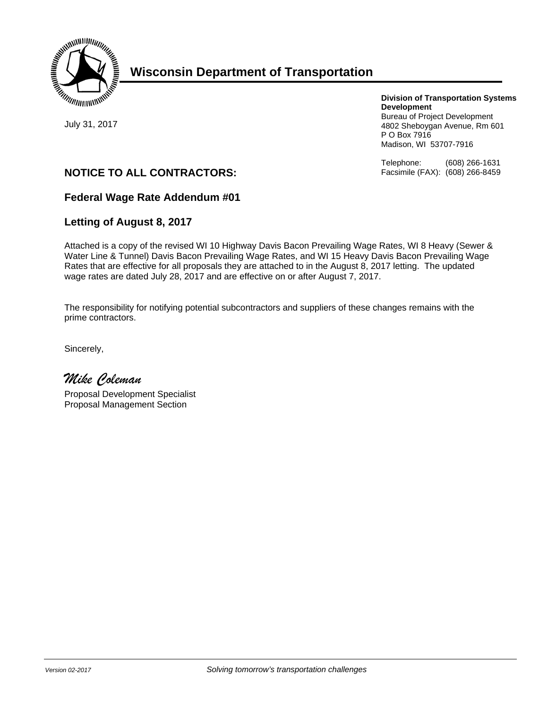

# **Wisconsin Department of Transportation**

July 31, 2017

**Division of Transportation Systems Development** 

Bureau of Project Development 4802 Sheboygan Avenue, Rm 601 P O Box 7916 Madison, WI 53707-7916

Telephone: (608) 266-1631 Facsimile (FAX): (608) 266-8459

# **NOTICE TO ALL CONTRACTORS:**

## **Federal Wage Rate Addendum #01**

## **Letting of August 8, 2017**

Attached is a copy of the revised WI 10 Highway Davis Bacon Prevailing Wage Rates, WI 8 Heavy (Sewer & Water Line & Tunnel) Davis Bacon Prevailing Wage Rates, and WI 15 Heavy Davis Bacon Prevailing Wage Rates that are effective for all proposals they are attached to in the August 8, 2017 letting. The updated wage rates are dated July 28, 2017 and are effective on or after August 7, 2017.

The responsibility for notifying potential subcontractors and suppliers of these changes remains with the prime contractors.

Sincerely,

*Mike Coleman* 

Proposal Development Specialist Proposal Management Section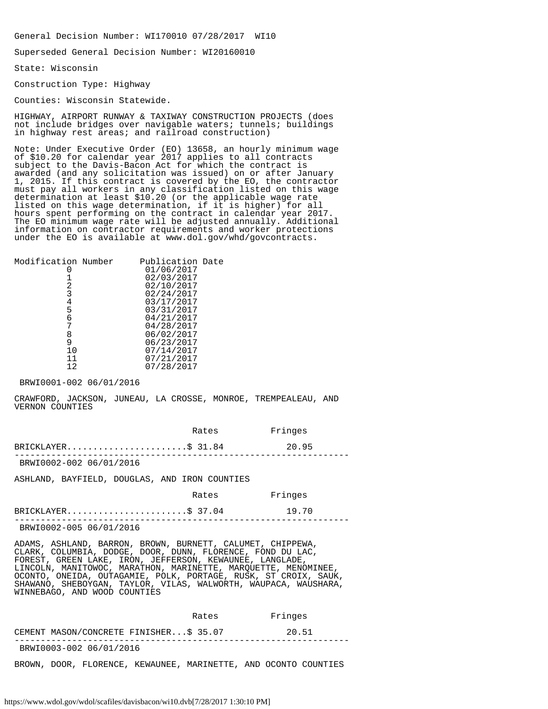General Decision Number: WI170010 07/28/2017 WI10

Superseded General Decision Number: WI20160010

State: Wisconsin

Construction Type: Highway

Counties: Wisconsin Statewide.

HIGHWAY, AIRPORT RUNWAY & TAXIWAY CONSTRUCTION PROJECTS (does not include bridges over navigable waters; tunnels; buildings in highway rest areas; and railroad construction)

Note: Under Executive Order (EO) 13658, an hourly minimum wage of \$10.20 for calendar year 2017 applies to all contracts subject to the Davis-Bacon Act for which the contract is awarded (and any solicitation was issued) on or after January 1, 2015. If this contract is covered by the EO, the contractor must pay all workers in any classification listed on this wage determination at least \$10.20 (or the applicable wage rate listed on this wage determination, if it is higher) for all hours spent performing on the contract in calendar year 2017. The EO minimum wage rate will be adjusted annually. Additional information on contractor requirements and worker protections under the EO is available at www.dol.gov/whd/govcontracts.

| Modification Number | Publication Date |  |
|---------------------|------------------|--|
|                     | 01/06/2017       |  |
|                     | 02/03/2017       |  |
| 2                   | 02/10/2017       |  |
| 3                   | 02/24/2017       |  |
| 4                   | 03/17/2017       |  |
| 5                   | 03/31/2017       |  |
| 6                   | 04/21/2017       |  |
|                     | 04/28/2017       |  |
| 8                   | 06/02/2017       |  |
| 9                   | 06/23/2017       |  |
| 10                  | 07/14/2017       |  |
| 11                  | 07/21/2017       |  |
| 12                  | 07/28/2017       |  |
|                     |                  |  |

BRWI0001-002 06/01/2016

CRAWFORD, JACKSON, JUNEAU, LA CROSSE, MONROE, TREMPEALEAU, AND VERNON COUNTIES

|                         | Rates | Fringes |  |
|-------------------------|-------|---------|--|
| BRICKLAYER\$ 31.84      |       | 20.95   |  |
| BRWI0002-002 06/01/2016 |       |         |  |

ASHLAND, BAYFIELD, DOUGLAS, AND IRON COUNTIES

| Rates | Fringes |
|-------|---------|
|-------|---------|

|                         | $BRICKLAYER$ \$ 37.04 | 19.70 |
|-------------------------|-----------------------|-------|
| BRWI0002-005 06/01/2016 |                       |       |

ADAMS, ASHLAND, BARRON, BROWN, BURNETT, CALUMET, CHIPPEWA, CLARK, COLUMBIA, DODGE, DOOR, DUNN, FLORENCE, FOND DU LAC, FOREST, GREEN LAKE, IRON, JEFFERSON, KEWAUNEE, LANGLADE, LINCOLN, MANITOWOC, MARATHON, MARINETTE, MARQUETTE, MENOMINEE, OCONTO, ONEIDA, OUTAGAMIE, POLK, PORTAGE, RUSK, ST CROIX, SAUK, SHAWANO, SHEBOYGAN, TAYLOR, VILAS, WALWORTH, WAUPACA, WAUSHARA, WINNEBAGO, AND WOOD COUNTIES

|                                        | Rates | Fringes |  |
|----------------------------------------|-------|---------|--|
| CEMENT MASON/CONCRETE FINISHER\$ 35.07 |       | 20.51   |  |
| BRWI0003-002 06/01/2016                |       |         |  |

BROWN, DOOR, FLORENCE, KEWAUNEE, MARINETTE, AND OCONTO COUNTIES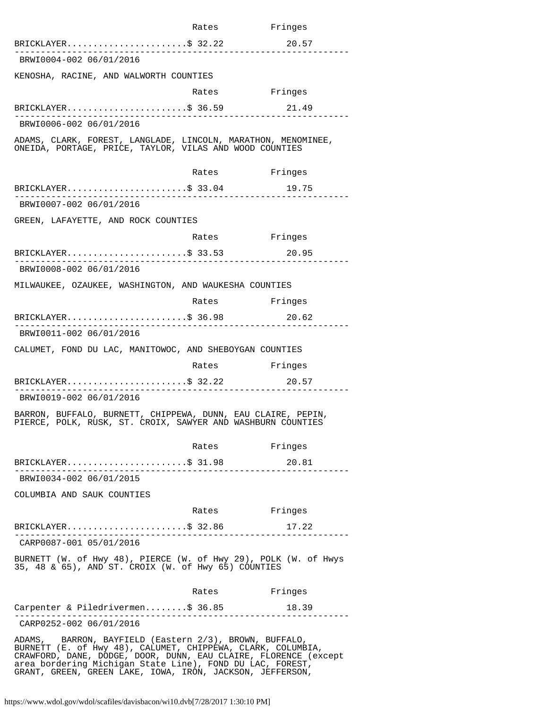|                                                                                                                                                                                          | Rates                     | Fringes |
|------------------------------------------------------------------------------------------------------------------------------------------------------------------------------------------|---------------------------|---------|
| BRICKLAYER\$ 32.22                                                                                                                                                                       |                           | 20.57   |
| BRWI0004-002 06/01/2016                                                                                                                                                                  |                           |         |
| KENOSHA, RACINE, AND WALWORTH COUNTIES                                                                                                                                                   |                           |         |
|                                                                                                                                                                                          | Rates                     | Fringes |
| BRICKLAYER\$ 36.59                                                                                                                                                                       |                           | 21.49   |
| BRWI0006-002 06/01/2016                                                                                                                                                                  |                           |         |
| ADAMS, CLARK, FOREST, LANGLADE, LINCOLN, MARATHON, MENOMINEE,<br>ONEIDA, PORTAGE, PRICE, TAYLOR, VILAS AND WOOD COUNTIES                                                                 |                           |         |
|                                                                                                                                                                                          | Rates                     | Fringes |
| $BRICKLAYER$ \$ 33.04                                                                                                                                                                    |                           | 19.75   |
| BRWI0007-002 06/01/2016                                                                                                                                                                  |                           |         |
| GREEN, LAFAYETTE, AND ROCK COUNTIES                                                                                                                                                      |                           |         |
|                                                                                                                                                                                          | Rates Fringes             |         |
| $BRICKLAYER$ \$ 33.53                                                                                                                                                                    |                           | 20.95   |
| BRWI0008-002 06/01/2016                                                                                                                                                                  |                           |         |
| MILWAUKEE, OZAUKEE, WASHINGTON, AND WAUKESHA COUNTIES                                                                                                                                    |                           |         |
|                                                                                                                                                                                          | Rates Fringes             |         |
| $BRICKLAYER$ \$ 36.98<br>. _ _ _ _ _ _ _ _ _ _ _ _ _ _                                                                                                                                   |                           | 20.62   |
| BRWI0011-002 06/01/2016                                                                                                                                                                  |                           |         |
| CALUMET, FOND DU LAC, MANITOWOC, AND SHEBOYGAN COUNTIES                                                                                                                                  |                           |         |
|                                                                                                                                                                                          | Rates Fringes             |         |
| $BRICKLAYER$ \$ 32.22<br>. <u>.</u> .                                                                                                                                                    |                           | 20.57   |
| BRWI0019-002 06/01/2016                                                                                                                                                                  |                           |         |
| BARRON, BUFFALO, BURNETT, CHIPPEWA, DUNN, EAU CLAIRE, PEPIN,<br>PIERCE, POLK, RUSK, ST. CROIX, SAWYER AND WASHBURN COUNTIES                                                              |                           |         |
|                                                                                                                                                                                          | Rates                     | Fringes |
| $BRICKLAYER$ \$ 31.98<br>__________________________                                                                                                                                      | . _ _ _ _ _ _ _ _ _ _ _ _ | 20.81   |
| BRWI0034-002 06/01/2015                                                                                                                                                                  |                           |         |
| COLUMBIA AND SAUK COUNTIES                                                                                                                                                               |                           |         |
|                                                                                                                                                                                          | Rates Fringes             |         |
| $BRICKLAYER$ \$ 32.86<br>-----------------------                                                                                                                                         | ______________            | 17.22   |
| CARP0087-001 05/01/2016                                                                                                                                                                  |                           |         |
| BURNETT (W. of Hwy 48), PIERCE (W. of Hwy 29), POLK (W. of Hwys<br>35, 48 & 65), AND ST. CROIX (W. of Hwy 65) COUNTIES                                                                   |                           |         |
|                                                                                                                                                                                          | Rates Fringes             |         |
| Carpenter & Piledrivermen\$ 36.85<br>------------------                                                                                                                                  |                           | 18.39   |
| CARP0252-002 06/01/2016                                                                                                                                                                  |                           |         |
| ADAMS, BARRON, BAYFIELD (Eastern 2/3), BROWN, BUFFALO,<br>BURNETT (E. of Hwy 48), CALUMET, CHIPPEWA, CLARK, COLUMBIA,<br>CRAWFORD, DANE, DODGE, DOOR, DUNN, EAU CLAIRE, FLORENCE (except |                           |         |

area bordering Michigan State Line), FOND DU LAC, FOREST, GRANT, GREEN, GREEN LAKE, IOWA, IRON, JACKSON, JEFFERSON,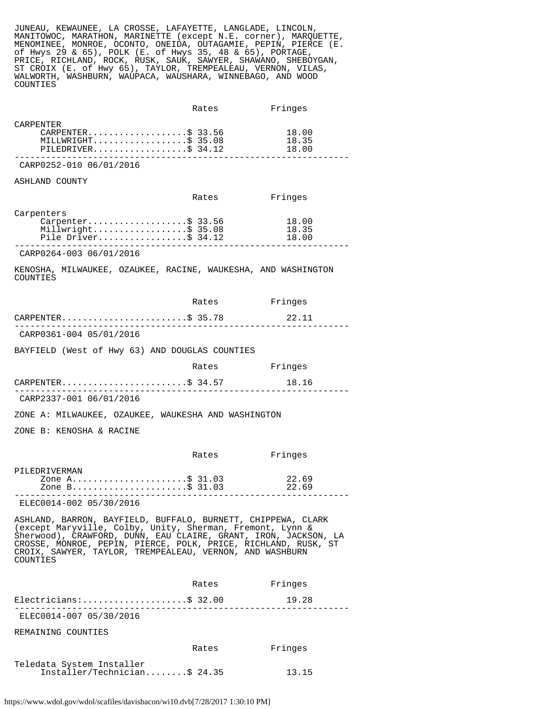JUNEAU, KEWAUNEE, LA CROSSE, LAFAYETTE, LANGLADE, LINCOLN, MANITOWOC, MARATHON, MARINETTE (except N.E. corner), MARQUETTE, MENOMINEE, MONROE, OCONTO, ONEIDA, OUTAGAMIE, PEPIN, PIERCE (E. of Hwys 29 & 65), POLK (E. of Hwys 35, 48 & 65), PORTAGE, PRICE, RICHLAND, ROCK, RUSK, SAUK, SAWYER, SHAWANO, SHEBOYGAN, ST CROIX (E. of Hwy 65), TAYLOR, TREMPEALEAU, VERNON, VILAS, WALWORTH, WASHBURN, WAUPACA, WAUSHARA, WINNEBAGO, AND WOOD COUNTIES

|                    | Rates | Fringes |  |
|--------------------|-------|---------|--|
| CARPENTER          |       |         |  |
| CARPENTER\$ 33.56  |       | 18.00   |  |
| MILLWRIGHT\$ 35.08 |       | 18.35   |  |
| PILEDRIVER\$ 34.12 |       | 18.00   |  |
|                    |       |         |  |

CARP0252-010 06/01/2016

## ASHLAND COUNTY

|                     | Rates | Fringes |  |
|---------------------|-------|---------|--|
| Carpenters          |       |         |  |
| Carpenter\$ 33.56   |       | 18.00   |  |
| Millwright\$ 35.08  |       | 18.35   |  |
| Pile Driver\$ 34.12 |       | 18.00   |  |
|                     |       |         |  |

CARP0264-003 06/01/2016

KENOSHA, MILWAUKEE, OZAUKEE, RACINE, WAUKESHA, AND WASHINGTON COUNTIES

|                                                                                                                                                                                                                                                                                                                                        | Rates         | Fringes        |
|----------------------------------------------------------------------------------------------------------------------------------------------------------------------------------------------------------------------------------------------------------------------------------------------------------------------------------------|---------------|----------------|
| $CARPENTER.$ \$ 35.78                                                                                                                                                                                                                                                                                                                  |               | 22.11          |
| CARP0361-004 05/01/2016                                                                                                                                                                                                                                                                                                                |               |                |
| BAYFIELD (West of Hwy 63) AND DOUGLAS COUNTIES                                                                                                                                                                                                                                                                                         |               |                |
|                                                                                                                                                                                                                                                                                                                                        | Rates Fringes |                |
| CARPENTER\$ 34.57                                                                                                                                                                                                                                                                                                                      |               | 18.16          |
| CARP2337-001 06/01/2016                                                                                                                                                                                                                                                                                                                |               |                |
| ZONE A: MILWAUKEE, OZAUKEE, WAUKESHA AND WASHINGTON                                                                                                                                                                                                                                                                                    |               |                |
| ZONE B: KENOSHA & RACINE                                                                                                                                                                                                                                                                                                               |               |                |
|                                                                                                                                                                                                                                                                                                                                        | Rates         | Fringes        |
| PILEDRIVERMAN<br>Zone A\$ 31.03<br>Zone A\$ 31.03<br>Zone B\$ 31.03                                                                                                                                                                                                                                                                    |               | 22.69<br>22.69 |
| ELEC0014-002 05/30/2016                                                                                                                                                                                                                                                                                                                |               |                |
| ASHLAND, BARRON, BAYFIELD, BUFFALO, BURNETT, CHIPPEWA, CLARK<br>(except Maryville, Colby, Unity, Sherman, Fremont, Lynn &<br>Sherwood), CRAWFORD, DUNN, EAU CLAIRE, GRANT, IRON, JACKSON, LA<br>CROSSE, MONROE, PEPIN, PIERCE, POLK, PRICE, RICHLAND, RUSK, ST<br>CROIX, SAWYER, TAYLOR, TREMPEALEAU, VERNON, AND WASHBURN<br>COUNTIES |               |                |
|                                                                                                                                                                                                                                                                                                                                        | Rates         | Fringes        |
| $Electrical as:$ \$ 32.00                                                                                                                                                                                                                                                                                                              |               | 19.28          |
| ELEC0014-007 05/30/2016                                                                                                                                                                                                                                                                                                                |               |                |
| REMAINING COUNTIES                                                                                                                                                                                                                                                                                                                     |               |                |
|                                                                                                                                                                                                                                                                                                                                        | Rates         | Fringes        |
| Teledata System Installer<br>Installer/Technician\$ 24.35                                                                                                                                                                                                                                                                              |               | 13.15          |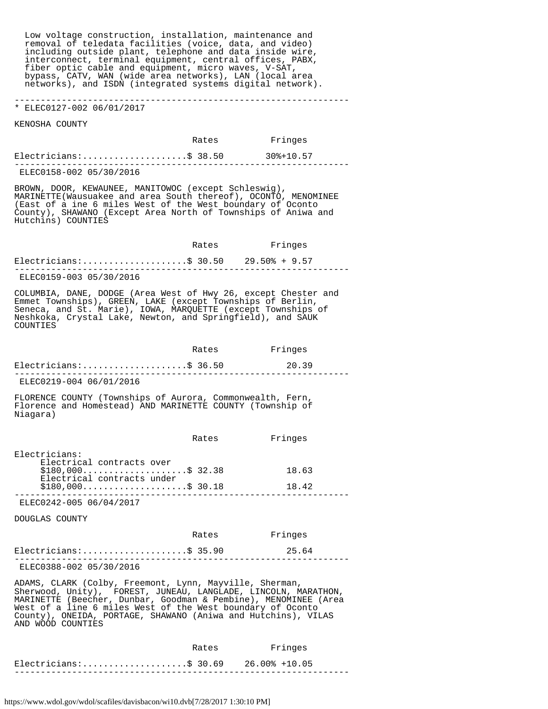Low voltage construction, installation, maintenance and removal of teledata facilities (voice, data, and video) including outside plant, telephone and data inside wire, interconnect, terminal equipment, central offices, PABX, fiber optic cable and equipment, micro waves, V-SAT, bypass, CATV, WAN (wide area networks), LAN (local area networks), and ISDN (integrated systems digital network).

## \* ELEC0127-002 06/01/2017

KENOSHA COUNTY

|                          | Rates | Fringes   |
|--------------------------|-------|-----------|
| $Electricians:$ \$ 38.50 |       | 30%+10.57 |
| ELEC0158-002 05/30/2016  |       |           |

----------------------------------------------------------------

BROWN, DOOR, KEWAUNEE, MANITOWOC (except Schleswig), MARINETTE(Wausuakee and area South thereof), OCONTO, MENOMINEE (East of a ine 6 miles West of the West boundary of Oconto County), SHAWANO (Except Area North of Townships of Aniwa and Hutchins) COUNTIES

|                         | Rates | Fringes |
|-------------------------|-------|---------|
|                         |       |         |
| ELEC0159-003 05/30/2016 |       |         |

COLUMBIA, DANE, DODGE (Area West of Hwy 26, except Chester and Emmet Townships), GREEN, LAKE (except Townships of Berlin, Seneca, and St. Marie), IOWA, MARQUETTE (except Townships of Neshkoka, Crystal Lake, Newton, and Springfield), and SAUK COUNTIES

|                         | Rates | Fringes |  |
|-------------------------|-------|---------|--|
| $Electricians:$ 36.50   |       | - 20.39 |  |
| ELEC0219-004 06/01/2016 |       |         |  |

FLORENCE COUNTY (Townships of Aurora, Commonwealth, Fern, Florence and Homestead) AND MARINETTE COUNTY (Township of Niagara)

|                                                   | Rates | Fringes |  |
|---------------------------------------------------|-------|---------|--|
| Electricians:<br>Electrical contracts over        |       |         |  |
| $$180,000$ \$ 32.38<br>Electrical contracts under |       | 18.63   |  |
| $$180,000$ \$ 30.18                               |       | 18.42   |  |
|                                                   |       |         |  |

ELEC0242-005 06/04/2017

DOUGLAS COUNTY

|                          | Rates | Fringes |  |
|--------------------------|-------|---------|--|
| $Electricians:$ \$ 35.90 |       | 25.64   |  |
| ELEC0388-002 05/30/2016  |       |         |  |

ADAMS, CLARK (Colby, Freemont, Lynn, Mayville, Sherman, Sherwood, Unity), FOREST, JUNEAU, LANGLADE, LINCOLN, MARATHON, MARINETTE (Beecher, Dunbar, Goodman & Pembine), MENOMINEE (Area West of a line 6 miles West of the West boundary of Oconto County), ONEIDA, PORTAGE, SHAWANO (Aniwa and Hutchins), VILAS AND WOOD COUNTIES

|                                         | Rates | Fringes |  |
|-----------------------------------------|-------|---------|--|
| Electricians:\$ 30.69     26.00% +10.05 |       |         |  |
|                                         |       |         |  |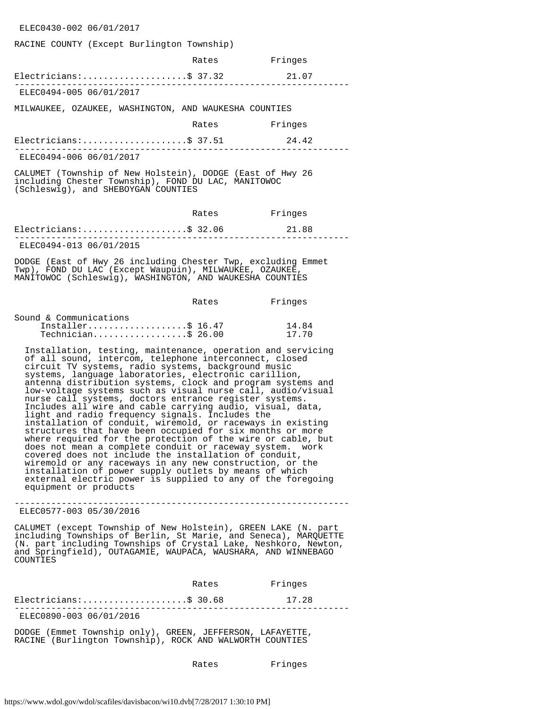#### ELEC0430-002 06/01/2017

#### RACINE COUNTY (Except Burlington Township)

|                                                                                                                                                         | Rates | Fringes |
|---------------------------------------------------------------------------------------------------------------------------------------------------------|-------|---------|
| Electricians:\$ 37.32                                                                                                                                   |       | 21.07   |
| ELEC0494-005 06/01/2017                                                                                                                                 |       |         |
| MILWAUKEE, OZAUKEE, WASHINGTON, AND WAUKESHA COUNTIES                                                                                                   |       |         |
|                                                                                                                                                         | Rates | Fringes |
| Electricians:\$ 37.51                                                                                                                                   |       | 24.42   |
| ELEC0494-006 06/01/2017                                                                                                                                 |       |         |
| CALUMET (Township of New Holstein), DODGE (East of Hwy 26<br>including Chester Township), FOND DU LAC, MANITOWOC<br>(Schleswig), and SHEBOYGAN COUNTIES |       |         |
|                                                                                                                                                         |       |         |

|                          | Rates | Fringes |  |
|--------------------------|-------|---------|--|
| $Electricians:$ \$ 32.06 |       | 21.88   |  |
| ELEC0494-013 06/01/2015  |       |         |  |

DODGE (East of Hwy 26 including Chester Twp, excluding Emmet Twp), FOND DU LAC (Except Waupuin), MILWAUKEE, OZAUKEE, MANITOWOC (Schleswig), WASHINGTON, AND WAUKESHA COUNTIES

|                        | Rates | Fringes |
|------------------------|-------|---------|
| Sound & Communications |       |         |
| Installer\$ $16.47$    |       | 14.84   |
| $Technician$ \$ 26.00  |       | 1770    |

 Installation, testing, maintenance, operation and servicing of all sound, intercom, telephone interconnect, closed circuit TV systems, radio systems, background music systems, language laboratories, electronic carillion, antenna distribution systems, clock and program systems and low-voltage systems such as visual nurse call, audio/visual nurse call systems, doctors entrance register systems. Includes all wire and cable carrying audio, visual, data, light and radio frequency signals. Includes the installation of conduit, wiremold, or raceways in existing structures that have been occupied for six months or more where required for the protection of the wire or cable, but does not mean a complete conduit or raceway system. work covered does not include the installation of conduit, wiremold or any raceways in any new construction, or the installation of power supply outlets by means of which external electric power is supplied to any of the foregoing equipment or products

---------------------------------------------------------------- ELEC0577-003 05/30/2016

CALUMET (except Township of New Holstein), GREEN LAKE (N. part including Townships of Berlin, St Marie, and Seneca), MARQUETTE (N. part including Townships of Crystal Lake, Neshkoro, Newton, and Springfield), OUTAGAMIE, WAUPACA, WAUSHARA, AND WINNEBAGO COUNTIES

|                          | Rates | Fringes |  |
|--------------------------|-------|---------|--|
| $Electricians:$ \$ 30.68 |       | 17.28   |  |
| ELEC0890-003 06/01/2016  |       |         |  |

DODGE (Emmet Township only), GREEN, JEFFERSON, LAFAYETTE, RACINE (Burlington Township), ROCK AND WALWORTH COUNTIES

Rates Fringes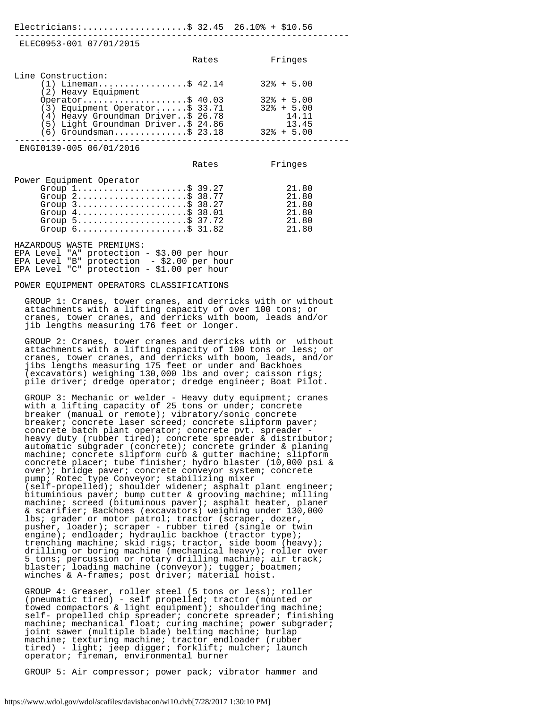| Electricians:\$ 32.45 26.10% + \$10.56                                                                                                                                                                                                                                                                                 |       |                                                                                    |
|------------------------------------------------------------------------------------------------------------------------------------------------------------------------------------------------------------------------------------------------------------------------------------------------------------------------|-------|------------------------------------------------------------------------------------|
| ELEC0953-001 07/01/2015                                                                                                                                                                                                                                                                                                |       |                                                                                    |
|                                                                                                                                                                                                                                                                                                                        | Rates | Fringes                                                                            |
| Line Construction:<br>(1) Lineman\$ 42.14<br>(2) Heavy Equipment<br>0perator\$ 40.03<br>(3) Equipment Operator\$ 33.71<br>(4) Heavy Groundman Driver\$ 26.78<br>(5) Light Groundman Driver\$ 24.86<br>$(6)$ Groundsman\$ 23.18                                                                                         |       | $32\% + 5.00$<br>$32\% + 5.00$<br>$32\% + 5.00$<br>14.11<br>13.45<br>$32\% + 5.00$ |
| ENGI0139-005 06/01/2016                                                                                                                                                                                                                                                                                                |       |                                                                                    |
|                                                                                                                                                                                                                                                                                                                        | Rates | Fringes                                                                            |
| Power Equipment Operator<br>Group $1, \ldots, \ldots, \ldots, \ldots, \$ 39.27<br>Group 2\$ 38.77<br>Group $3$ \$ 38.27<br>Group $4 \ldots \ldots \ldots \ldots \ldots \ldots$ \$ 38.01<br>Group $5 \ldots \ldots \ldots \ldots \ldots \ldots$ \$ 37.72<br>Group $6 \ldots \ldots \ldots \ldots \ldots \ldots \$ 31.82 |       | 21.80<br>21.80<br>21.80<br>21.80<br>21.80<br>21.80                                 |
| HAZARDOUS WASTE PREMIUMS:<br>EPA Level "A" protection - \$3.00 per hour<br>EPA Level "B" protection - \$2.00 per hour<br>EPA Level "C" protection - \$1.00 per hour                                                                                                                                                    |       |                                                                                    |
| POWER EOUIPMENT OPERATORS CLASSIFICATIONS                                                                                                                                                                                                                                                                              |       |                                                                                    |

 GROUP 1: Cranes, tower cranes, and derricks with or without attachments with a lifting capacity of over 100 tons; or cranes, tower cranes, and derricks with boom, leads and/or jib lengths measuring 176 feet or longer.

 GROUP 2: Cranes, tower cranes and derricks with or without attachments with a lifting capacity of 100 tons or less; or cranes, tower cranes, and derricks with boom, leads, and/or jibs lengths measuring 175 feet or under and Backhoes (excavators) weighing 130,000 lbs and over; caisson rigs; pile driver; dredge operator; dredge engineer; Boat Pilot.

 GROUP 3: Mechanic or welder - Heavy duty equipment; cranes with a lifting capacity of 25 tons or under; concrete breaker (manual or remote); vibratory/sonic concrete breaker; concrete laser screed; concrete slipform paver; concrete batch plant operator; concrete pvt. spreader heavy duty (rubber tired); concrete spreader & distributor; automatic subgrader (concrete); concrete grinder & planing machine; concrete slipform curb & gutter machine; slipform concrete placer; tube finisher; hydro blaster (10,000 psi & over); bridge paver; concrete conveyor system; concrete pump; Rotec type Conveyor; stabilizing mixer (self-propelled); shoulder widener; asphalt plant engineer; bituminious paver; bump cutter & grooving machine; milling machine; screed (bituminous paver); asphalt heater, planer & scarifier; Backhoes (excavators) weighing under 130,000 lbs; grader or motor patrol; tractor (scraper, dozer, pusher, loader); scraper - rubber tired (single or twin engine); endloader; hydraulic backhoe (tractor type); trenching machine; skid rigs; tractor, side boom (heavy); drilling or boring machine (mechanical heavy); roller over 5 tons; percussion or rotary drilling machine; air track; blaster; loading machine (conveyor); tugger; boatmen; winches & A-frames; post driver; material hoist.

 GROUP 4: Greaser, roller steel (5 tons or less); roller (pneumatic tired) - self propelled; tractor (mounted or towed compactors & light equipment); shouldering machine; self- propelled chip spreader; concrete spreader; finishing machine; mechanical float; curing machine; power subgrader; joint sawer (multiple blade) belting machine; burlap machine; texturing machine; tractor endloader (rubber tired) - light; jeep digger; forklift; mulcher; launch operator; fireman, environmental burner

GROUP 5: Air compressor; power pack; vibrator hammer and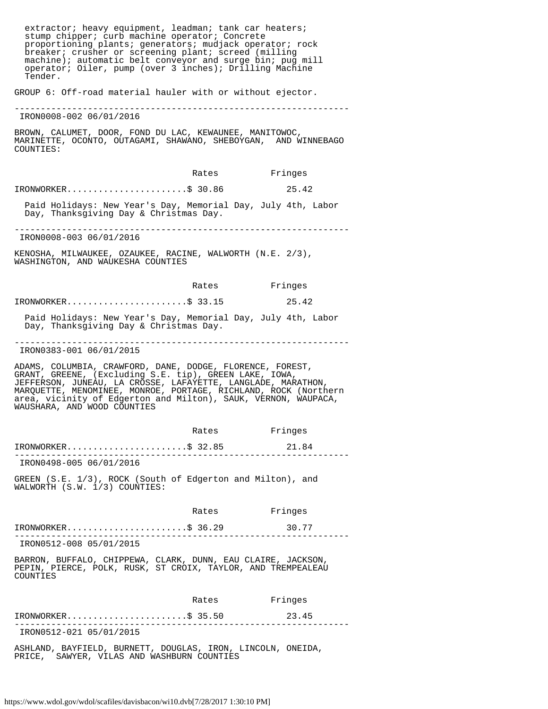| extractor; heavy equipment, leadman; tank car heaters;<br>stump chipper; curb machine operator; Concrete<br>proportioning plants; generators; mudjack operator; rock<br>breaker; crusher or screening plant; screed (milling<br>machine); automatic belt conveyor and surge bin; pug mill<br>operator; Oiler, pump (over 3 inches); Drilling Machine<br>Tender. |       |               |
|-----------------------------------------------------------------------------------------------------------------------------------------------------------------------------------------------------------------------------------------------------------------------------------------------------------------------------------------------------------------|-------|---------------|
| GROUP 6: Off-road material hauler with or without ejector.                                                                                                                                                                                                                                                                                                      |       |               |
| IRON0008-002 06/01/2016                                                                                                                                                                                                                                                                                                                                         |       |               |
| BROWN, CALUMET, DOOR, FOND DU LAC, KEWAUNEE, MANITOWOC,<br>MARINETTE, OCONTO, OUTAGAMI, SHAWANO, SHEBOYGAN, AND WINNEBAGO<br>COUNTIES:                                                                                                                                                                                                                          |       |               |
|                                                                                                                                                                                                                                                                                                                                                                 |       | Rates Fringes |
| $IRONWORKER.$ \$ 30.86                                                                                                                                                                                                                                                                                                                                          |       | 25.42         |
| Paid Holidays: New Year's Day, Memorial Day, July 4th, Labor<br>Day, Thanksgiving Day & Christmas Day.                                                                                                                                                                                                                                                          |       |               |
| IRON0008-003 06/01/2016                                                                                                                                                                                                                                                                                                                                         |       |               |
| KENOSHA, MILWAUKEE, OZAUKEE, RACINE, WALWORTH (N.E. 2/3),<br>WASHINGTON, AND WAUKESHA COUNTIES                                                                                                                                                                                                                                                                  |       |               |
|                                                                                                                                                                                                                                                                                                                                                                 | Rates | Fringes       |
| IRONWORKER\$ 33.15                                                                                                                                                                                                                                                                                                                                              |       | 25.42         |
| Paid Holidays: New Year's Day, Memorial Day, July 4th, Labor<br>Day, Thanksgiving Day & Christmas Day.                                                                                                                                                                                                                                                          |       |               |
| IRON0383-001 06/01/2015                                                                                                                                                                                                                                                                                                                                         |       |               |
| ADAMS, COLUMBIA, CRAWFORD, DANE, DODGE, FLORENCE, FOREST,<br>GRANT, GREENE, (Excluding S.E. tip), GREEN LAKE, IOWA,<br>JEFFERSON, JUNEAU, LA CROSSE, LAFAYETTE, LANGLADE, MARATHON,<br>MARQUETTE, MENOMINEE, MONROE, PORTAGE, RICHLAND, ROCK (Northern<br>area, vicinity of Edgerton and Milton), SAUK, VERNON, WAUPACA,<br>WAUSHARA, AND WOOD COUNTIES         |       |               |
|                                                                                                                                                                                                                                                                                                                                                                 | Rates | Fringes       |
| $IRONWORKER.$ \$ 32.85                                                                                                                                                                                                                                                                                                                                          |       | 21.84         |
| IRON0498-005 06/01/2016                                                                                                                                                                                                                                                                                                                                         |       |               |
| GREEN (S.E. 1/3), ROCK (South of Edgerton and Milton), and<br>WALWORTH (S.W. 1/3) COUNTIES:                                                                                                                                                                                                                                                                     |       |               |
|                                                                                                                                                                                                                                                                                                                                                                 | Rates | Fringes       |
| $IRONWORKER.$ \$ 36.29                                                                                                                                                                                                                                                                                                                                          |       | 30.77         |
| IRON0512-008 05/01/2015                                                                                                                                                                                                                                                                                                                                         |       |               |
| BARRON, BUFFALO, CHIPPEWA, CLARK, DUNN, EAU CLAIRE, JACKSON,<br>PEPIN, PIERCE, POLK, RUSK, ST CROIX, TAYLOR, AND TREMPEALEAU<br>COUNTIES                                                                                                                                                                                                                        |       |               |
|                                                                                                                                                                                                                                                                                                                                                                 | Rates | Fringes       |
| IRONWORKER\$ 35.50                                                                                                                                                                                                                                                                                                                                              |       | 23.45         |
| ------------------<br>IRON0512-021 05/01/2015                                                                                                                                                                                                                                                                                                                   |       |               |
| ASHLAND, BAYFIELD, BURNETT, DOUGLAS, IRON, LINCOLN, ONEIDA,<br>SAWYER, VILAS AND WASHBURN COUNTIES<br>PRICE,                                                                                                                                                                                                                                                    |       |               |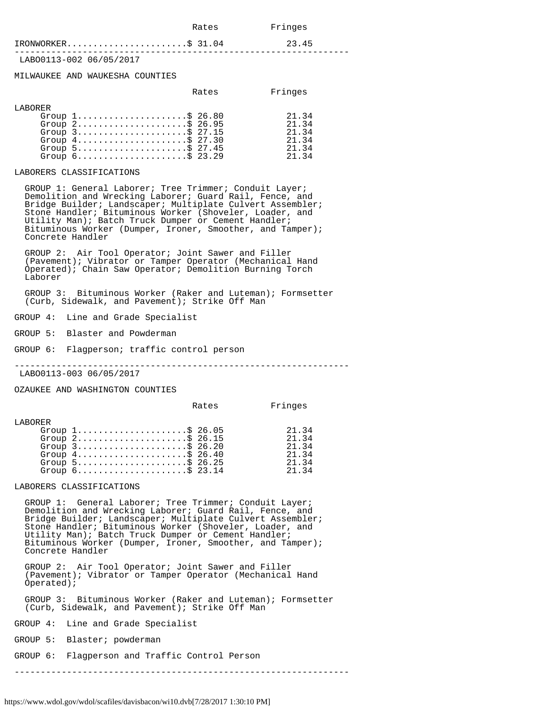| Fringes<br>--- - |
|------------------|
|                  |

## IRONWORKER..............................\$ 31.04 23.45

----------------------------------------------------------------

LABO0113-002 06/05/2017

MILWAUKEE AND WAUKESHA COUNTIES

|          |                                                                    | Rates | Fringes |
|----------|--------------------------------------------------------------------|-------|---------|
| T.ARORER |                                                                    |       |         |
|          | Group $1, \ldots, \ldots, \ldots, \ldots, \$ 26.80                 |       | 21.34   |
|          | Group $2, \ldots, \ldots, \ldots, \ldots, \dot{S}$ 26.95           |       | 21.34   |
|          | Group $3$                                                          |       | 21.34   |
|          | Group $4 \ldots \ldots \ldots \ldots \ldots \ldots \text{S}$ 27.30 |       | 21.34   |
|          | Group $5$                                                          |       | 21.34   |
|          | Group $6 \ldots \ldots \ldots \ldots \ldots \ldots \text{S}$ 23.29 |       | 21 34   |

#### LABORERS CLASSIFICATIONS

 GROUP 1: General Laborer; Tree Trimmer; Conduit Layer; Demolition and Wrecking Laborer; Guard Rail, Fence, and Bridge Builder; Landscaper; Multiplate Culvert Assembler; Stone Handler; Bituminous Worker (Shoveler, Loader, and Utility Man); Batch Truck Dumper or Cement Handler; Bituminous Worker (Dumper, Ironer, Smoother, and Tamper); Concrete Handler

 GROUP 2: Air Tool Operator; Joint Sawer and Filler (Pavement); Vibrator or Tamper Operator (Mechanical Hand Operated); Chain Saw Operator; Demolition Burning Torch Laborer

 GROUP 3: Bituminous Worker (Raker and Luteman); Formsetter (Curb, Sidewalk, and Pavement); Strike Off Man

GROUP 4: Line and Grade Specialist

GROUP 5: Blaster and Powderman

GROUP 6: Flagperson; traffic control person

----------------------------------------------------------------

LABO0113-003 06/05/2017

OZAUKEE AND WASHINGTON COUNTIES

|          |                                                                                                                                                                                                                                                                                                   | Rates | Fringes                                            |
|----------|---------------------------------------------------------------------------------------------------------------------------------------------------------------------------------------------------------------------------------------------------------------------------------------------------|-------|----------------------------------------------------|
| T.ARORER | Group $1, \ldots, \ldots, \ldots, \ldots, \$ 26.05<br>Group $2, \ldots, \ldots, \ldots, \ldots, \$$ 26.15<br>Group $3$ \$ 26.20<br>Group $4 \ldots \ldots \ldots \ldots \ldots \ldots \text{S}$ 26.40<br>Group $5$ \$ 26.25<br>Group $6 \ldots \ldots \ldots \ldots \ldots \ldots \text{S}$ 23.14 |       | 21.34<br>21.34<br>21.34<br>21.34<br>21.34<br>21 34 |
|          |                                                                                                                                                                                                                                                                                                   |       |                                                    |

LABORERS CLASSIFICATIONS

 GROUP 1: General Laborer; Tree Trimmer; Conduit Layer; Demolition and Wrecking Laborer; Guard Rail, Fence, and Bridge Builder; Landscaper; Multiplate Culvert Assembler; Stone Handler; Bituminous Worker (Shoveler, Loader, and Utility Man); Batch Truck Dumper or Cement Handler; Bituminous Worker (Dumper, Ironer, Smoother, and Tamper); Concrete Handler

 GROUP 2: Air Tool Operator; Joint Sawer and Filler (Pavement); Vibrator or Tamper Operator (Mechanical Hand Operated);

 GROUP 3: Bituminous Worker (Raker and Luteman); Formsetter (Curb, Sidewalk, and Pavement); Strike Off Man

GROUP 4: Line and Grade Specialist

GROUP 5: Blaster; powderman

GROUP 6: Flagperson and Traffic Control Person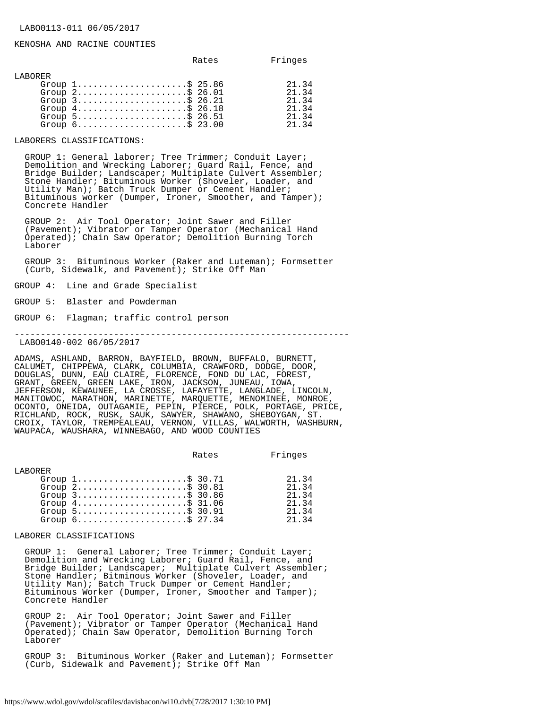#### KENOSHA AND RACINE COUNTIES

|          |                                                                    | Rates | Fringes |
|----------|--------------------------------------------------------------------|-------|---------|
| T.ARORER |                                                                    |       |         |
|          | Group $1, \ldots, \ldots, \ldots, \ldots, \dot{S}$ 25.86           |       | 21.34   |
|          | Group $2$ \$ 26.01                                                 |       | 21.34   |
|          | Group $3$ ; $$26.21$                                               |       | 21.34   |
|          | Group $4 \ldots \ldots \ldots \ldots \ldots \ldots \text{S}$ 26.18 |       | 21.34   |
|          | Group $5$                                                          |       | 21.34   |
|          |                                                                    |       | 21.34   |

LABORERS CLASSIFICATIONS:

 GROUP 1: General laborer; Tree Trimmer; Conduit Layer; Demolition and Wrecking Laborer; Guard Rail, Fence, and Bridge Builder; Landscaper; Multiplate Culvert Assembler; Stone Handler; Bituminous Worker (Shoveler, Loader, and Utility Man); Batch Truck Dumper or Cement Handler; Bituminous worker (Dumper, Ironer, Smoother, and Tamper); Concrete Handler

 GROUP 2: Air Tool Operator; Joint Sawer and Filler (Pavement); Vibrator or Tamper Operator (Mechanical Hand Operated); Chain Saw Operator; Demolition Burning Torch Laborer

 GROUP 3: Bituminous Worker (Raker and Luteman); Formsetter (Curb, Sidewalk, and Pavement); Strike Off Man

GROUP 4: Line and Grade Specialist

GROUP 5: Blaster and Powderman

GROUP 6: Flagman; traffic control person

----------------------------------------------------------------

LABO0140-002 06/05/2017

ADAMS, ASHLAND, BARRON, BAYFIELD, BROWN, BUFFALO, BURNETT, CALUMET, CHIPPEWA, CLARK, COLUMBIA, CRAWFORD, DODGE, DOOR, DOUGLAS, DUNN, EAU CLAIRE, FLORENCE, FOND DU LAC, FOREST, GRANT, GREEN, GREEN LAKE, IRON, JACKSON, JUNEAU, IOWA, JEFFERSON, KEWAUNEE, LA CROSSE, LAFAYETTE, LANGLADE, LINCOLN, MANITOWOC, MARATHON, MARINETTE, MARQUETTE, MENOMINEE, MONROE, OCONTO, ONEIDA, OUTAGAMIE, PEPIN, PIERCE, POLK, PORTAGE, PRICE, RICHLAND, ROCK, RUSK, SAUK, SAWYER, SHAWANO, SHEBOYGAN, ST. CROIX, TAYLOR, TREMPEALEAU, VERNON, VILLAS, WALWORTH, WASHBURN, WAUPACA, WAUSHARA, WINNEBAGO, AND WOOD COUNTIES

Rates Fringes

| T.ARORER |                                                                    |               |
|----------|--------------------------------------------------------------------|---------------|
|          | Group $1, \ldots, \ldots, \ldots, \ldots, \$ 30.71                 | 21.34         |
|          | Group $2, \ldots, \ldots, \ldots, \ldots, \dot{S}$ 30.81           | $21 \t34$     |
|          | Group $3$ \$ 30.86                                                 | $21 \quad 34$ |
|          | Group $4 \ldots \ldots \ldots \ldots \ldots \ldots \text{S}$ 31.06 | 21.34         |
|          | Group $5$                                                          | $21 \t34$     |
|          | Group $6 \ldots \ldots \ldots \ldots \ldots \ldots \text{S}$ 27.34 | 21 34         |

LABORER CLASSIFICATIONS

 GROUP 1: General Laborer; Tree Trimmer; Conduit Layer; Demolition and Wrecking Laborer; Guard Rail, Fence, and Bridge Builder; Landscaper; Multiplate Culvert Assembler; Stone Handler; Bitminous Worker (Shoveler, Loader, and Utility Man); Batch Truck Dumper or Cement Handler; Bituminous Worker (Dumper, Ironer, Smoother and Tamper); Concrete Handler

 GROUP 2: Air Tool Operator; Joint Sawer and Filler (Pavement); Vibrator or Tamper Operator (Mechanical Hand Operated); Chain Saw Operator, Demolition Burning Torch Laborer

 GROUP 3: Bituminous Worker (Raker and Luteman); Formsetter (Curb, Sidewalk and Pavement); Strike Off Man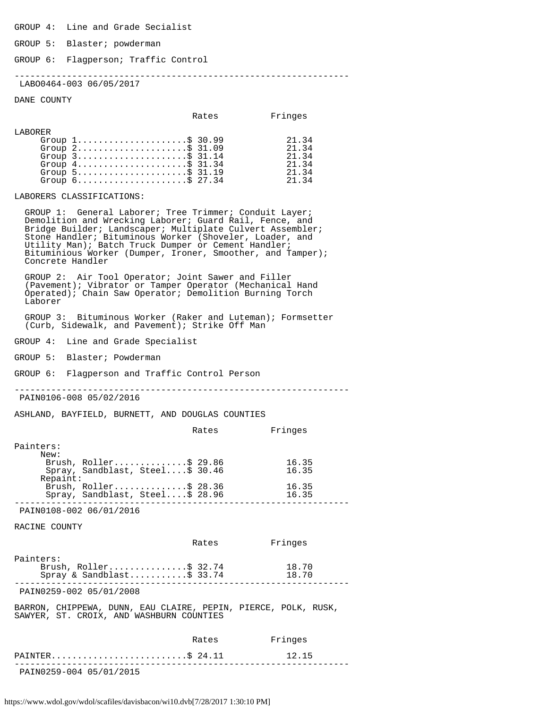GROUP 4: Line and Grade Secialist

GROUP 5: Blaster; powderman

GROUP 6: Flagperson; Traffic Control

----------------------------------------------------------------

LABO0464-003 06/05/2017

DANE COUNTY

|         |                                                                                                                                                                                                                                                  | Rates | Fringes                                            |
|---------|--------------------------------------------------------------------------------------------------------------------------------------------------------------------------------------------------------------------------------------------------|-------|----------------------------------------------------|
| LABORER | Group $1, \ldots, \ldots, \ldots, \ldots, \$ 30.99<br>Group $2$<br>Group $3$ \$ 31.14<br>Group $4 \ldots \ldots \ldots \ldots \ldots \ldots \text{ } \$31.34$<br>Group $5$<br>Group $6 \ldots \ldots \ldots \ldots \ldots \ldots \text{S}$ 27.34 |       | 21.34<br>21.34<br>21.34<br>21.34<br>21.34<br>21.34 |
|         |                                                                                                                                                                                                                                                  |       |                                                    |

LABORERS CLASSIFICATIONS:

 GROUP 1: General Laborer; Tree Trimmer; Conduit Layer; Demolition and Wrecking Laborer; Guard Rail, Fence, and Bridge Builder; Landscaper; Multiplate Culvert Assembler; Stone Handler; Bituminous Worker (Shoveler, Loader, and Utility Man); Batch Truck Dumper or Cement Handler; Bituminious Worker (Dumper, Ironer, Smoother, and Tamper); Concrete Handler

 GROUP 2: Air Tool Operator; Joint Sawer and Filler (Pavement); Vibrator or Tamper Operator (Mechanical Hand Operated); Chain Saw Operator; Demolition Burning Torch Laborer

 GROUP 3: Bituminous Worker (Raker and Luteman); Formsetter (Curb, Sidewalk, and Pavement); Strike Off Man

GROUP 4: Line and Grade Specialist

GROUP 5: Blaster; Powderman

GROUP 6: Flagperson and Traffic Control Person

----------------------------------------------------------------

PAIN0106-008 05/02/2016

ASHLAND, BAYFIELD, BURNETT, AND DOUGLAS COUNTIES

|           |                                 | Rates | Fringes |
|-----------|---------------------------------|-------|---------|
| Painters: |                                 |       |         |
| New:      |                                 |       |         |
|           | Brush, Roller\$ 29.86           |       | 16.35   |
|           | Spray, Sandblast, Steel\$ 30.46 |       | 16.35   |
| Repaint:  |                                 |       |         |
|           | Brush, $Roller$ \$ 28.36        |       | 16.35   |
|           | Spray, Sandblast, Steel\$ 28.96 |       | 16.35   |
|           |                                 |       |         |

PAIN0108-002 06/01/2016

RACINE COUNTY

| .                                                                                                          |       |                |
|------------------------------------------------------------------------------------------------------------|-------|----------------|
| PAINTER\$ 24.11                                                                                            |       | 12.15          |
|                                                                                                            | Rates | Fringes        |
| BARRON, CHIPPEWA, DUNN, EAU CLAIRE, PEPIN, PIERCE, POLK, RUSK,<br>SAWYER, ST. CROIX, AND WASHBURN COUNTIES |       |                |
| PAIN0259-002 05/01/2008                                                                                    |       |                |
| Painters:<br>Brush, Roller\$ 32.74<br>Spray & Sandblast\$ 33.74                                            |       | 18.70<br>18.70 |
|                                                                                                            | Rates | Fringes        |

PAIN0259-004 05/01/2015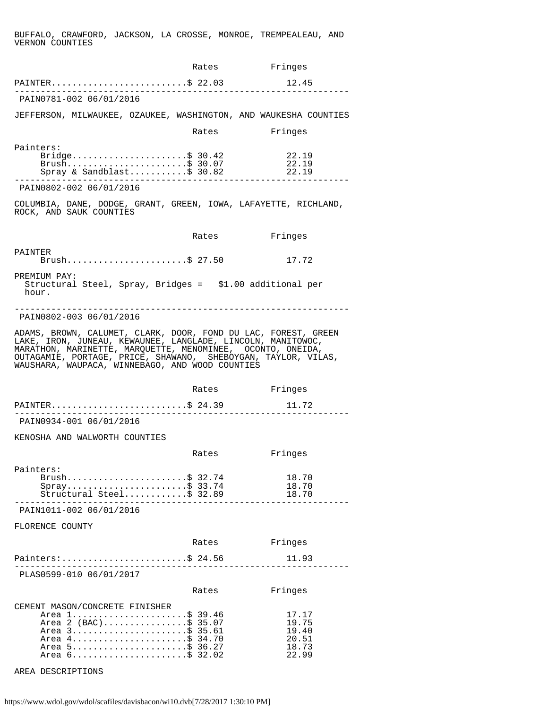BUFFALO, CRAWFORD, JACKSON, LA CROSSE, MONROE, TREMPEALEAU, AND VERNON COUNTIES

|                                                                                                                                                                                                                                                                                                                 | Rates | Fringes                                            |
|-----------------------------------------------------------------------------------------------------------------------------------------------------------------------------------------------------------------------------------------------------------------------------------------------------------------|-------|----------------------------------------------------|
| PAINTER\$ 22.03                                                                                                                                                                                                                                                                                                 |       | 12.45                                              |
| PAIN0781-002 06/01/2016                                                                                                                                                                                                                                                                                         |       |                                                    |
| JEFFERSON, MILWAUKEE, OZAUKEE, WASHINGTON, AND WAUKESHA COUNTIES                                                                                                                                                                                                                                                |       |                                                    |
|                                                                                                                                                                                                                                                                                                                 | Rates | Fringes                                            |
| Painters:<br>Bridge\$ 30.42<br>Brush\$ 30.07<br>Spray & Sandblast\$ 30.82                                                                                                                                                                                                                                       |       | 22.19<br>22.19<br>22.19                            |
| PAIN0802-002 06/01/2016                                                                                                                                                                                                                                                                                         |       |                                                    |
| COLUMBIA, DANE, DODGE, GRANT, GREEN, IOWA, LAFAYETTE, RICHLAND,<br>ROCK, AND SAUK COUNTIES                                                                                                                                                                                                                      |       |                                                    |
|                                                                                                                                                                                                                                                                                                                 | Rates | Fringes                                            |
| PAINTER<br>Brush\$ 27.50                                                                                                                                                                                                                                                                                        |       | 17.72                                              |
| PREMIUM PAY:<br>Structural Steel, Spray, Bridges = \$1.00 additional per<br>hour.                                                                                                                                                                                                                               |       |                                                    |
| PAIN0802-003 06/01/2016                                                                                                                                                                                                                                                                                         |       |                                                    |
| ADAMS, BROWN, CALUMET, CLARK, DOOR, FOND DU LAC, FOREST, GREEN<br>LAKE, IRON, JUNEAU, KEWAUNEE, LANGLADE, LINCOLN, MANITOWOC,<br>MARATHON, MARINETTE, MARQUETTE, MENOMINEE, OCONTO, ONEIDA,<br>OUTAGAMIE, PORTAGE, PRICE, SHAWANO, SHEBOYGAN, TAYLOR, VILAS,<br>WAUSHARA, WAUPACA, WINNEBAGO, AND WOOD COUNTIES |       |                                                    |
|                                                                                                                                                                                                                                                                                                                 | Rates | Fringes                                            |
| PAINTER\$ 24.39                                                                                                                                                                                                                                                                                                 |       | 11.72                                              |
| PAIN0934-001 06/01/2016                                                                                                                                                                                                                                                                                         |       |                                                    |
| KENOSHA AND WALWORTH COUNTIES                                                                                                                                                                                                                                                                                   |       |                                                    |
|                                                                                                                                                                                                                                                                                                                 | Rates | Fringes                                            |
| Painters:<br>Brush\$ 32.74<br>$Spray$ \$ 33.74<br>Structural Steel \$ 32.89                                                                                                                                                                                                                                     |       | 18.70<br>18.70<br>18.70                            |
| PAIN1011-002 06/01/2016                                                                                                                                                                                                                                                                                         |       |                                                    |
| FLORENCE COUNTY                                                                                                                                                                                                                                                                                                 |       |                                                    |
|                                                                                                                                                                                                                                                                                                                 | Rates | Fringes                                            |
| Painters:\$ 24.56<br>_____________________________                                                                                                                                                                                                                                                              |       | 11.93                                              |
| PLAS0599-010 06/01/2017                                                                                                                                                                                                                                                                                         |       |                                                    |
|                                                                                                                                                                                                                                                                                                                 | Rates | Fringes                                            |
| CEMENT MASON/CONCRETE FINISHER<br>Area 1\$ 39.46<br>Area 2 (BAC)\$ 35.07<br>Area 3\$ 35.61<br>Area 4\$ 34.70<br>Area 5\$ 36.27<br>Area 6\$ 32.02                                                                                                                                                                |       | 17.17<br>19.75<br>19.40<br>20.51<br>18.73<br>22.99 |
| AREA DESCRIPTIONS                                                                                                                                                                                                                                                                                               |       |                                                    |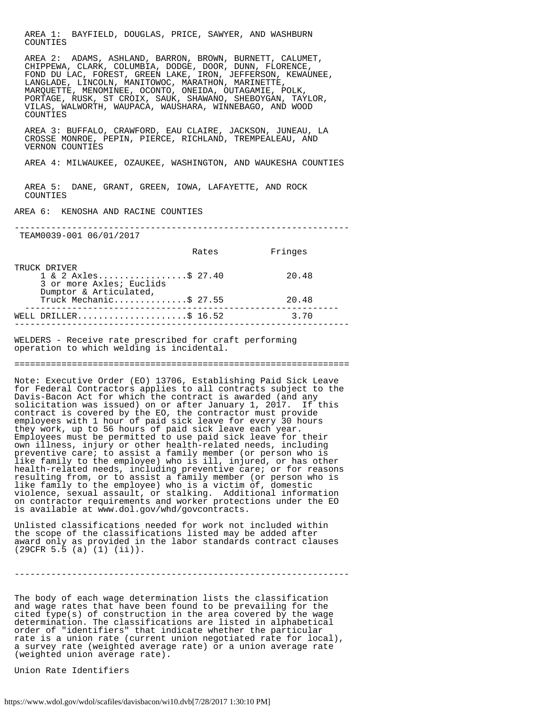AREA 1: BAYFIELD, DOUGLAS, PRICE, SAWYER, AND WASHBURN COUNTIES

 AREA 2: ADAMS, ASHLAND, BARRON, BROWN, BURNETT, CALUMET, CHIPPEWA, CLARK, COLUMBIA, DODGE, DOOR, DUNN, FLORENCE, FOND DU LAC, FOREST, GREEN LAKE, IRON, JEFFERSON, KEWAUNEE, LANGLADE, LINCOLN, MANITOWOC, MARATHON, MARINETTE, MARQUETTE, MENOMINEE, OCONTO, ONEIDA, OUTAGAMIE, POLK, PORTAGE, RUSK, ST CROIX, SAUK, SHAWANO, SHEBOYGAN, TAYLOR, VILAS, WALWORTH, WAUPACA, WAUSHARA, WINNEBAGO, AND WOOD COUNTIES

 AREA 3: BUFFALO, CRAWFORD, EAU CLAIRE, JACKSON, JUNEAU, LA CROSSE MONROE, PEPIN, PIERCE, RICHLAND, TREMPEALEAU, AND VERNON COUNTIES

AREA 4: MILWAUKEE, OZAUKEE, WASHINGTON, AND WAUKESHA COUNTIES

 AREA 5: DANE, GRANT, GREEN, IOWA, LAFAYETTE, AND ROCK COUNTIES

AREA 6: KENOSHA AND RACINE COUNTIES

----------------------------------------------------------------

TEAM0039-001 06/01/2017

|                                                                                                                 | Rates | Fringes |
|-----------------------------------------------------------------------------------------------------------------|-------|---------|
| TRUCK DRIVER<br>$1 \& 2 \text{ Axles} \dots \dots \dots \dots \dots \text{S} 27.40$<br>3 or more Axles; Euclids |       | 20.48   |
| Dumptor & Articulated,<br>Truck Mechanic\$ 27.55                                                                |       | 20.48   |
| WELL DRILLER\$ 16.52                                                                                            |       | 3.70    |

WELDERS - Receive rate prescribed for craft performing operation to which welding is incidental.

================================================================

----------------------------------------------------------------

Note: Executive Order (EO) 13706, Establishing Paid Sick Leave for Federal Contractors applies to all contracts subject to the Davis-Bacon Act for which the contract is awarded (and any solicitation was issued) on or after January 1, 2017. If this contract is covered by the EO, the contractor must provide employees with 1 hour of paid sick leave for every 30 hours they work, up to 56 hours of paid sick leave each year. Employees must be permitted to use paid sick leave for their own illness, injury or other health-related needs, including preventive care; to assist a family member (or person who is like family to the employee) who is ill, injured, or has other health-related needs, including preventive care; or for reasons resulting from, or to assist a family member (or person who is like family to the employee) who is a victim of, domestic violence, sexual assault, or stalking. Additional information on contractor requirements and worker protections under the EO is available at www.dol.gov/whd/govcontracts.

Unlisted classifications needed for work not included within the scope of the classifications listed may be added after award only as provided in the labor standards contract clauses (29CFR 5.5 (a) (1) (ii)).

----------------------------------------------------------------

The body of each wage determination lists the classification and wage rates that have been found to be prevailing for the cited type(s) of construction in the area covered by the wage determination. The classifications are listed in alphabetical order of "identifiers" that indicate whether the particular rate is a union rate (current union negotiated rate for local), a survey rate (weighted average rate) or a union average rate (weighted union average rate).

Union Rate Identifiers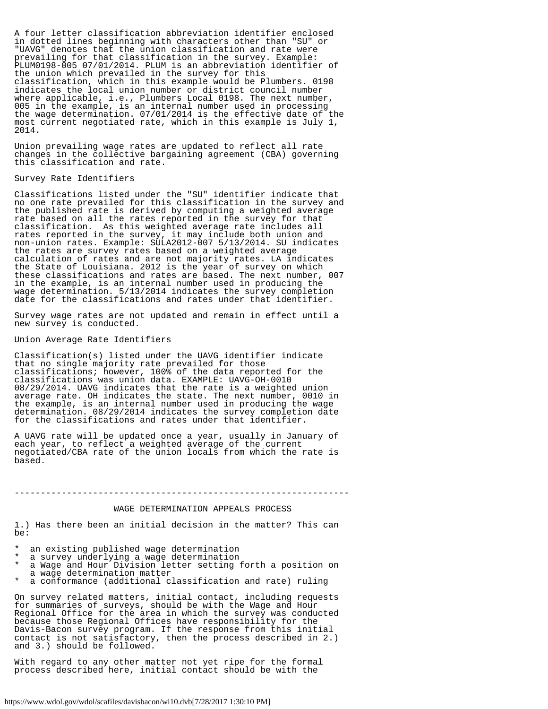A four letter classification abbreviation identifier enclosed in dotted lines beginning with characters other than "SU" or "UAVG" denotes that the union classification and rate were prevailing for that classification in the survey. Example: PLUM0198-005 07/01/2014. PLUM is an abbreviation identifier of the union which prevailed in the survey for this classification, which in this example would be Plumbers. 0198 indicates the local union number or district council number where applicable, i.e., Plumbers Local 0198. The next number, 005 in the example, is an internal number used in processing the wage determination. 07/01/2014 is the effective date of the most current negotiated rate, which in this example is July 1, 2014.

Union prevailing wage rates are updated to reflect all rate changes in the collective bargaining agreement (CBA) governing this classification and rate.

#### Survey Rate Identifiers

Classifications listed under the "SU" identifier indicate that no one rate prevailed for this classification in the survey and the published rate is derived by computing a weighted average rate based on all the rates reported in the survey for that classification. As this weighted average rate includes all rates reported in the survey, it may include both union and non-union rates. Example: SULA2012-007 5/13/2014. SU indicates the rates are survey rates based on a weighted average calculation of rates and are not majority rates. LA indicates the State of Louisiana. 2012 is the year of survey on which these classifications and rates are based. The next number, 007 in the example, is an internal number used in producing the wage determination. 5/13/2014 indicates the survey completion date for the classifications and rates under that identifier.

Survey wage rates are not updated and remain in effect until a new survey is conducted.

#### Union Average Rate Identifiers

Classification(s) listed under the UAVG identifier indicate that no single majority rate prevailed for those classifications; however, 100% of the data reported for the classifications was union data. EXAMPLE: UAVG-OH-0010 08/29/2014. UAVG indicates that the rate is a weighted union average rate. OH indicates the state. The next number, 0010 in the example, is an internal number used in producing the wage determination. 08/29/2014 indicates the survey completion date for the classifications and rates under that identifier.

A UAVG rate will be updated once a year, usually in January of each year, to reflect a weighted average of the current negotiated/CBA rate of the union locals from which the rate is based.

#### ----------------------------------------------------------------

#### WAGE DETERMINATION APPEALS PROCESS

1.) Has there been an initial decision in the matter? This can be:

- an existing published wage determination
- a survey underlying a wage determination
- a Wage and Hour Division letter setting forth a position on a wage determination matter
- a conformance (additional classification and rate) ruling

On survey related matters, initial contact, including requests for summaries of surveys, should be with the Wage and Hour Regional Office for the area in which the survey was conducted because those Regional Offices have responsibility for the Davis-Bacon survey program. If the response from this initial contact is not satisfactory, then the process described in 2.) and 3.) should be followed.

With regard to any other matter not yet ripe for the formal process described here, initial contact should be with the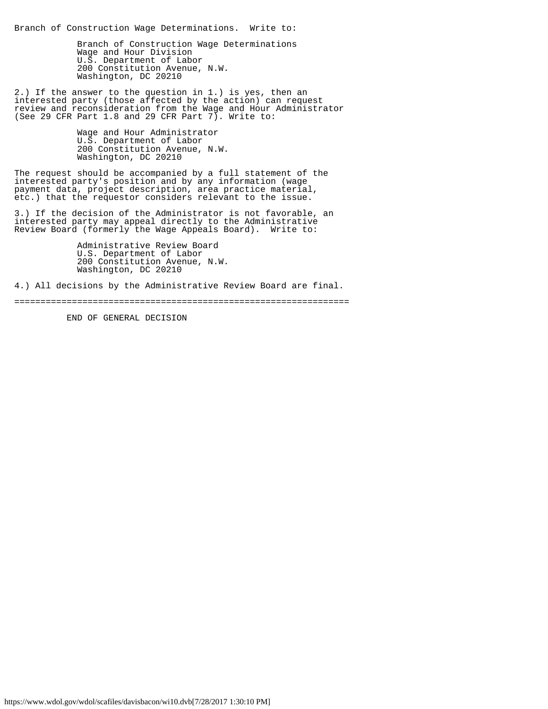Branch of Construction Wage Determinations. Write to:

 Branch of Construction Wage Determinations Wage and Hour Division U.S. Department of Labor 200 Constitution Avenue, N.W. Washington, DC 20210

2.) If the answer to the question in 1.) is yes, then an interested party (those affected by the action) can request review and reconsideration from the Wage and Hour Administrator (See 29 CFR Part 1.8 and 29 CFR Part 7). Write to:

Wage and Hour Administrator U.S. Department of Labor 200 Constitution Avenue, N.W. Washington, DC 20210

The request should be accompanied by a full statement of the interested party's position and by any information (wage payment data, project description, area practice material, etc.) that the requestor considers relevant to the issue.

3.) If the decision of the Administrator is not favorable, an interested party may appeal directly to the Administrative Review Board (formerly the Wage Appeals Board). Write to:

> Administrative Review Board U.S. Department of Labor 200 Constitution Avenue, N.W. Washington, DC 20210

4.) All decisions by the Administrative Review Board are final.

================================================================

END OF GENERAL DECISION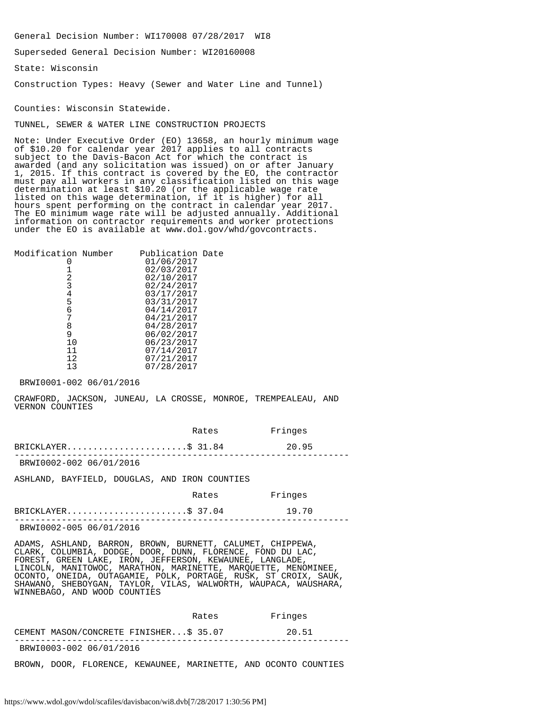General Decision Number: WI170008 07/28/2017 WI8

Superseded General Decision Number: WI20160008

State: Wisconsin

Construction Types: Heavy (Sewer and Water Line and Tunnel)

Counties: Wisconsin Statewide.

TUNNEL, SEWER & WATER LINE CONSTRUCTION PROJECTS

Note: Under Executive Order (EO) 13658, an hourly minimum wage of \$10.20 for calendar year 2017 applies to all contracts subject to the Davis-Bacon Act for which the contract is awarded (and any solicitation was issued) on or after January 1, 2015. If this contract is covered by the EO, the contractor must pay all workers in any classification listed on this wage determination at least \$10.20 (or the applicable wage rate listed on this wage determination, if it is higher) for all hours spent performing on the contract in calendar year 2017. The EO minimum wage rate will be adjusted annually. Additional information on contractor requirements and worker protections under the EO is available at www.dol.gov/whd/govcontracts.

| Modification Number | Publication Date |
|---------------------|------------------|
|                     | 01/06/2017       |
|                     | 02/03/2017       |
| 2                   | 02/10/2017       |
| 3                   | 02/24/2017       |
| 4                   | 03/17/2017       |
| 5                   | 03/31/2017       |
| 6                   | 04/14/2017       |
|                     | 04/21/2017       |
| 8                   | 04/28/2017       |
| 9                   | 06/02/2017       |
| 10                  | 06/23/2017       |
| 11                  | 07/14/2017       |
| 12                  | 07/21/2017       |
| 13                  | 07/28/2017       |
|                     |                  |

BRWI0001-002 06/01/2016

CRAWFORD, JACKSON, JUNEAU, LA CROSSE, MONROE, TREMPEALEAU, AND VERNON COUNTIES

|                         | Rates | Fringes |  |
|-------------------------|-------|---------|--|
| $BRICKLAYER$ \$ 31.84   |       | 20.95   |  |
| BRWI0002-002 06/01/2016 |       |         |  |

ASHLAND, BAYFIELD, DOUGLAS, AND IRON COUNTIES

| Rates | Fringes |
|-------|---------|
|-------|---------|

|                         | $BRICKLAYER$ \$ 37.04 | 19.70 |
|-------------------------|-----------------------|-------|
| BRWI0002-005 06/01/2016 |                       |       |

ADAMS, ASHLAND, BARRON, BROWN, BURNETT, CALUMET, CHIPPEWA, CLARK, COLUMBIA, DODGE, DOOR, DUNN, FLORENCE, FOND DU LAC, FOREST, GREEN LAKE, IRON, JEFFERSON, KEWAUNEE, LANGLADE, LINCOLN, MANITOWOC, MARATHON, MARINETTE, MARQUETTE, MENOMINEE, OCONTO, ONEIDA, OUTAGAMIE, POLK, PORTAGE, RUSK, ST CROIX, SAUK, SHAWANO, SHEBOYGAN, TAYLOR, VILAS, WALWORTH, WAUPACA, WAUSHARA, WINNEBAGO, AND WOOD COUNTIES

|                                       | Rates | Fringes |
|---------------------------------------|-------|---------|
| CEMENT MASON/CONCRETE FINISHERS 35.07 |       | 20.51   |
| BRWI0003-002 06/01/2016               |       |         |

BROWN, DOOR, FLORENCE, KEWAUNEE, MARINETTE, AND OCONTO COUNTIES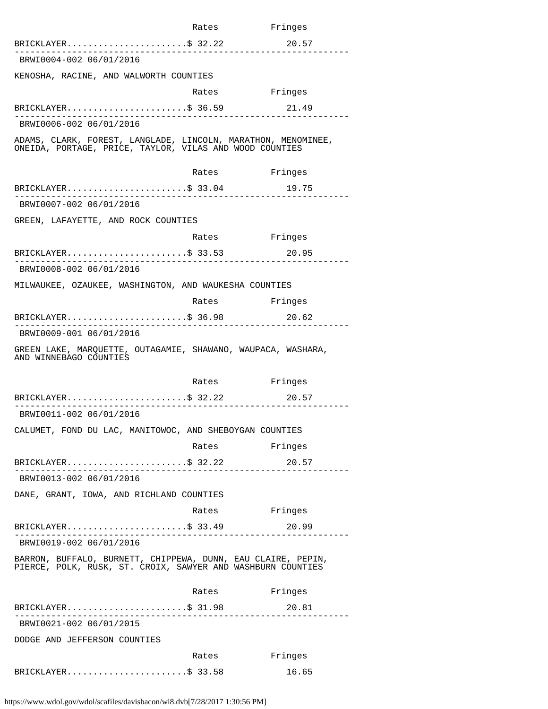|                                                                                                                             | Rates         | Fringes |  |  |  |
|-----------------------------------------------------------------------------------------------------------------------------|---------------|---------|--|--|--|
| $BRICKLAYER$ \$ 32.22                                                                                                       |               | 20.57   |  |  |  |
| BRWI0004-002 06/01/2016                                                                                                     |               |         |  |  |  |
| KENOSHA, RACINE, AND WALWORTH COUNTIES                                                                                      |               |         |  |  |  |
|                                                                                                                             | Rates         | Fringes |  |  |  |
| $BRICKLAYER$ \$ 36.59                                                                                                       |               | 21.49   |  |  |  |
| BRWI0006-002 06/01/2016                                                                                                     |               |         |  |  |  |
| ADAMS, CLARK, FOREST, LANGLADE, LINCOLN, MARATHON, MENOMINEE,<br>ONEIDA, PORTAGE, PRICE, TAYLOR, VILAS AND WOOD COUNTIES    |               |         |  |  |  |
|                                                                                                                             | Rates Fringes |         |  |  |  |
| $\mathtt{BRICKLAYER} \ldots \ldots \ldots \ldots \ldots \ldots \ldots \mathbb{S}$ 33.04                                     |               | 19.75   |  |  |  |
| BRWI0007-002 06/01/2016                                                                                                     |               |         |  |  |  |
| GREEN, LAFAYETTE, AND ROCK COUNTIES                                                                                         |               |         |  |  |  |
|                                                                                                                             | Rates Fringes |         |  |  |  |
| BRICKLAYER\$ 33.53                                                                                                          |               | 20.95   |  |  |  |
| BRWI0008-002 06/01/2016                                                                                                     |               |         |  |  |  |
| MILWAUKEE, OZAUKEE, WASHINGTON, AND WAUKESHA COUNTIES                                                                       |               |         |  |  |  |
|                                                                                                                             | Rates Fringes |         |  |  |  |
| $BRICKLAYER.$ \$ 36.98                                                                                                      |               | 20.62   |  |  |  |
| BRWI0009-001 06/01/2016                                                                                                     |               |         |  |  |  |
| GREEN LAKE, MARQUETTE, OUTAGAMIE, SHAWANO, WAUPACA, WASHARA,<br>AND WINNEBAGO COUNTIES                                      |               |         |  |  |  |
|                                                                                                                             | Rates         | Fringes |  |  |  |
| BRICKLAYER\$ 32.22                                                                                                          |               | 20.57   |  |  |  |
| BRWI0011-002 06/01/2016                                                                                                     |               |         |  |  |  |
| CALUMET, FOND DU LAC, MANITOWOC, AND SHEBOYGAN COUNTIES                                                                     |               |         |  |  |  |
|                                                                                                                             | Rates Fringes |         |  |  |  |
| BRICKLAYER\$ 32.22                                                                                                          |               | 20.57   |  |  |  |
| BRWI0013-002 06/01/2016                                                                                                     |               |         |  |  |  |
| DANE, GRANT, IOWA, AND RICHLAND COUNTIES                                                                                    |               |         |  |  |  |
|                                                                                                                             | Rates Fringes |         |  |  |  |
| $BRICKLAYER$ \$ 33.49                                                                                                       |               | 20.99   |  |  |  |
| BRWI0019-002 06/01/2016                                                                                                     |               |         |  |  |  |
| BARRON, BUFFALO, BURNETT, CHIPPEWA, DUNN, EAU CLAIRE, PEPIN,<br>PIERCE, POLK, RUSK, ST. CROIX, SAWYER AND WASHBURN COUNTIES |               |         |  |  |  |
|                                                                                                                             | Rates         | Fringes |  |  |  |
| BRICKLAYER\$ 31.98                                                                                                          |               | 20.81   |  |  |  |
| BRWI0021-002 06/01/2015                                                                                                     |               |         |  |  |  |
| DODGE AND JEFFERSON COUNTIES                                                                                                |               |         |  |  |  |
|                                                                                                                             | Rates         | Fringes |  |  |  |
| BRICKLAYER\$ 33.58                                                                                                          |               | 16.65   |  |  |  |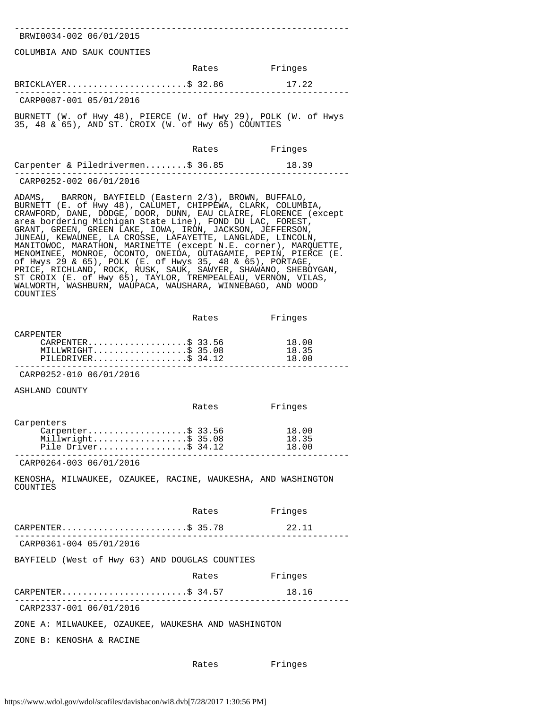---------------------------------------------------------------- BRWI0034-002 06/01/2015

COLUMBIA AND SAUK COUNTIES

|                         | Rates | Fringes |
|-------------------------|-------|---------|
| BRICKLAYER\$ 32.86      |       | 17.22   |
| CARP0087-001 05/01/2016 |       |         |

BURNETT (W. of Hwy 48), PIERCE (W. of Hwy 29), POLK (W. of Hwys 35, 48 & 65), AND ST. CROIX (W. of Hwy 65) COUNTIES

|                                   | Rates | Fringes |  |
|-----------------------------------|-------|---------|--|
| Carpenter & Piledrivermen\$ 36.85 |       | 18.39   |  |
| CARP0252-002 06/01/2016           |       |         |  |

ADAMS, BARRON, BAYFIELD (Eastern 2/3), BROWN, BUFFALO, BURNETT (E. of Hwy 48), CALUMET, CHIPPEWA, CLARK, COLUMBIA, CRAWFORD, DANE, DODGE, DOOR, DUNN, EAU CLAIRE, FLORENCE (except area bordering Michigan State Line), FOND DU LAC, FOREST, GRANT, GREEN, GREEN LAKE, IOWA, IRON, JACKSON, JEFFERSON, JUNEAU, KEWAUNEE, LA CROSSE, LAFAYETTE, LANGLADE, LINCOLN, MANITOWOC, MARATHON, MARINETTE (except N.E. corner), MARQUETTE, MENOMINEE, MONROE, OCONTO, ONEIDA, OUTAGAMIE, PEPIN, PIERCE (E. of Hwys 29 & 65), POLK (E. of Hwys 35, 48 & 65), PORTAGE, PRICE, RICHLAND, ROCK, RUSK, SAUK, SAWYER, SHAWANO, SHEBOYGAN, ST CROIX (E. of Hwy 65), TAYLOR, TREMPEALEAU, VERNON, VILAS, WALWORTH, WASHBURN, WAUPACA, WAUSHARA, WINNEBAGO, AND WOOD COUNTIES

|                                                                                   | Rates | Fringes                 |
|-----------------------------------------------------------------------------------|-------|-------------------------|
| <b>CARPENTER</b><br>CARPENTER\$ 33.56<br>MILLWRIGHT\$ 35.08<br>PILEDRIVER\$ 34.12 |       | 18.00<br>18.35<br>18.00 |
| CARP0252-010 06/01/2016                                                           |       |                         |
| ASHLAND COUNTY                                                                    |       |                         |
|                                                                                   | Rates | Fringes                 |
| Carpenters<br>Carpenter\$ 33.56<br>Millwright\$ 35.08<br>Pile Driver\$ $34.12$    |       | 18.00<br>18.35<br>18.00 |
| CARP0264-003 06/01/2016                                                           |       |                         |
| KENOSHA, MILWAUKEE, OZAUKEE, RACINE, WAUKESHA, AND WASHINGTON<br>COUNTIES         |       |                         |
|                                                                                   |       |                         |
|                                                                                   | Rates | Fringes                 |
| CARPENTER\$ 35.78                                                                 |       | 22.11                   |
| CARP0361-004 05/01/2016                                                           |       |                         |
| BAYFIELD (West of Hwy 63) AND DOUGLAS COUNTIES                                    |       |                         |
|                                                                                   | Rates | Fringes                 |
| CARPENTER\$ 34.57                                                                 |       | 18.16                   |
| CARP2337-001 06/01/2016                                                           |       |                         |
| ZONE A: MILWAUKEE, OZAUKEE, WAUKESHA AND WASHINGTON                               |       |                         |
| ZONE B: KENOSHA & RACINE                                                          |       |                         |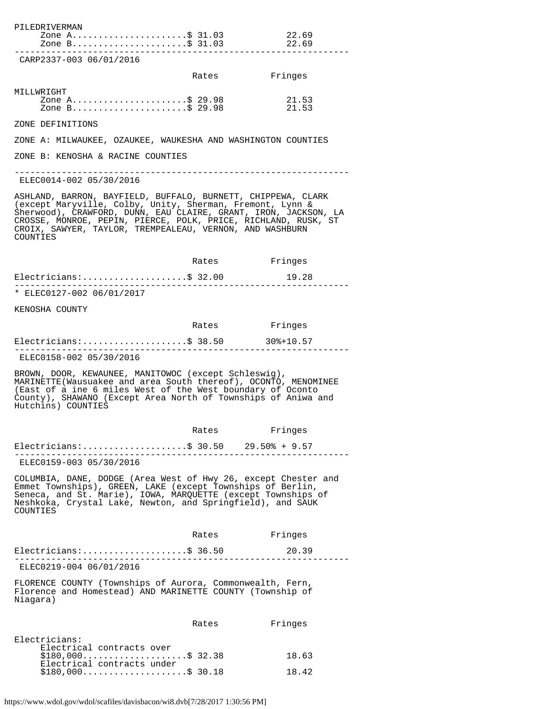| Zone A\$ 31.03<br>Zone B\$ 31.03                                                                                                                                                                                                                                                                                                       |       | 22.69<br>22.69 |
|----------------------------------------------------------------------------------------------------------------------------------------------------------------------------------------------------------------------------------------------------------------------------------------------------------------------------------------|-------|----------------|
|                                                                                                                                                                                                                                                                                                                                        |       |                |
| CARP2337-003 06/01/2016                                                                                                                                                                                                                                                                                                                |       |                |
|                                                                                                                                                                                                                                                                                                                                        | Rates | Fringes        |
| MILLWRIGHT<br>Zone A\$ 29.98<br>Zone B\$ 29.98                                                                                                                                                                                                                                                                                         |       | 21.53<br>21.53 |
| ZONE DEFINITIONS                                                                                                                                                                                                                                                                                                                       |       |                |
| ZONE A: MILWAUKEE, OZAUKEE, WAUKESHA AND WASHINGTON COUNTIES                                                                                                                                                                                                                                                                           |       |                |
| ZONE B: KENOSHA & RACINE COUNTIES                                                                                                                                                                                                                                                                                                      |       |                |
| ELEC0014-002 05/30/2016                                                                                                                                                                                                                                                                                                                |       |                |
| ASHLAND, BARRON, BAYFIELD, BUFFALO, BURNETT, CHIPPEWA, CLARK<br>(except Maryville, Colby, Unity, Sherman, Fremont, Lynn &<br>Sherwood), CRAWFORD, DUNN, EAU CLAIRE, GRANT, IRON, JACKSON, LA<br>CROSSE, MONROE, PEPIN, PIERCE, POLK, PRICE, RICHLAND, RUSK, ST<br>CROIX, SAWYER, TAYLOR, TREMPEALEAU, VERNON, AND WASHBURN<br>COUNTIES |       |                |
|                                                                                                                                                                                                                                                                                                                                        | Rates | Fringes        |
| $Electricians:$ \$ 32.00                                                                                                                                                                                                                                                                                                               |       | 19.28          |
| * ELEC0127-002 06/01/2017                                                                                                                                                                                                                                                                                                              |       |                |
| KENOSHA COUNTY                                                                                                                                                                                                                                                                                                                         |       |                |
|                                                                                                                                                                                                                                                                                                                                        | Rates | Fringes        |
| $Electrical ans:$ \$ 38.50                                                                                                                                                                                                                                                                                                             |       | 30%+10.57      |
| ELEC0158-002 05/30/2016                                                                                                                                                                                                                                                                                                                |       |                |
| BROWN, DOOR, KEWAUNEE, MANITOWOC (except Schleswig),<br>MARINETTE (Wausuakee and area South thereof), OCONTO, MENOMINEE<br>(East of a ine 6 miles West of the West boundary of Oconto<br>County), SHAWANO (Except Area North of Townships of Aniwa and<br>Hutchins) COUNTIES                                                           |       |                |
|                                                                                                                                                                                                                                                                                                                                        |       |                |
|                                                                                                                                                                                                                                                                                                                                        |       |                |
|                                                                                                                                                                                                                                                                                                                                        | Rates | Fringes        |
| Electricians:\$ 30.50 29.50% + 9.57<br>. _ _ _ _ _ _ _ _ _ _ _ _ _ _ _ _ _                                                                                                                                                                                                                                                             |       |                |
| ELEC0159-003 05/30/2016<br>COLUMBIA, DANE, DODGE (Area West of Hwy 26, except Chester and<br>Emmet Townships), GREEN, LAKE (except Townships of Berlin,<br>Seneca, and St. Marie), IOWA, MARQUETTE (except Townships of<br>Neshkoka, Crystal Lake, Newton, and Springfield), and SAUK<br>COUNTIES                                      |       |                |
|                                                                                                                                                                                                                                                                                                                                        | Rates | Fringes        |
| $Electrical ns:$ \$ 36.50                                                                                                                                                                                                                                                                                                              |       | 20.39          |
| ELEC0219-004 06/01/2016                                                                                                                                                                                                                                                                                                                |       |                |
| FLORENCE COUNTY (Townships of Aurora, Commonwealth, Fern,<br>Florence and Homestead) AND MARINETTE COUNTY (Township of<br>Niagara)                                                                                                                                                                                                     |       |                |
|                                                                                                                                                                                                                                                                                                                                        | Rates | Fringes        |
| Electricians:<br>Electrical contracts over                                                                                                                                                                                                                                                                                             |       |                |
| $$180,000$ \$ 32.38<br>Electrical contracts under<br>$$180,000$ \$ 30.18                                                                                                                                                                                                                                                               |       | 18.63<br>18.42 |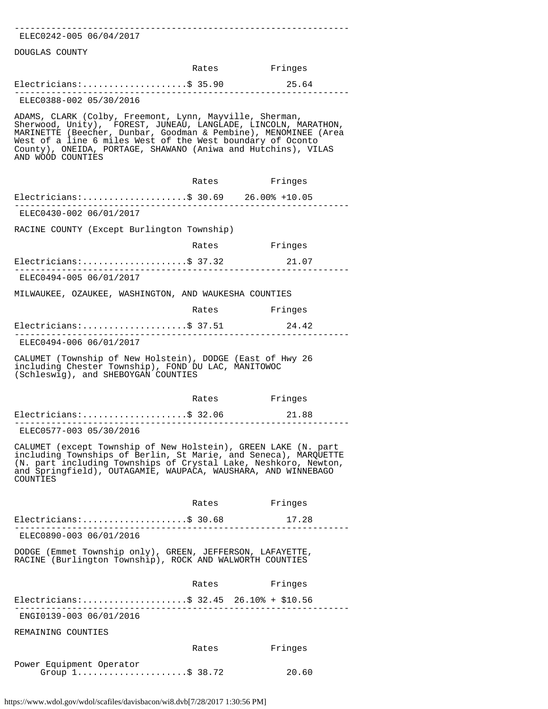| ELEC0242-005 06/04/2017                                                                                                                                                                                                                                                                                                                          |       |               |
|--------------------------------------------------------------------------------------------------------------------------------------------------------------------------------------------------------------------------------------------------------------------------------------------------------------------------------------------------|-------|---------------|
| DOUGLAS COUNTY                                                                                                                                                                                                                                                                                                                                   |       |               |
|                                                                                                                                                                                                                                                                                                                                                  |       | Rates Fringes |
| $Electricalns:$ \$ 35.90                                                                                                                                                                                                                                                                                                                         |       | 25.64         |
| ELEC0388-002 05/30/2016                                                                                                                                                                                                                                                                                                                          |       |               |
| ADAMS, CLARK (Colby, Freemont, Lynn, Mayville, Sherman,<br>Sherwood, Unity), FOREST, JUNEAU, LANGLADE, LINCOLN, MARATHON,<br>MARINETTE (Beecher, Dunbar, Goodman & Pembine), MENOMINEE (Area<br>West of a line 6 miles West of the West boundary of Oconto<br>County), ONEIDA, PORTAGE, SHAWANO (Aniwa and Hutchins), VILAS<br>AND WOOD COUNTIES |       |               |
|                                                                                                                                                                                                                                                                                                                                                  | Rates | Fringes       |
| Electricians: \$ 30.69 26.00% +10.05                                                                                                                                                                                                                                                                                                             |       |               |
| ELEC0430-002 06/01/2017                                                                                                                                                                                                                                                                                                                          |       |               |
| RACINE COUNTY (Except Burlington Township)                                                                                                                                                                                                                                                                                                       |       |               |
|                                                                                                                                                                                                                                                                                                                                                  | Rates | Fringes       |
| Electricians:\$ 37.32                                                                                                                                                                                                                                                                                                                            |       | 21.07         |
| ELEC0494-005 06/01/2017                                                                                                                                                                                                                                                                                                                          |       |               |
| MILWAUKEE, OZAUKEE, WASHINGTON, AND WAUKESHA COUNTIES                                                                                                                                                                                                                                                                                            |       |               |
|                                                                                                                                                                                                                                                                                                                                                  |       | Rates Fringes |
| Electricians:\$ 37.51                                                                                                                                                                                                                                                                                                                            |       | 24.42         |
| ELEC0494-006 06/01/2017                                                                                                                                                                                                                                                                                                                          |       |               |
| CALUMET (Township of New Holstein), DODGE (East of Hwy 26<br>including Chester Township), FOND DU LAC, MANITOWOC<br>(Schleswig), and SHEBOYGAN COUNTIES                                                                                                                                                                                          |       |               |
|                                                                                                                                                                                                                                                                                                                                                  | Rates | Fringes       |
| $Electrical as:$ \$ 32.06                                                                                                                                                                                                                                                                                                                        |       | 21.88         |
| ----------------<br>ELEC0577-003 05/30/2016                                                                                                                                                                                                                                                                                                      |       |               |
| CALUMET (except Township of New Holstein), GREEN LAKE (N. part<br>including Townships of Berlin, St Marie, and Seneca), MARQUETTE<br>(N. part including Townships of Crystal Lake, Neshkoro, Newton,<br>and Springfield), OUTAGAMIE, WAUPACA, WAUSHARA, AND WINNEBAGO<br>COUNTIES                                                                |       |               |
|                                                                                                                                                                                                                                                                                                                                                  |       | Rates Fringes |
| Electricians:\$ 30.68 17.28                                                                                                                                                                                                                                                                                                                      |       |               |
| ELEC0890-003 06/01/2016                                                                                                                                                                                                                                                                                                                          |       |               |
| DODGE (Emmet Township only), GREEN, JEFFERSON, LAFAYETTE,<br>RACINE (Burlington Township), ROCK AND WALWORTH COUNTIES                                                                                                                                                                                                                            |       |               |
|                                                                                                                                                                                                                                                                                                                                                  | Rates | Fringes       |
| Electricians: \$ 32.45 26.10% + \$10.56                                                                                                                                                                                                                                                                                                          |       |               |
| ENGI0139-003 06/01/2016                                                                                                                                                                                                                                                                                                                          |       |               |
| REMAINING COUNTIES                                                                                                                                                                                                                                                                                                                               |       |               |
|                                                                                                                                                                                                                                                                                                                                                  | Rates | Fringes       |
| Power Equipment Operator                                                                                                                                                                                                                                                                                                                         |       |               |
| Group $1, \ldots, \ldots, \ldots, \ldots, \$$ 38.72                                                                                                                                                                                                                                                                                              |       | 20.60         |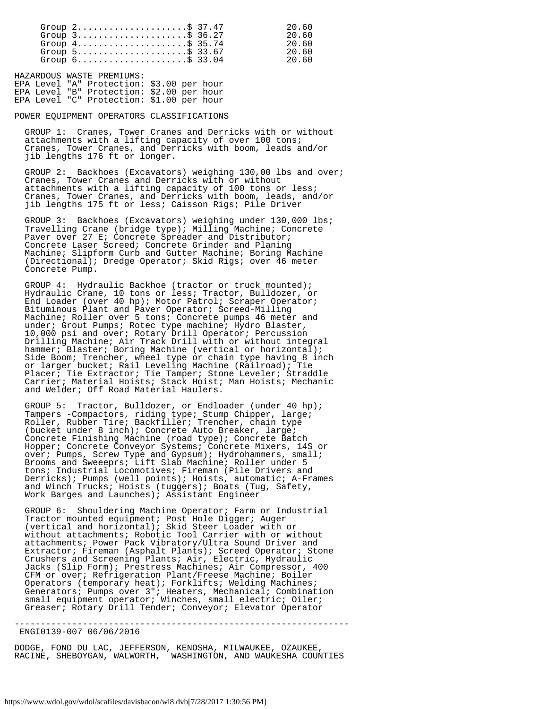| Group $2$ \$ 37.47                                                 | 20.60 |
|--------------------------------------------------------------------|-------|
| Group $3$                                                          | 20.60 |
| Group $4 \ldots \ldots \ldots \ldots \ldots \ldots \text{S}$ 35.74 | 20.60 |
| Group $5 \ldots \ldots \ldots \ldots \ldots \ldots \approx 33.67$  | 20.60 |
| Group $6 \ldots \ldots \ldots \ldots \ldots \ldots \text{S}$ 33.04 | 20 60 |

HAZARDOUS WASTE PREMIUMS: EPA Level "A" Protection: \$3.00 per hour EPA Level "B" Protection: \$2.00 per hour EPA Level "C" Protection: \$1.00 per hour

POWER EQUIPMENT OPERATORS CLASSIFICATIONS

 GROUP 1: Cranes, Tower Cranes and Derricks with or without attachments with a lifting capacity of over 100 tons; Cranes, Tower Cranes, and Derricks with boom, leads and/or jib lengths 176 ft or longer.

 GROUP 2: Backhoes (Excavators) weighing 130,00 lbs and over; Cranes, Tower Cranes and Derricks with or without attachments with a lifting capacity of 100 tons or less; Cranes, Tower Cranes, and Derricks with boom, leads, and/or jib lengths 175 ft or less; Caisson Rigs; Pile Driver

 GROUP 3: Backhoes (Excavators) weighing under 130,000 lbs; Travelling Crane (bridge type); Milling Machine; Concrete Paver over 27 E; Concrete Spreader and Distributor; Concrete Laser Screed; Concrete Grinder and Planing Machine; Slipform Curb and Gutter Machine; Boring Machine (Directional); Dredge Operator; Skid Rigs; over 46 meter Concrete Pump.

 GROUP 4: Hydraulic Backhoe (tractor or truck mounted); Hydraulic Crane, 10 tons or less; Tractor, Bulldozer, or End Loader (over 40 hp); Motor Patrol; Scraper Operator; Bituminous Plant and Paver Operator; Screed-Milling Machine; Roller over 5 tons; Concrete pumps 46 meter and under; Grout Pumps; Rotec type machine; Hydro Blaster, 10,000 psi and over; Rotary Drill Operator; Percussion Drilling Machine; Air Track Drill with or without integral hammer; Blaster; Boring Machine (vertical or horizontal); Side Boom; Trencher, wheel type or chain type having 8 inch or larger bucket; Rail Leveling Machine (Railroad); Tie Placer; Tie Extractor; Tie Tamper; Stone Leveler; Straddle Carrier; Material Hoists; Stack Hoist; Man Hoists; Mechanic and Welder; Off Road Material Haulers.

 GROUP 5: Tractor, Bulldozer, or Endloader (under 40 hp); Tampers -Compactors, riding type; Stump Chipper, large; Roller, Rubber Tire; Backfiller; Trencher, chain type (bucket under 8 inch); Concrete Auto Breaker, large; Concrete Finishing Machine (road type); Concrete Batch Hopper; Concrete Conveyor Systems; Concrete Mixers, 14S or over; Pumps, Screw Type and Gypsum); Hydrohammers, small; Brooms and Sweeeprs; Lift Slab Machine; Roller under 5 tons; Industrial Locomotives; Fireman (Pile Drivers and Derricks); Pumps (well points); Hoists, automatic; A-Frames and Winch Trucks; Hoists (tuggers); Boats (Tug, Safety, Work Barges and Launches); Assistant Engineer

 GROUP 6: Shouldering Machine Operator; Farm or Industrial Tractor mounted equipment; Post Hole Digger; Auger (vertical and horizontal); Skid Steer Loader with or without attachments; Robotic Tool Carrier with or without attachments; Power Pack Vibratory/Ultra Sound Driver and Extractor; Fireman (Asphalt Plants); Screed Operator; Stone Crushers and Screening Plants; Air, Electric, Hydraulic Jacks (Slip Form); Prestress Machines; Air Compressor, 400 CFM or over; Refrigeration Plant/Freese Machine; Boiler Operators (temporary heat); Forklifts; Welding Machines; Generators; Pumps over 3"; Heaters, Mechanical; Combination small equipment operator; Winches, small electric; Oiler; Greaser; Rotary Drill Tender; Conveyor; Elevator Operator

ENGI0139-007 06/06/2016

DODGE, FOND DU LAC, JEFFERSON, KENOSHA, MILWAUKEE, OZAUKEE, RACINE, SHEBOYGAN, WALWORTH, WASHINGTON, AND WAUKESHA COUNTIES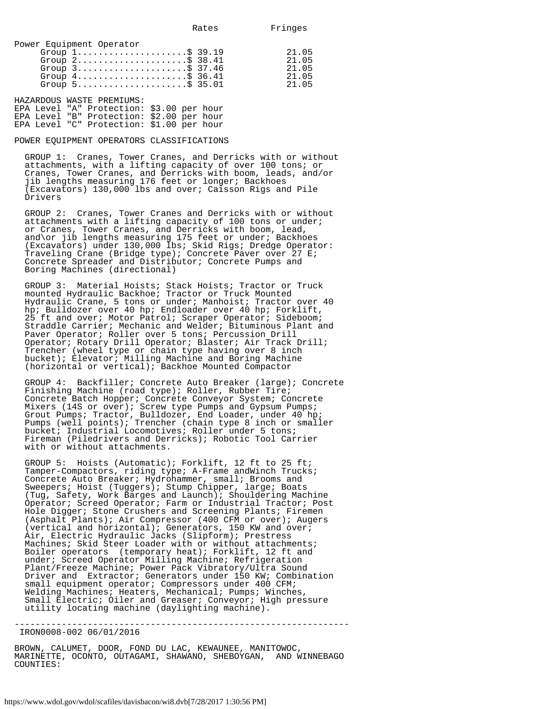| Power Equipment Operator                                           |       |
|--------------------------------------------------------------------|-------|
| Group $1, \ldots, \ldots, \ldots, \ldots, \$$ 39.19                | 21.05 |
| Group $2 \ldots \ldots \ldots \ldots \ldots \ldots \$ 38.41        | 21.05 |
| Group $3$                                                          | 21.05 |
| Group $4 \ldots \ldots \ldots \ldots \ldots \ldots \approx 36.41$  | 21.05 |
| Group $5 \ldots \ldots \ldots \ldots \ldots \ldots \text{S}$ 35.01 | 21 05 |
|                                                                    |       |

HAZARDOUS WASTE PREMIUMS:

|  | EPA Level "A" Protection: \$3.00 per hour |  |  |
|--|-------------------------------------------|--|--|
|  | EPA Level "B" Protection: \$2.00 per hour |  |  |
|  | EPA Level "C" Protection: \$1.00 per hour |  |  |

#### POWER EQUIPMENT OPERATORS CLASSIFICATIONS

 GROUP 1: Cranes, Tower Cranes, and Derricks with or without attachments, with a lifting capacity of over 100 tons; or Cranes, Tower Cranes, and Derricks with boom, leads, and/or jib lengths measuring 176 feet or longer; Backhoes (Excavators) 130,000 lbs and over; Caisson Rigs and Pile Drivers

 GROUP 2: Cranes, Tower Cranes and Derricks with or without attachments with a lifting capacity of 100 tons or under; or Cranes, Tower Cranes, and Derricks with boom, lead, and\or jib lengths measuring 175 feet or under; Backhoes (Excavators) under 130,000 lbs; Skid Rigs; Dredge Operator: Traveling Crane (Bridge type); Concrete Paver over 27 E; Concrete Spreader and Distributor; Concrete Pumps and Boring Machines (directional)

 GROUP 3: Material Hoists; Stack Hoists; Tractor or Truck mounted Hydraulic Backhoe; Tractor or Truck Mounted Hydraulic Crane, 5 tons or under; Manhoist; Tractor over 40 hp; Bulldozer over 40 hp; Endloader over 40 hp; Forklift, 25 ft and over; Motor Patrol; Scraper Operator; Sideboom; Straddle Carrier; Mechanic and Welder; Bituminous Plant and Paver Operator; Roller over 5 tons; Percussion Drill Operator; Rotary Drill Operator; Blaster; Air Track Drill; Trencher (wheel type or chain type having over 8 inch bucket); Elevator; Milling Machine and Boring Machine (horizontal or vertical); Backhoe Mounted Compactor

 GROUP 4: Backfiller; Concrete Auto Breaker (large); Concrete Finishing Machine (road type); Roller, Rubber Tire; Concrete Batch Hopper; Concrete Conveyor System; Concrete Mixers (14S or over); Screw type Pumps and Gypsum Pumps; Grout Pumps; Tractor, Bulldozer, End Loader, under 40 hp; Pumps (well points); Trencher (chain type 8 inch or smaller bucket; Industrial Locomotives; Roller under 5 tons; Fireman (Piledrivers and Derricks); Robotic Tool Carrier with or without attachments.

 GROUP 5: Hoists (Automatic); Forklift, 12 ft to 25 ft; Tamper-Compactors, riding type; A-Frame andWinch Trucks; Concrete Auto Breaker; Hydrohammer, small; Brooms and Sweepers; Hoist (Tuggers); Stump Chipper, large; Boats (Tug, Safety, Work Barges and Launch); Shouldering Machine Operator; Screed Operator; Farm or Industrial Tractor; Post Hole Digger; Stone Crushers and Screening Plants; Firemen (Asphalt Plants); Air Compressor (400 CFM or over); Augers (vertical and horizontal); Generators, 150 KW and over; Air, Electric Hydraulic Jacks (Slipform); Prestress Machines; Skid Steer Loader with or without attachments; Boiler operators (temporary heat); Forklift, 12 ft and under; Screed Operator Milling Machine; Refrigeration Plant/Freeze Machine; Power Pack Vibratory/Ultra Sound Driver and Extractor; Generators under 150 KW; Combination small equipment operator; Compressors under 400 CFM; Welding Machines; Heaters, Mechanical; Pumps; Winches, Small Electric; Oiler and Greaser; Conveyor; High pressure utility locating machine (daylighting machine).

IRON0008-002 06/01/2016

BROWN, CALUMET, DOOR, FOND DU LAC, KEWAUNEE, MANITOWOC, MARINETTE, OCONTO, OUTAGAMI, SHAWANO, SHEBOYGAN, AND WINNEBAGO COUNTIES: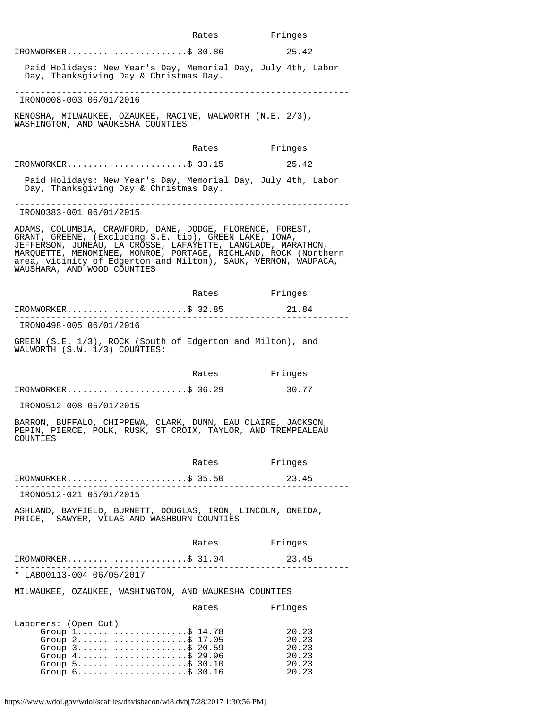|                                                                                                                                                                                                                    |                                       | Rates | Fringes                                                                                                                           |
|--------------------------------------------------------------------------------------------------------------------------------------------------------------------------------------------------------------------|---------------------------------------|-------|-----------------------------------------------------------------------------------------------------------------------------------|
| IRONWORKER\$ 30.86                                                                                                                                                                                                 |                                       |       | 25.42                                                                                                                             |
| Day, Thanksgiving Day & Christmas Day.                                                                                                                                                                             |                                       |       | Paid Holidays: New Year's Day, Memorial Day, July 4th, Labor                                                                      |
| IRON0008-003 06/01/2016                                                                                                                                                                                            |                                       |       |                                                                                                                                   |
| KENOSHA, MILWAUKEE, OZAUKEE, RACINE, WALWORTH (N.E. 2/3),<br>WASHINGTON, AND WAUKESHA COUNTIES                                                                                                                     |                                       |       |                                                                                                                                   |
|                                                                                                                                                                                                                    |                                       | Rates | Fringes                                                                                                                           |
| IRONWORKER\$ 33.15                                                                                                                                                                                                 |                                       |       | 25.42                                                                                                                             |
| Day, Thanksgiving Day & Christmas Day.                                                                                                                                                                             |                                       |       | Paid Holidays: New Year's Day, Memorial Day, July 4th, Labor                                                                      |
| IRON0383-001 06/01/2015                                                                                                                                                                                            |                                       |       |                                                                                                                                   |
| ADAMS, COLUMBIA, CRAWFORD, DANE, DODGE, FLORENCE, FOREST,<br>GRANT, GREENE, (Excluding S.E. tip), GREEN LAKE, IOWA,<br>JEFFERSON, JUNEAU, LA CROSSE, LAFAYETTE, LANGLADE, MARATHON,<br>WAUSHARA, AND WOOD COUNTIES |                                       |       | MARQUETTE, MENOMINEE, MONROE, PORTAGE, RICHLAND, ROCK (Northern<br>area, vicinity of Edgerton and Milton), SAUK, VERNON, WAUPACA, |
|                                                                                                                                                                                                                    |                                       | Rates | Fringes                                                                                                                           |
| $IRONWORKER$ \$ 32.85                                                                                                                                                                                              | . _ _ _ _ _ _ _ _ _ _ _ _ _ _ _ _ _ _ |       | 21.84                                                                                                                             |
| IRON0498-005 06/01/2016                                                                                                                                                                                            |                                       |       |                                                                                                                                   |
| GREEN (S.E. 1/3), ROCK (South of Edgerton and Milton), and<br>WALWORTH (S.W. 1/3) COUNTIES:                                                                                                                        |                                       |       |                                                                                                                                   |
|                                                                                                                                                                                                                    |                                       | Rates | Fringes                                                                                                                           |
| $IRONWORKER.$ \$ 36.29                                                                                                                                                                                             |                                       |       | 30.77                                                                                                                             |
| IRON0512-008 05/01/2015                                                                                                                                                                                            |                                       |       |                                                                                                                                   |
| BARRON, BUFFALO, CHIPPEWA, CLARK, DUNN, EAU CLAIRE, JACKSON,<br>PEPIN, PIERCE, POLK, RUSK, ST CROIX, TAYLOR, AND TREMPEALEAU<br>COUNTIES                                                                           |                                       |       |                                                                                                                                   |
|                                                                                                                                                                                                                    |                                       |       | Rates Fringes                                                                                                                     |
| $IRONWORKER$ \$ 35.50                                                                                                                                                                                              |                                       |       | 23.45<br>________________                                                                                                         |
| IRON0512-021 05/01/2015                                                                                                                                                                                            |                                       |       |                                                                                                                                   |
| ASHLAND, BAYFIELD, BURNETT, DOUGLAS, IRON, LINCOLN, ONEIDA,<br>PRICE, SAWYER, VILAS AND WASHBURN COUNTIES                                                                                                          |                                       |       |                                                                                                                                   |
|                                                                                                                                                                                                                    |                                       | Rates | Fringes                                                                                                                           |
| $IRONWORKER$ \$ 31.04                                                                                                                                                                                              |                                       |       | 23.45                                                                                                                             |
| * LABO0113-004 06/05/2017                                                                                                                                                                                          |                                       |       | . _ _ _ _ _ _ _ _ _ _ _ _ _                                                                                                       |
| MILWAUKEE, OZAUKEE, WASHINGTON, AND WAUKESHA COUNTIES                                                                                                                                                              |                                       |       |                                                                                                                                   |
|                                                                                                                                                                                                                    |                                       | Rates | Fringes                                                                                                                           |
| Laborers: (Open Cut)<br>Group $1.$ \$ 14.78<br>Group 2\$ 17.05                                                                                                                                                     |                                       |       | 20.23<br>20.23                                                                                                                    |

https://www.wdol.gov/wdol/scafiles/davisbacon/wi8.dvb[7/28/2017 1:30:56 PM]

Group 3.........................\$ 20.59 20.23 Group 4..........................\$ 29.96 20.23 Group 5..........................\$ 30.10 20.23 Group 6......................\$ 30.16 20.23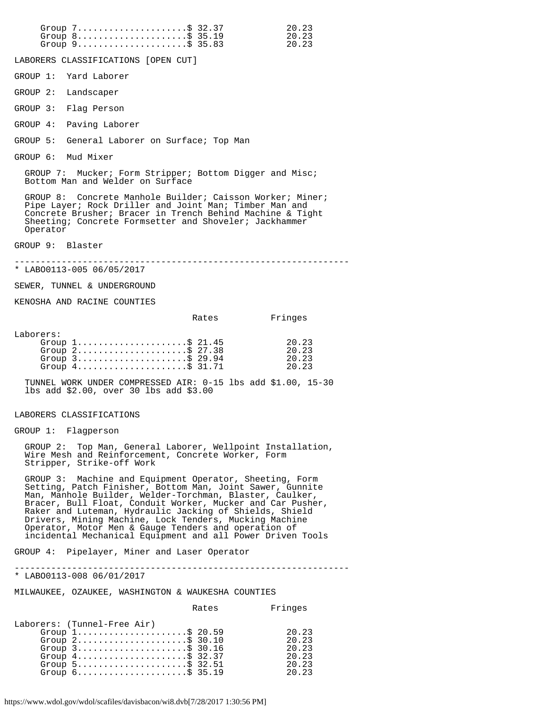| Group $8 \ldots \ldots \ldots \ldots \ldots \ldots$ . \$ 35.19<br>Group 9\$ 35.83                                                                                                                                                                                                                                                                                                                                                                                                         | 20.23<br>20.23                                     |
|-------------------------------------------------------------------------------------------------------------------------------------------------------------------------------------------------------------------------------------------------------------------------------------------------------------------------------------------------------------------------------------------------------------------------------------------------------------------------------------------|----------------------------------------------------|
| LABORERS CLASSIFICATIONS [OPEN CUT]                                                                                                                                                                                                                                                                                                                                                                                                                                                       |                                                    |
| GROUP 1: Yard Laborer                                                                                                                                                                                                                                                                                                                                                                                                                                                                     |                                                    |
| GROUP 2: Landscaper                                                                                                                                                                                                                                                                                                                                                                                                                                                                       |                                                    |
| GROUP 3:<br>Flag Person                                                                                                                                                                                                                                                                                                                                                                                                                                                                   |                                                    |
| Paving Laborer<br>GROUP 4:                                                                                                                                                                                                                                                                                                                                                                                                                                                                |                                                    |
| General Laborer on Surface; Top Man<br>GROUP 5:                                                                                                                                                                                                                                                                                                                                                                                                                                           |                                                    |
| GROUP 6: Mud Mixer                                                                                                                                                                                                                                                                                                                                                                                                                                                                        |                                                    |
| GROUP 7: Mucker; Form Stripper; Bottom Digger and Misc;<br>Bottom Man and Welder on Surface                                                                                                                                                                                                                                                                                                                                                                                               |                                                    |
| GROUP 8: Concrete Manhole Builder; Caisson Worker; Miner;<br>Pipe Layer; Rock Driller and Joint Man; Timber Man and<br>Concrete Brusher; Bracer in Trench Behind Machine & Tight<br>Sheeting; Concrete Formsetter and Shoveler; Jackhammer<br>Operator                                                                                                                                                                                                                                    |                                                    |
| GROUP 9: Blaster                                                                                                                                                                                                                                                                                                                                                                                                                                                                          |                                                    |
| * LABO0113-005 06/05/2017                                                                                                                                                                                                                                                                                                                                                                                                                                                                 |                                                    |
| SEWER, TUNNEL & UNDERGROUND                                                                                                                                                                                                                                                                                                                                                                                                                                                               |                                                    |
| KENOSHA AND RACINE COUNTIES                                                                                                                                                                                                                                                                                                                                                                                                                                                               |                                                    |
| Rates                                                                                                                                                                                                                                                                                                                                                                                                                                                                                     | Fringes                                            |
| Laborers:<br>Group $1$ \$ 21.45<br>Group $2$ \$ 27.38<br>Group $3$ \$29.94<br>Group $4 \ldots \ldots \ldots \ldots \ldots \ldots$ \$ 31.71                                                                                                                                                                                                                                                                                                                                                | 20.23<br>20.23<br>20.23<br>20.23                   |
| TUNNEL WORK UNDER COMPRESSED AIR: 0-15 lbs add \$1.00, 15-30<br>lbs add \$2.00, over 30 lbs add \$3.00                                                                                                                                                                                                                                                                                                                                                                                    |                                                    |
| LABORERS CLASSIFICATIONS                                                                                                                                                                                                                                                                                                                                                                                                                                                                  |                                                    |
| GROUP 1: Flagperson                                                                                                                                                                                                                                                                                                                                                                                                                                                                       |                                                    |
| GROUP 2: Top Man, General Laborer, Wellpoint Installation,<br>Wire Mesh and Reinforcement, Concrete Worker, Form<br>Stripper, Strike-off Work                                                                                                                                                                                                                                                                                                                                             |                                                    |
| GROUP 3: Machine and Equipment Operator, Sheeting, Form<br>Setting, Patch Finisher, Bottom Man, Joint Sawer, Gunnite<br>Man, Manhole Builder, Welder-Torchman, Blaster, Caulker,<br>Bracer, Bull Float, Conduit Worker, Mucker and Car Pusher,<br>Raker and Luteman, Hydraulic Jacking of Shields, Shield<br>Drivers, Mining Machine, Lock Tenders, Mucking Machine<br>Operator, Motor Men & Gauge Tenders and operation of<br>incidental Mechanical Equipment and all Power Driven Tools |                                                    |
| GROUP 4: Pipelayer, Miner and Laser Operator                                                                                                                                                                                                                                                                                                                                                                                                                                              |                                                    |
| ----------------<br>* LABO0113-008 06/01/2017                                                                                                                                                                                                                                                                                                                                                                                                                                             |                                                    |
| MILWAUKEE, OZAUKEE, WASHINGTON & WAUKESHA COUNTIES                                                                                                                                                                                                                                                                                                                                                                                                                                        |                                                    |
| Rates                                                                                                                                                                                                                                                                                                                                                                                                                                                                                     | Fringes                                            |
| Laborers: (Tunnel-Free Air)<br>Group $1$ \$ 20.59<br>Group $2$ \$ 30.10<br>Group $3$ \$ 30.16<br>Group $4 \ldots \ldots \ldots \ldots \ldots \ldots$ \$ 32.37<br>Group $5 \ldots \ldots \ldots \ldots \ldots \ldots$ \$ 32.51<br>Group $6 \ldots \ldots \ldots \ldots \ldots \ldots$ \$ 35.19                                                                                                                                                                                             | 20.23<br>20.23<br>20.23<br>20.23<br>20.23<br>20.23 |

Group 7...........................\$ 32.37 20.23

https://www.wdol.gov/wdol/scafiles/davisbacon/wi8.dvb[7/28/2017 1:30:56 PM]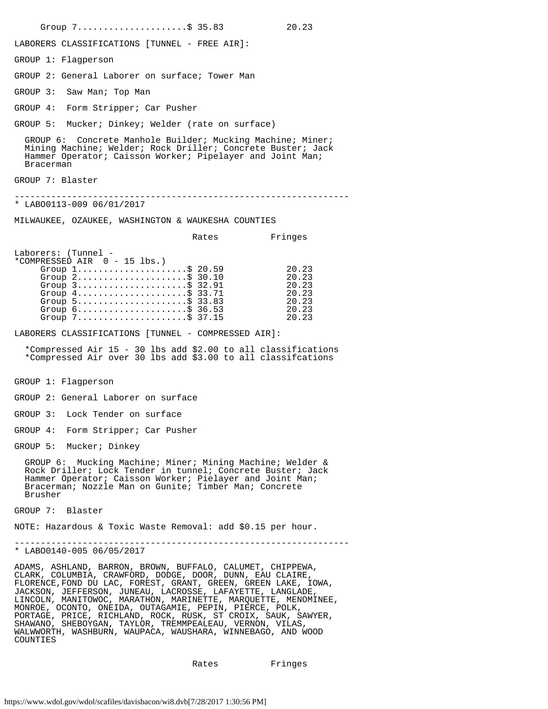Group 7........................\$ 35.83 20.23 LABORERS CLASSIFICATIONS [TUNNEL - FREE AIR]: GROUP 1: Flagperson GROUP 2: General Laborer on surface; Tower Man GROUP 3: Saw Man; Top Man GROUP 4: Form Stripper; Car Pusher GROUP 5: Mucker; Dinkey; Welder (rate on surface) GROUP 6: Concrete Manhole Builder; Mucking Machine; Miner; Mining Machine; Welder; Rock Driller; Concrete Buster; Jack Hammer Operator; Caisson Worker; Pipelayer and Joint Man; Bracerman GROUP 7: Blaster ---------------------------------------------------------------- \* LABO0113-009 06/01/2017 MILWAUKEE, OZAUKEE, WASHINGTON & WAUKESHA COUNTIES Rates Fringes Laborers: (Tunnel - \*COMPRESSED AIR 0 - 15 lbs.) Group 1.........................\$ 20.59 20.23 Group 2.........................\$ 30.10 20.23 Group 3...........................\$ 32.91 20.23 Group 4..........................\$ 33.71 20.23 Group 5...........................\$ 33.83 20.23 Group 6...........................\$ 36.53 20.23 Group 7.....................\$ 37.15 20.23 LABORERS CLASSIFICATIONS [TUNNEL - COMPRESSED AIR]: \*Compressed Air 15 - 30 lbs add \$2.00 to all classifications \*Compressed Air over 30 lbs add \$3.00 to all classifcations GROUP 1: Flagperson GROUP 2: General Laborer on surface GROUP 3: Lock Tender on surface GROUP 4: Form Stripper; Car Pusher GROUP 5: Mucker; Dinkey GROUP 6: Mucking Machine; Miner; Mining Machine; Welder & Rock Driller; Lock Tender in tunnel; Concrete Buster; Jack Hammer Operator; Caisson Worker; Pielayer and Joint Man; Bracerman; Nozzle Man on Gunite; Timber Man; Concrete Brusher GROUP 7: Blaster NOTE: Hazardous & Toxic Waste Removal: add \$0.15 per hour. ---------------------------------------------------------------- \* LABO0140-005 06/05/2017 ADAMS, ASHLAND, BARRON, BROWN, BUFFALO, CALUMET, CHIPPEWA, CLARK, COLUMBIA, CRAWFORD, DODGE, DOOR, DUNN, EAU CLAIRE,

FLORENCE,FOND DU LAC, FOREST, GRANT, GREEN, GREEN LAKE, IOWA, JACKSON, JEFFERSON, JUNEAU, LACROSSE, LAFAYETTE, LANGLADE, LINCOLN, MANITOWOC, MARATHON, MARINETTE, MARQUETTE, MENOMINEE, MONROE, OCONTO, ONEIDA, OUTAGAMIE, PEPIN, PIERCE, POLK, PORTAGE, PRICE, RICHLAND, ROCK, RUSK, ST CROIX, SAUK, SAWYER, SHAWANO, SHEBOYGAN, TAYLOR, TREMMPEALEAU, VERNON, VILAS, WALWWORTH, WASHBURN, WAUPACA, WAUSHARA, WINNEBAGO, AND WOOD COUNTIES

Rates Fringes

https://www.wdol.gov/wdol/scafiles/davisbacon/wi8.dvb[7/28/2017 1:30:56 PM]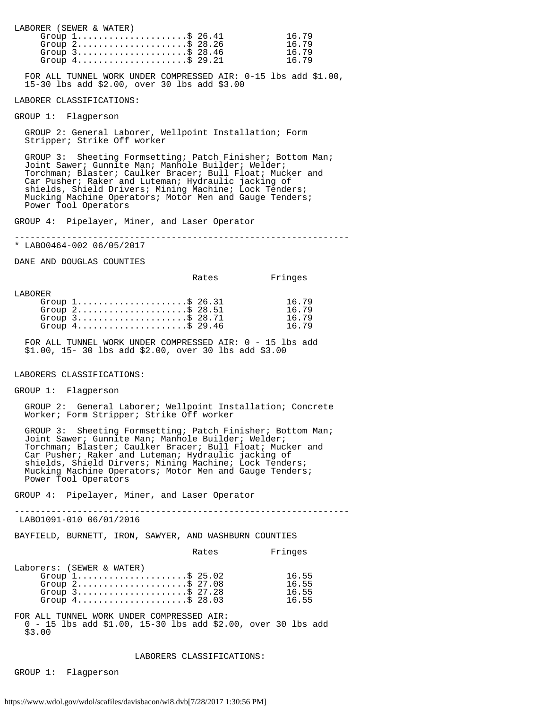LABORER (SEWER & WATER) Group 1.........................\$ 26.41 16.79<br>Group 2.........................\$ 28.26 16.79 Group 2.........................\$ 28.26 16.79<br>Group 3........................\$ 28.46 16.79 Group 3..........................\$ 28.46 16.79 Group 4.....................\$ 29.21 16.79

 FOR ALL TUNNEL WORK UNDER COMPRESSED AIR: 0-15 lbs add \$1.00, 15-30 lbs add \$2.00, over 30 lbs add \$3.00

 $\overline{a}$ LABORER CLASSIFICATIONS:

GROUP 1: Flagperson

 GROUP 2: General Laborer, Wellpoint Installation; Form Stripper; Strike Off worker

 GROUP 3: Sheeting Formsetting; Patch Finisher; Bottom Man; Joint Sawer; Gunnite Man; Manhole Builder; Welder; Torchman; Blaster; Caulker Bracer; Bull Float; Mucker and Car Pusher; Raker and Luteman; Hydraulic jacking of shields, Shield Drivers; Mining Machine; Lock Tenders; Mucking Machine Operators; Motor Men and Gauge Tenders; Power Tool Operators

GROUP 4: Pipelayer, Miner, and Laser Operator

----------------------------------------------------------------

\* LABO0464-002 06/05/2017

DANE AND DOUGLAS COUNTIES

Rates Fringes

LABORER

| Group $1, \ldots, \ldots, \ldots, \ldots, \$ 26.31                 | 16.79 |
|--------------------------------------------------------------------|-------|
| Group $2$ \$ 28.51                                                 | 16 79 |
| Group $3$                                                          | 16.79 |
| Group $4 \ldots \ldots \ldots \ldots \ldots \ldots \text{S}$ 29.46 | 16 79 |

 FOR ALL TUNNEL WORK UNDER COMPRESSED AIR: 0 - 15 lbs add \$1.00, 15- 30 lbs add \$2.00, over 30 lbs add \$3.00

#### LABORERS CLASSIFICATIONS:

GROUP 1: Flagperson

 GROUP 2: General Laborer; Wellpoint Installation; Concrete Worker; Form Stripper; Strike Off worker

 GROUP 3: Sheeting Formsetting; Patch Finisher; Bottom Man; Joint Sawer; Gunnite Man; Manhole Builder; Welder; Torchman; Blaster; Caulker Bracer; Bull Float; Mucker and Car Pusher; Raker and Luteman; Hydraulic jacking of shields, Shield Dirvers; Mining Machine; Lock Tenders; Mucking Machine Operators; Motor Men and Gauge Tenders; Power Tool Operators

GROUP 4: Pipelayer, Miner, and Laser Operator

----------------------------------------------------------------

LABO1091-010 06/01/2016

BAYFIELD, BURNETT, IRON, SAWYER, AND WASHBURN COUNTIES

|                                                                    | Rates | Fringes |
|--------------------------------------------------------------------|-------|---------|
| Laborers: (SEWER & WATER)                                          |       |         |
| Group $1, \ldots, \ldots, \ldots, \ldots, \$ 25.02                 |       | 16.55   |
| Group $2 \ldots \ldots \ldots \ldots \ldots \ldots \text{S}$ 27.08 |       | 16.55   |
| Group $3$ \$ 27.28                                                 |       | 16.55   |
| Group $4 \ldots \ldots \ldots \ldots \ldots \ldots \text{S}$ 28.03 |       | 16.55   |
|                                                                    |       |         |

FOR ALL TUNNEL WORK UNDER COMPRESSED AIR: 0 - 15 lbs add \$1.00, 15-30 lbs add \$2.00, over 30 lbs add \$3.00

#### LABORERS CLASSIFICATIONS:

GROUP 1: Flagperson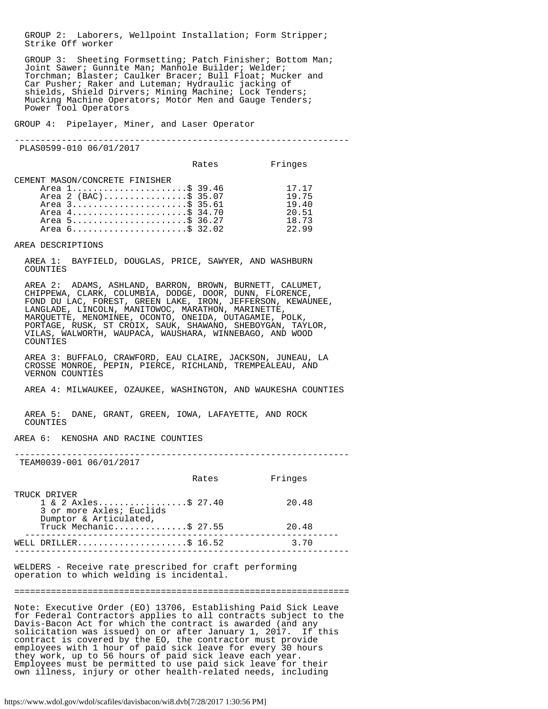GROUP 2: Laborers, Wellpoint Installation; Form Stripper; Strike Off worker

 GROUP 3: Sheeting Formsetting; Patch Finisher; Bottom Man; Joint Sawer; Gunnite Man; Manhole Builder; Welder; Torchman; Blaster; Caulker Bracer; Bull Float; Mucker and Car Pusher; Raker and Luteman; Hydraulic jacking of shields, Shield Dirvers; Mining Machine; Lock Tenders; Mucking Machine Operators; Motor Men and Gauge Tenders; Power Tool Operators

GROUP 4: Pipelayer, Miner, and Laser Operator

----------------------------------------------------------------

PLAS0599-010 06/01/2017

|                                                                                                                                                  | Rates | Fringes                                            |
|--------------------------------------------------------------------------------------------------------------------------------------------------|-------|----------------------------------------------------|
| CEMENT MASON/CONCRETE FINISHER<br>Area 1\$ 39.46<br>Area 2 (BAC)\$ 35.07<br>Area 3\$ 35.61<br>Area 4\$ 34.70<br>Area 5\$ 36.27<br>Area 6\$ 32.02 |       | 17.17<br>19.75<br>19.40<br>20.51<br>18.73<br>22.99 |

AREA DESCRIPTIONS

 AREA 1: BAYFIELD, DOUGLAS, PRICE, SAWYER, AND WASHBURN COUNTIES

 AREA 2: ADAMS, ASHLAND, BARRON, BROWN, BURNETT, CALUMET, CHIPPEWA, CLARK, COLUMBIA, DODGE, DOOR, DUNN, FLORENCE, FOND DU LAC, FOREST, GREEN LAKE, IRON, JEFFERSON, KEWAUNEE, LANGLADE, LINCOLN, MANITOWOC, MARATHON, MARINETTE, MARQUETTE, MENOMINEE, OCONTO, ONEIDA, OUTAGAMIE, POLK, PORTAGE, RUSK, ST CROIX, SAUK, SHAWANO, SHEBOYGAN, TAYLOR, VILAS, WALWORTH, WAUPACA, WAUSHARA, WINNEBAGO, AND WOOD COUNTIES

 AREA 3: BUFFALO, CRAWFORD, EAU CLAIRE, JACKSON, JUNEAU, LA CROSSE MONROE, PEPIN, PIERCE, RICHLAND, TREMPEALEAU, AND VERNON COUNTIES

AREA 4: MILWAUKEE, OZAUKEE, WASHINGTON, AND WAUKESHA COUNTIES

 AREA 5: DANE, GRANT, GREEN, IOWA, LAFAYETTE, AND ROCK COUNTIES

AREA 6: KENOSHA AND RACINE COUNTIES

----------------------------------------------------------------

TEAM0039-001 06/01/2017

|                                        | Rates                                                       | Fringes |
|----------------------------------------|-------------------------------------------------------------|---------|
| TRUCK DRIVER<br>Dumptor & Articulated, | $1 \& 2 \text{ Axles} \& 27.40$<br>3 or more Axles; Euclids | 20.48   |
|                                        | Truck Mechanic\$ 27.55                                      | 20.48   |
|                                        | WELL DRILLER\$ 16.52                                        | 3.70    |
|                                        |                                                             |         |

WELDERS - Receive rate prescribed for craft performing operation to which welding is incidental.

================================================================

Note: Executive Order (EO) 13706, Establishing Paid Sick Leave for Federal Contractors applies to all contracts subject to the Davis-Bacon Act for which the contract is awarded (and any solicitation was issued) on or after January 1, 2017. If this contract is covered by the EO, the contractor must provide employees with 1 hour of paid sick leave for every 30 hours they work, up to 56 hours of paid sick leave each year. Employees must be permitted to use paid sick leave for their own illness, injury or other health-related needs, including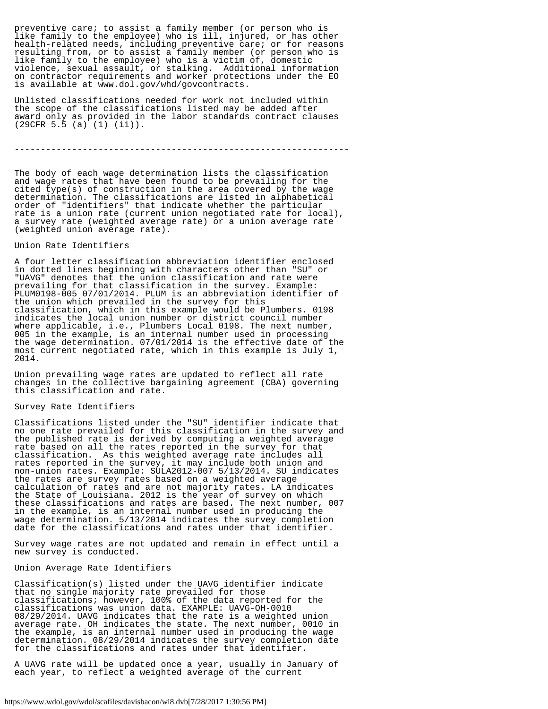preventive care; to assist a family member (or person who is like family to the employee) who is ill, injured, or has other health-related needs, including preventive care; or for reasons resulting from, or to assist a family member (or person who is like family to the employee) who is a victim of, domestic violence, sexual assault, or stalking. Additional information on contractor requirements and worker protections under the EO is available at www.dol.gov/whd/govcontracts.

Unlisted classifications needed for work not included within the scope of the classifications listed may be added after award only as provided in the labor standards contract clauses (29CFR 5.5 (a) (1) (ii)).

----------------------------------------------------------------

The body of each wage determination lists the classification and wage rates that have been found to be prevailing for the cited type(s) of construction in the area covered by the wage determination. The classifications are listed in alphabetical order of "identifiers" that indicate whether the particular rate is a union rate (current union negotiated rate for local), a survey rate (weighted average rate) or a union average rate (weighted union average rate).

#### Union Rate Identifiers

A four letter classification abbreviation identifier enclosed in dotted lines beginning with characters other than "SU" or "UAVG" denotes that the union classification and rate were prevailing for that classification in the survey. Example: PLUM0198-005 07/01/2014. PLUM is an abbreviation identifier of the union which prevailed in the survey for this classification, which in this example would be Plumbers. 0198 indicates the local union number or district council number where applicable, i.e., Plumbers Local 0198. The next number, 005 in the example, is an internal number used in processing the wage determination. 07/01/2014 is the effective date of the most current negotiated rate, which in this example is July 1, 2014.

Union prevailing wage rates are updated to reflect all rate changes in the collective bargaining agreement (CBA) governing this classification and rate.

### Survey Rate Identifiers

Classifications listed under the "SU" identifier indicate that no one rate prevailed for this classification in the survey and the published rate is derived by computing a weighted average rate based on all the rates reported in the survey for that classification. As this weighted average rate includes all rates reported in the survey, it may include both union and non-union rates. Example: SULA2012-007 5/13/2014. SU indicates the rates are survey rates based on a weighted average calculation of rates and are not majority rates. LA indicates the State of Louisiana. 2012 is the year of survey on which these classifications and rates are based. The next number, 007 in the example, is an internal number used in producing the wage determination. 5/13/2014 indicates the survey completion date for the classifications and rates under that identifier.

Survey wage rates are not updated and remain in effect until a new survey is conducted.

#### Union Average Rate Identifiers

Classification(s) listed under the UAVG identifier indicate that no single majority rate prevailed for those classifications; however, 100% of the data reported for the classifications was union data. EXAMPLE: UAVG-OH-0010 08/29/2014. UAVG indicates that the rate is a weighted union average rate. OH indicates the state. The next number, 0010 in the example, is an internal number used in producing the wage determination. 08/29/2014 indicates the survey completion date for the classifications and rates under that identifier.

A UAVG rate will be updated once a year, usually in January of each year, to reflect a weighted average of the current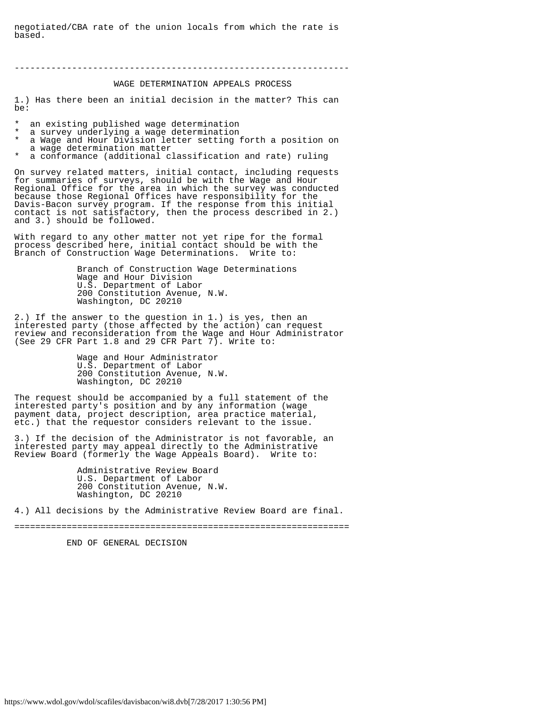negotiated/CBA rate of the union locals from which the rate is based.

----------------------------------------------------------------

## WAGE DETERMINATION APPEALS PROCESS

1.) Has there been an initial decision in the matter? This can be:

an existing published wage determination

- a survey underlying a wage determination
- a Wage and Hour Division letter setting forth a position on a wage determination matter
- a conformance (additional classification and rate) ruling

On survey related matters, initial contact, including requests for summaries of surveys, should be with the Wage and Hour Regional Office for the area in which the survey was conducted because those Regional Offices have responsibility for the Davis-Bacon survey program. If the response from this initial contact is not satisfactory, then the process described in 2.) and 3.) should be followed.

With regard to any other matter not yet ripe for the formal process described here, initial contact should be with the Branch of Construction Wage Determinations. Write to:

> Branch of Construction Wage Determinations Wage and Hour Division U.S. Department of Labor 200 Constitution Avenue, N.W. Washington, DC 20210

2.) If the answer to the question in 1.) is yes, then an interested party (those affected by the action) can request review and reconsideration from the Wage and Hour Administrator (See 29 CFR Part 1.8 and 29 CFR Part 7). Write to:

> Wage and Hour Administrator U.S. Department of Labor 200 Constitution Avenue, N.W. Washington, DC 20210

The request should be accompanied by a full statement of the interested party's position and by any information (wage payment data, project description, area practice material, etc.) that the requestor considers relevant to the issue.

3.) If the decision of the Administrator is not favorable, an interested party may appeal directly to the Administrative Review Board (formerly the Wage Appeals Board). Write to:

> Administrative Review Board U.S. Department of Labor 200 Constitution Avenue, N.W. Washington, DC 20210

4.) All decisions by the Administrative Review Board are final.

================================================================

END OF GENERAL DECISION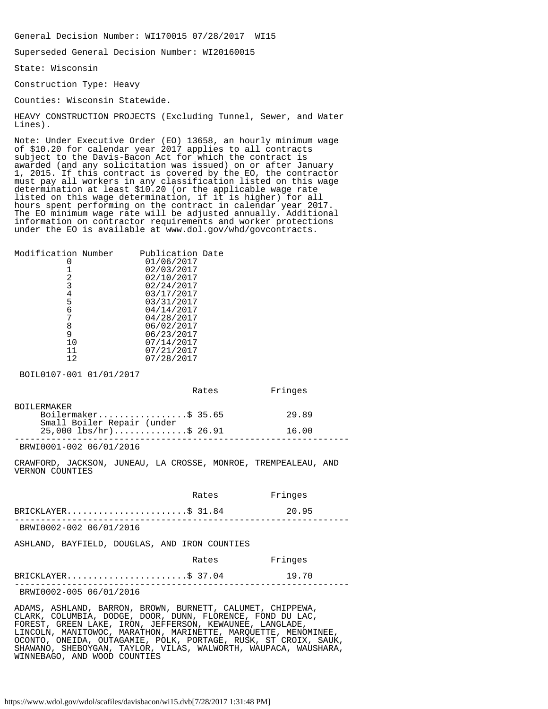General Decision Number: WI170015 07/28/2017 WI15

Superseded General Decision Number: WI20160015

State: Wisconsin

Construction Type: Heavy

Counties: Wisconsin Statewide.

HEAVY CONSTRUCTION PROJECTS (Excluding Tunnel, Sewer, and Water Lines).

Note: Under Executive Order (EO) 13658, an hourly minimum wage of \$10.20 for calendar year 2017 applies to all contracts subject to the Davis-Bacon Act for which the contract is awarded (and any solicitation was issued) on or after January 1, 2015. If this contract is covered by the EO, the contractor must pay all workers in any classification listed on this wage determination at least \$10.20 (or the applicable wage rate listed on this wage determination, if it is higher) for all hours spent performing on the contract in calendar year 2017. The EO minimum wage rate will be adjusted annually. Additional information on contractor requirements and worker protections under the EO is available at www.dol.gov/whd/govcontracts.

| Modification Number | Publication Date |  |
|---------------------|------------------|--|
|                     | 01/06/2017       |  |
|                     | 02/03/2017       |  |
| 2                   | 02/10/2017       |  |
| 3                   | 02/24/2017       |  |
| 4                   | 03/17/2017       |  |
| 5                   | 03/31/2017       |  |
| б                   | 04/14/2017       |  |
|                     | 04/28/2017       |  |
| 8                   | 06/02/2017       |  |
| 9                   | 06/23/2017       |  |
| 10                  | 07/14/2017       |  |
| 11                  | 07/21/2017       |  |
| 12                  | 07/28/2017       |  |
|                     |                  |  |

BOIL0107-001 01/01/2017

|                            | Rates | Fringes |  |
|----------------------------|-------|---------|--|
| BOTLERMAKER                |       |         |  |
| Boilermaker\$ 35.65        |       | 29.89   |  |
| Small Boiler Repair (under |       |         |  |
| $25,000$ lbs/hr)\$ 26.91   |       | 16.00   |  |
| BRWI0001-002 06/01/2016    |       |         |  |

CRAWFORD, JACKSON, JUNEAU, LA CROSSE, MONROE, TREMPEALEAU, AND VERNON COUNTIES

|                         | Rates | Fringes |  |
|-------------------------|-------|---------|--|
| BRICKLAYER\$ 31.84      |       | 20.95   |  |
| BRWI0002-002 06/01/2016 |       |         |  |

ASHLAND, BAYFIELD, DOUGLAS, AND IRON COUNTIES

|                         | Rates | Fringes |
|-------------------------|-------|---------|
| BRICKLAYER\$ 37.04      |       | 19.70   |
| BRWI0002-005 06/01/2016 |       |         |

ADAMS, ASHLAND, BARRON, BROWN, BURNETT, CALUMET, CHIPPEWA, CLARK, COLUMBIA, DODGE, DOOR, DUNN, FLORENCE, FOND DU LAC, FOREST, GREEN LAKE, IRON, JEFFERSON, KEWAUNEE, LANGLADE, LINCOLN, MANITOWOC, MARATHON, MARINETTE, MARQUETTE, MENOMINEE, OCONTO, ONEIDA, OUTAGAMIE, POLK, PORTAGE, RUSK, ST CROIX, SAUK, SHAWANO, SHEBOYGAN, TAYLOR, VILAS, WALWORTH, WAUPACA, WAUSHARA, WINNEBAGO, AND WOOD COUNTIES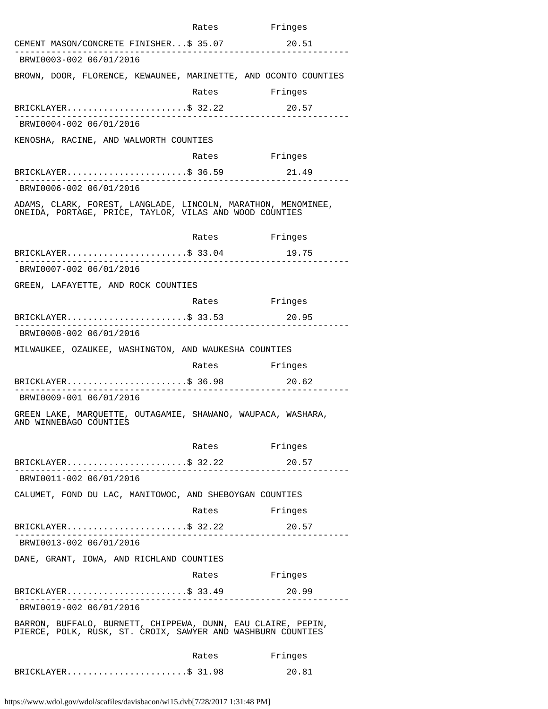|                                                                                                                             | Rates                                                                                                                                                                                                                          | Fringes |
|-----------------------------------------------------------------------------------------------------------------------------|--------------------------------------------------------------------------------------------------------------------------------------------------------------------------------------------------------------------------------|---------|
| CEMENT MASON/CONCRETE FINISHER\$ 35.07                                                                                      |                                                                                                                                                                                                                                | 20.51   |
| BRWI0003-002 06/01/2016                                                                                                     |                                                                                                                                                                                                                                |         |
| BROWN, DOOR, FLORENCE, KEWAUNEE, MARINETTE, AND OCONTO COUNTIES                                                             |                                                                                                                                                                                                                                |         |
|                                                                                                                             | Rates Fringes                                                                                                                                                                                                                  |         |
| BRICKLAYER\$ 32.22<br>. 222222222222222                                                                                     |                                                                                                                                                                                                                                | 20.57   |
| BRWI0004-002 06/01/2016                                                                                                     |                                                                                                                                                                                                                                |         |
| KENOSHA, RACINE, AND WALWORTH COUNTIES                                                                                      |                                                                                                                                                                                                                                |         |
|                                                                                                                             | Rates Fringes                                                                                                                                                                                                                  |         |
| BRICKLAYER\$ 36.59 21.49                                                                                                    |                                                                                                                                                                                                                                |         |
| BRWI0006-002 06/01/2016                                                                                                     |                                                                                                                                                                                                                                |         |
| ADAMS, CLARK, FOREST, LANGLADE, LINCOLN, MARATHON, MENOMINEE,<br>ONEIDA, PORTAGE, PRICE, TAYLOR, VILAS AND WOOD COUNTIES    |                                                                                                                                                                                                                                |         |
|                                                                                                                             | Rates                                                                                                                                                                                                                          | Fringes |
| BRICKLAYER\$ 33.04<br>. _ _ _ _ _ _ _ _ _ _ _ _ _ _ _ _ _ _                                                                 |                                                                                                                                                                                                                                | 19.75   |
| BRWI0007-002 06/01/2016                                                                                                     |                                                                                                                                                                                                                                |         |
| GREEN, LAFAYETTE, AND ROCK COUNTIES                                                                                         |                                                                                                                                                                                                                                |         |
|                                                                                                                             | Rates Fringes                                                                                                                                                                                                                  |         |
| BRICKLAYER\$ 33.53<br>_____________________                                                                                 |                                                                                                                                                                                                                                | 20.95   |
| BRWI0008-002 06/01/2016                                                                                                     |                                                                                                                                                                                                                                |         |
| MILWAUKEE, OZAUKEE, WASHINGTON, AND WAUKESHA COUNTIES                                                                       |                                                                                                                                                                                                                                |         |
|                                                                                                                             | Rates                                                                                                                                                                                                                          | Fringes |
| $BRICKLAYER$ \$ 36.98                                                                                                       |                                                                                                                                                                                                                                | 20.62   |
| BRWI0009-001 06/01/2016                                                                                                     |                                                                                                                                                                                                                                |         |
| GREEN LAKE, MARQUETTE, OUTAGAMIE, SHAWANO, WAUPACA, WASHARA,<br>AND WINNEBAGO COUNTIES                                      |                                                                                                                                                                                                                                |         |
|                                                                                                                             | Rates                                                                                                                                                                                                                          | Fringes |
| $BRICKLAYER$ \$ 32.22<br>------------------------------                                                                     |                                                                                                                                                                                                                                | 20.57   |
| BRWI0011-002 06/01/2016                                                                                                     |                                                                                                                                                                                                                                |         |
| CALUMET, FOND DU LAC, MANITOWOC, AND SHEBOYGAN COUNTIES                                                                     |                                                                                                                                                                                                                                |         |
|                                                                                                                             | Rates                                                                                                                                                                                                                          | Fringes |
| BRICKLAYER\$ 32.22<br>------------------------------                                                                        | . _ _ _ _ _ _ _ _ _ _ _ _ _ _ _ _                                                                                                                                                                                              | 20.57   |
| BRWI0013-002 06/01/2016                                                                                                     |                                                                                                                                                                                                                                |         |
| DANE, GRANT, IOWA, AND RICHLAND COUNTIES                                                                                    |                                                                                                                                                                                                                                |         |
|                                                                                                                             | Rates and the set of the set of the set of the set of the set of the set of the set of the set of the set of the set of the set of the set of the set of the set of the set of the set of the set of the set of the set of the | Fringes |
| $BRICKLAYER$ \$ 33.49                                                                                                       | .                                                                                                                                                                                                                              | 20.99   |
| BRWI0019-002 06/01/2016                                                                                                     |                                                                                                                                                                                                                                |         |
| BARRON, BUFFALO, BURNETT, CHIPPEWA, DUNN, EAU CLAIRE, PEPIN,<br>PIERCE, POLK, RUSK, ST. CROIX, SAWYER AND WASHBURN COUNTIES |                                                                                                                                                                                                                                |         |
|                                                                                                                             | Rates                                                                                                                                                                                                                          | Fringes |
| BRICKLAYER\$ 31.98                                                                                                          |                                                                                                                                                                                                                                | 20.81   |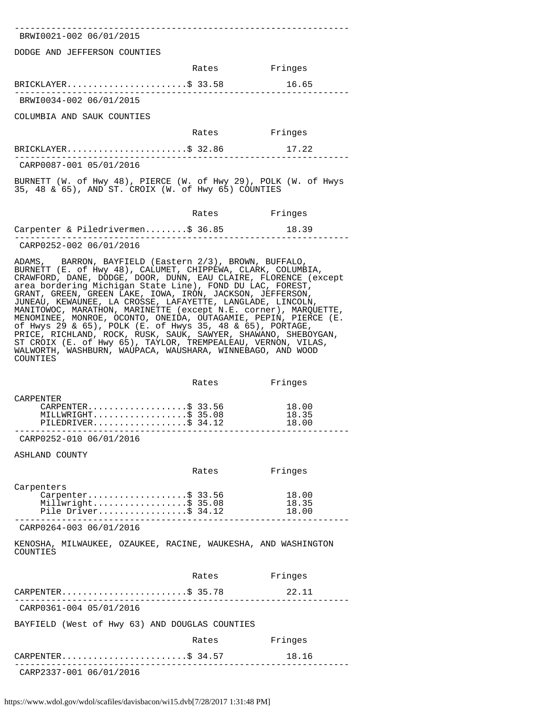---------------------------------------------------------------- BRWI0021-002 06/01/2015

DODGE AND JEFFERSON COUNTIES

|                            | Rates | Fringes |
|----------------------------|-------|---------|
| BRICKLAYER\$ 33.58         |       | 16.65   |
| BRWI0034-002 06/01/2015    |       |         |
| COLUMBIA AND SAUK COUNTIES |       |         |
|                            | Rates | Fringes |

|                         | BRICKLAYER\$ 32.86 | 17.22 |
|-------------------------|--------------------|-------|
|                         |                    |       |
| CARP0087-001 05/01/2016 |                    |       |

BURNETT (W. of Hwy 48), PIERCE (W. of Hwy 29), POLK (W. of Hwys

35, 48 & 65), AND ST. CROIX (W. of Hwy 65) COUNTIES

|                                   | Rates | Fringes |  |
|-----------------------------------|-------|---------|--|
| Carpenter & Piledrivermen\$ 36.85 |       | 18.39   |  |
| CARP0252-002 06/01/2016           |       |         |  |

ADAMS, BARRON, BAYFIELD (Eastern 2/3), BROWN, BUFFALO, BURNETT (E. of Hwy 48), CALUMET, CHIPPEWA, CLARK, COLUMBIA, CRAWFORD, DANE, DODGE, DOOR, DUNN, EAU CLAIRE, FLORENCE (except area bordering Michigan State Line), FOND DU LAC, FOREST, GRANT, GREEN, GREEN LAKE, IOWA, IRON, JACKSON, JEFFERSON, JUNEAU, KEWAUNEE, LA CROSSE, LAFAYETTE, LANGLADE, LINCOLN, MANITOWOC, MARATHON, MARINETTE (except N.E. corner), MARQUETTE, MENOMINEE, MONROE, OCONTO, ONEIDA, OUTAGAMIE, PEPIN, PIERCE (E. of Hwys 29 & 65), POLK (E. of Hwys 35, 48 & 65), PORTAGE, PRICE, RICHLAND, ROCK, RUSK, SAUK, SAWYER, SHAWANO, SHEBOYGAN, ST CROIX (E. of Hwy 65), TAYLOR, TREMPEALEAU, VERNON, VILAS, WALWORTH, WASHBURN, WAUPACA, WAUSHARA, WINNEBAGO, AND WOOD COUNTIES

|                      | Rates | Fringes |  |
|----------------------|-------|---------|--|
| CARPENTER            |       |         |  |
| CARPENTER\$ 33.56    |       | 18.00   |  |
| MILLWRIGHT\$ 35.08   |       | 18.35   |  |
| PILEDRIVER\$ $34.12$ |       | 18.00   |  |
|                      |       |         |  |

CARP0252-010 06/01/2016

ASHLAND COUNTY

|                                                                                | Rates | Fringes                 |
|--------------------------------------------------------------------------------|-------|-------------------------|
| Carpenters<br>Carpenter\$ 33.56<br>Millwright\$ 35.08<br>Pile Driver\$ $34.12$ |       | 18.00<br>18.35<br>18 NO |

---------------------------------------------------------------- CARP0264-003 06/01/2016

KENOSHA, MILWAUKEE, OZAUKEE, RACINE, WAUKESHA, AND WASHINGTON **COUNTIES** 

|                                                | Rates | Fringes |
|------------------------------------------------|-------|---------|
| CARPENTER\$ 35.78                              |       | 22.11   |
| CARP0361-004 05/01/2016                        |       |         |
| BAYFIELD (West of Hwy 63) AND DOUGLAS COUNTIES |       |         |
|                                                | Rates | Fringes |
| CARPENTER\$ 34.57                              |       | 18.16   |
| CARP2337-001 06/01/2016                        |       |         |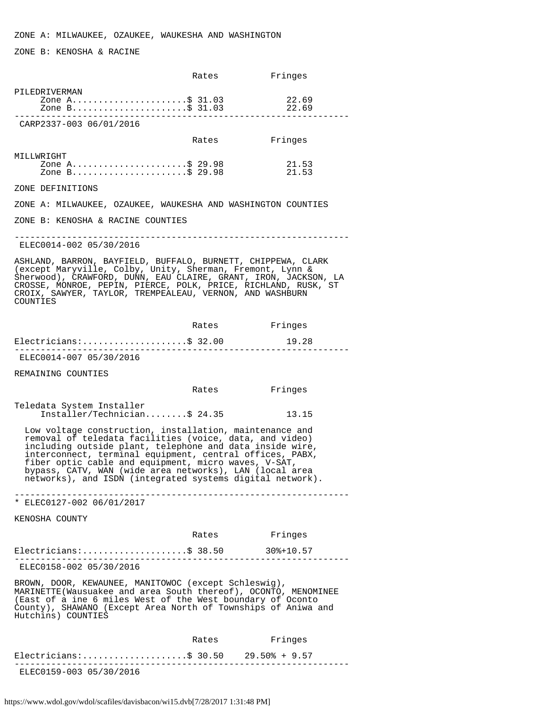ZONE B: KENOSHA & RACINE

|                                                                                                                                                                                                                                                                                                                                                                                                                            | Rates | Fringes        |
|----------------------------------------------------------------------------------------------------------------------------------------------------------------------------------------------------------------------------------------------------------------------------------------------------------------------------------------------------------------------------------------------------------------------------|-------|----------------|
| PILEDRIVERMAN<br>Zone A\$ 31.03<br>Zone B\$ 31.03                                                                                                                                                                                                                                                                                                                                                                          |       | 22.69<br>22.69 |
| CARP2337-003 06/01/2016                                                                                                                                                                                                                                                                                                                                                                                                    |       |                |
|                                                                                                                                                                                                                                                                                                                                                                                                                            | Rates | Fringes        |
| MILLWRIGHT<br>Zone A\$ 29.98<br>Zone B\$ 29.98                                                                                                                                                                                                                                                                                                                                                                             |       | 21.53<br>21.53 |
| ZONE DEFINITIONS                                                                                                                                                                                                                                                                                                                                                                                                           |       |                |
| ZONE A: MILWAUKEE, OZAUKEE, WAUKESHA AND WASHINGTON COUNTIES                                                                                                                                                                                                                                                                                                                                                               |       |                |
| ZONE B: KENOSHA & RACINE COUNTIES                                                                                                                                                                                                                                                                                                                                                                                          |       |                |
| ELEC0014-002 05/30/2016                                                                                                                                                                                                                                                                                                                                                                                                    |       |                |
| ASHLAND, BARRON, BAYFIELD, BUFFALO, BURNETT, CHIPPEWA, CLARK<br>(except Maryville, Colby, Unity, Sherman, Fremont, Lynn &<br>Sherwood), CRAWFORD, DUNN, EAU CLAIRE, GRANT, IRON, JACKSON, LA<br>CROSSE, MONROE, PEPIN, PIERCE, POLK, PRICE, RICHLAND, RUSK, ST<br>CROIX, SAWYER, TAYLOR, TREMPEALEAU, VERNON, AND WASHBURN<br>COUNTIES                                                                                     |       |                |
|                                                                                                                                                                                                                                                                                                                                                                                                                            | Rates | Fringes        |
| $Electricians:$ \$ 32.00                                                                                                                                                                                                                                                                                                                                                                                                   |       | 19.28          |
| ELEC0014-007 05/30/2016                                                                                                                                                                                                                                                                                                                                                                                                    |       |                |
| REMAINING COUNTIES                                                                                                                                                                                                                                                                                                                                                                                                         |       |                |
|                                                                                                                                                                                                                                                                                                                                                                                                                            | Rates | Fringes        |
| Teledata System Installer<br>Installer/Technician\$ 24.35                                                                                                                                                                                                                                                                                                                                                                  |       | 13.15          |
| Low voltage construction, installation, maintenance and<br>removal of teledata facilities (voice, data, and video)<br>including outside plant, telephone and data inside wire,<br>interconnect, terminal equipment, central offices, PABX,<br>fiber optic cable and equipment, micro waves, V-SAT,<br>bypass, CATV, WAN (wide area networks), LAN (local area<br>networks), and ISDN (integrated systems digital network). |       |                |
| * ELEC0127-002 06/01/2017                                                                                                                                                                                                                                                                                                                                                                                                  |       |                |
| KENOSHA COUNTY                                                                                                                                                                                                                                                                                                                                                                                                             |       |                |
|                                                                                                                                                                                                                                                                                                                                                                                                                            | Rates | Fringes        |
| Electricians:\$ 38.50 30%+10.57                                                                                                                                                                                                                                                                                                                                                                                            |       |                |
| ELEC0158-002 05/30/2016                                                                                                                                                                                                                                                                                                                                                                                                    |       |                |
| BROWN, DOOR, KEWAUNEE, MANITOWOC (except Schleswig),<br>MARINETTE(Wausuakee and area South thereof), OCONTO, MENOMINEE<br>(East of a ine 6 miles West of the West boundary of Oconto<br>County), SHAWANO (Except Area North of Townships of Aniwa and<br>Hutchins) COUNTIES                                                                                                                                                |       |                |
|                                                                                                                                                                                                                                                                                                                                                                                                                            | Rates | Fringes        |
| Electricians:\$ 30.50 29.50% + 9.57                                                                                                                                                                                                                                                                                                                                                                                        |       |                |
| . _ _ _ _ _ _ _ _ _ _ _ _ _ _ _ _ _ _<br>ELEC0159-003 05/30/2016                                                                                                                                                                                                                                                                                                                                                           |       |                |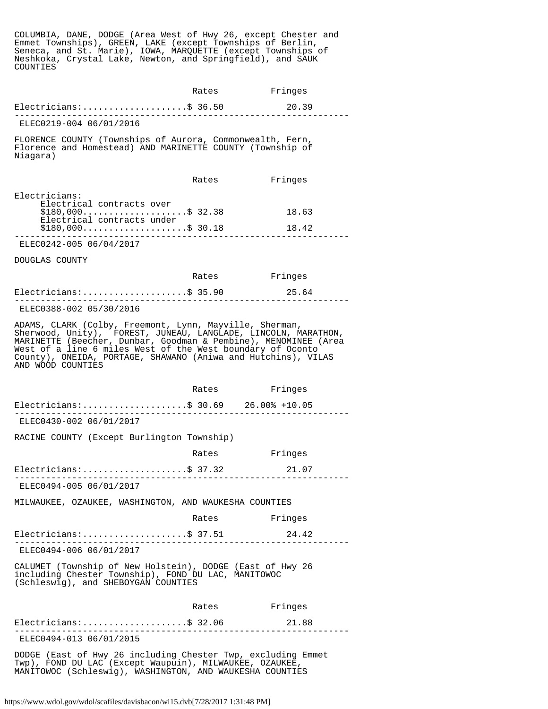COLUMBIA, DANE, DODGE (Area West of Hwy 26, except Chester and Emmet Townships), GREEN, LAKE (except Townships of Berlin, Seneca, and St. Marie), IOWA, MARQUETTE (except Townships of Neshkoka, Crystal Lake, Newton, and Springfield), and SAUK COUNTIES

|                                                                                                                                                                                                                                                                                                                                                  | Rates         | Fringes        |
|--------------------------------------------------------------------------------------------------------------------------------------------------------------------------------------------------------------------------------------------------------------------------------------------------------------------------------------------------|---------------|----------------|
| $Electricians:$ \$ 36.50                                                                                                                                                                                                                                                                                                                         |               | 20.39          |
| ELEC0219-004 06/01/2016                                                                                                                                                                                                                                                                                                                          |               |                |
| FLORENCE COUNTY (Townships of Aurora, Commonwealth, Fern,<br>Florence and Homestead) AND MARINETTE COUNTY (Township of<br>Niagara)                                                                                                                                                                                                               |               |                |
|                                                                                                                                                                                                                                                                                                                                                  | Rates         | Fringes        |
| Electricians:<br>Electrical contracts over<br>$$180,000$ \$ 32.38<br>Electrical contracts under<br>$$180,000$ \$ 30.18                                                                                                                                                                                                                           |               | 18.63<br>18.42 |
| .<br>ELEC0242-005 06/04/2017                                                                                                                                                                                                                                                                                                                     |               |                |
| DOUGLAS COUNTY                                                                                                                                                                                                                                                                                                                                   |               |                |
|                                                                                                                                                                                                                                                                                                                                                  | Rates Fringes |                |
| Electricians:\$ 35.90                                                                                                                                                                                                                                                                                                                            |               | 25.64          |
| ELEC0388-002 05/30/2016                                                                                                                                                                                                                                                                                                                          |               |                |
| ADAMS, CLARK (Colby, Freemont, Lynn, Mayville, Sherman,<br>Sherwood, Unity), FOREST, JUNEAU, LANGLADE, LINCOLN, MARATHON,<br>MARINETTE (Beecher, Dunbar, Goodman & Pembine), MENOMINEE (Area<br>West of a line 6 miles West of the West boundary of Oconto<br>County), ONEIDA, PORTAGE, SHAWANO (Aniwa and Hutchins), VILAS<br>AND WOOD COUNTIES |               |                |
|                                                                                                                                                                                                                                                                                                                                                  | Rates         | Fringes        |
| Electricians:\$ 30.69 26.00% +10.05                                                                                                                                                                                                                                                                                                              |               |                |
|                                                                                                                                                                                                                                                                                                                                                  |               |                |
| ELEC0430-002 06/01/2017                                                                                                                                                                                                                                                                                                                          |               |                |
| RACINE COUNTY (Except Burlington Township)                                                                                                                                                                                                                                                                                                       |               |                |
|                                                                                                                                                                                                                                                                                                                                                  | Rates         | Fringes        |
| Electricians:\$ 37.32                                                                                                                                                                                                                                                                                                                            |               | 21.07          |
| ELEC0494-005 06/01/2017                                                                                                                                                                                                                                                                                                                          |               |                |
| MILWAUKEE, OZAUKEE, WASHINGTON, AND WAUKESHA COUNTIES                                                                                                                                                                                                                                                                                            |               |                |
|                                                                                                                                                                                                                                                                                                                                                  | Rates         | Fringes        |
| Electricians:\$ 37.51                                                                                                                                                                                                                                                                                                                            |               | 24.42          |
| ELEC0494-006 06/01/2017                                                                                                                                                                                                                                                                                                                          |               |                |
| CALUMET (Township of New Holstein), DODGE (East of Hwy 26<br>including Chester Township), FOND DU LAC, MANITOWOC<br>(Schleswig), and SHEBOYGAN COUNTIES                                                                                                                                                                                          |               |                |
|                                                                                                                                                                                                                                                                                                                                                  | Rates         | Fringes        |
| $Electrical as:$ \$ 32.06                                                                                                                                                                                                                                                                                                                        |               | 21.88          |
| ELEC0494-013 06/01/2015                                                                                                                                                                                                                                                                                                                          |               |                |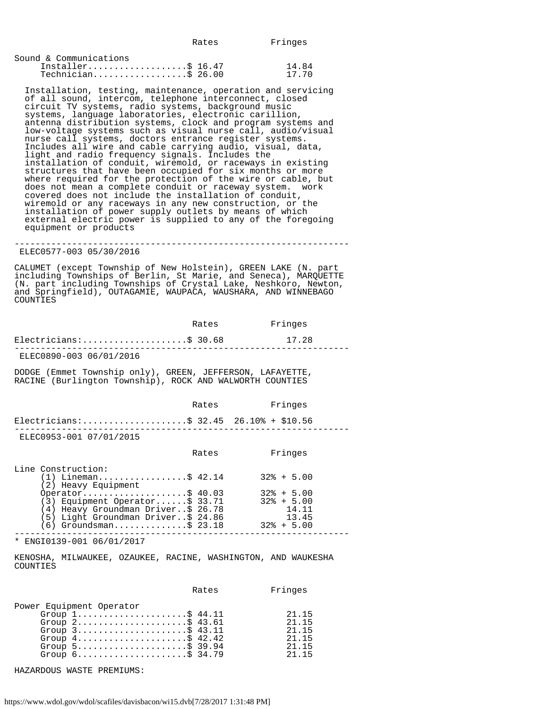| Sound & Communications |       |
|------------------------|-------|
| Installer\$ $16.47$    | 14.84 |
| $Technician$ \$ 26.00  | 17.70 |

 Installation, testing, maintenance, operation and servicing of all sound, intercom, telephone interconnect, closed circuit TV systems, radio systems, background music systems, language laboratories, electronic carillion, antenna distribution systems, clock and program systems and low-voltage systems such as visual nurse call, audio/visual nurse call systems, doctors entrance register systems. Includes all wire and cable carrying audio, visual, data, light and radio frequency signals. Includes the installation of conduit, wiremold, or raceways in existing structures that have been occupied for six months or more where required for the protection of the wire or cable, but does not mean a complete conduit or raceway system. work covered does not include the installation of conduit, wiremold or any raceways in any new construction, or the installation of power supply outlets by means of which external electric power is supplied to any of the foregoing equipment or products

---------------------------------------------------------------- ELEC0577-003 05/30/2016

CALUMET (except Township of New Holstein), GREEN LAKE (N. part including Townships of Berlin, St Marie, and Seneca), MARQUETTE (N. part including Townships of Crystal Lake, Neshkoro, Newton, and Springfield), OUTAGAMIE, WAUPACA, WAUSHARA, AND WINNEBAGO COUNTIES

|                          | Rates | Fringes |  |
|--------------------------|-------|---------|--|
| $Electricians:$ \$ 30.68 |       | 17.28   |  |
| ELEC0890-003 06/01/2016  |       |         |  |

DODGE (Emmet Township only), GREEN, JEFFERSON, LAFAYETTE, RACINE (Burlington Township), ROCK AND WALWORTH COUNTIES

|                                        | Rates | Fringes |
|----------------------------------------|-------|---------|
| Electricians:\$ 32.45 26.10% + \$10.56 |       |         |
| ELEC0953-001 07/01/2015                |       |         |

|                                                                          | Rates | Fringes                        |
|--------------------------------------------------------------------------|-------|--------------------------------|
| Line Construction:<br>$(1)$ Lineman\$ 42.14                              |       | $32\% + 5.00$                  |
| (2) Heavy Equipment                                                      |       |                                |
| Operator\$ $40.03$<br>$(3)$ Equipment Operator\$ 33.71                   |       | $32\% + 5.00$<br>$32\% + 5.00$ |
| (4) Heavy Groundman Driver\$ 26.78<br>(5) Light Groundman Driver\$ 24.86 |       | 14.11<br>13.45                 |
| $(6)$ Groundsman\$ 23.18                                                 |       | $32\% + 5.00$                  |
|                                                                          |       |                                |

\* ENGI0139-001 06/01/2017

KENOSHA, MILWAUKEE, OZAUKEE, RACINE, WASHINGTON, AND WAUKESHA COUNTIES

|                                                                                                                                                                                                                                                                                                                                  | Rates | Fringes                                            |
|----------------------------------------------------------------------------------------------------------------------------------------------------------------------------------------------------------------------------------------------------------------------------------------------------------------------------------|-------|----------------------------------------------------|
| Power Equipment Operator<br>Group $1, \ldots, \ldots, \ldots, \ldots, \$ 44.11<br>Group $2$ \$ 43.61<br>Group $3$ \$ 43.11<br>Group $4 \ldots \ldots \ldots \ldots \ldots \ldots$ \$ 42.42<br>Group $5 \ldots \ldots \ldots \ldots \ldots \ldots$ \$ 39.94<br>Group $6 \ldots \ldots \ldots \ldots \ldots \ldots \text{S}$ 34.79 |       | 21.15<br>21 15<br>21 15<br>21 15<br>21 15<br>21 15 |

HAZARDOUS WASTE PREMIUMS: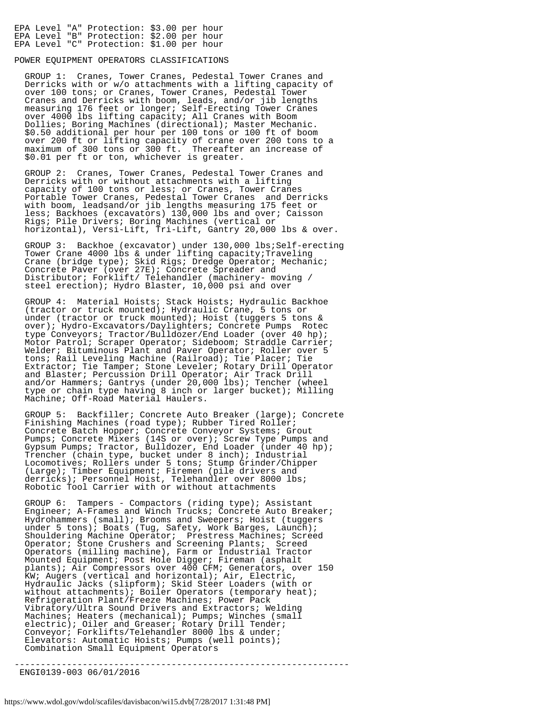|  | EPA Level "A" Protection: \$3.00 per hour |  |  |
|--|-------------------------------------------|--|--|
|  | EPA Level "B" Protection: \$2.00 per hour |  |  |
|  | EPA Level "C" Protection: \$1.00 per hour |  |  |

### POWER EQUIPMENT OPERATORS CLASSIFICATIONS

 GROUP 1: Cranes, Tower Cranes, Pedestal Tower Cranes and Derricks with or w/o attachments with a lifting capacity of over 100 tons; or Cranes, Tower Cranes, Pedestal Tower Cranes and Derricks with boom, leads, and/or jib lengths measuring 176 feet or longer; Self-Erecting Tower Cranes over 4000 lbs lifting capacity; All Cranes with Boom Dollies; Boring Machines (directional); Master Mechanic. \$0.50 additional per hour per 100 tons or 100 ft of boom over 200 ft or lifting capacity of crane over 200 tons to a maximum of 300 tons or 300 ft. Thereafter an increase of \$0.01 per ft or ton, whichever is greater.

 GROUP 2: Cranes, Tower Cranes, Pedestal Tower Cranes and Derricks with or without attachments with a lifting capacity of 100 tons or less; or Cranes, Tower Cranes Portable Tower Cranes, Pedestal Tower Cranes and Derricks with boom, leadsand/or jib lengths measuring 175 feet or less; Backhoes (excavators) 130,000 lbs and over; Caisson Rigs; Pile Drivers; Boring Machines (vertical or horizontal), Versi-Lift, Tri-Lift, Gantry 20,000 lbs & over.

 GROUP 3: Backhoe (excavator) under 130,000 lbs;Self-erecting Tower Crane 4000 lbs & under lifting capacity;Traveling Crane (bridge type); Skid Rigs; Dredge Operator; Mechanic; Concrete Paver (over 27E); Concrete Spreader and Distributor; Forklift/ Telehandler (machinery- moving / steel erection); Hydro Blaster, 10,000 psi and over

 GROUP 4: Material Hoists; Stack Hoists; Hydraulic Backhoe (tractor or truck mounted); Hydraulic Crane, 5 tons or under (tractor or truck mounted); Hoist (tuggers 5 tons & over); Hydro-Excavators/Daylighters; Concrete Pumps Rotec type Conveyors; Tractor/Bulldozer/End Loader (over 40 hp); Motor Patrol; Scraper Operator; Sideboom; Straddle Carrier; Welder; Bituminous Plant and Paver Operator; Roller over 5 tons; Rail Leveling Machine (Railroad); Tie Placer; Tie Extractor; Tie Tamper; Stone Leveler; Rotary Drill Operator and Blaster; Percussion Drill Operator; Air Track Drill and/or Hammers; Gantrys (under 20,000 lbs); Tencher (wheel type or chain type having 8 inch or larger bucket); Milling Machine; Off-Road Material Haulers.

 GROUP 5: Backfiller; Concrete Auto Breaker (large); Concrete Finishing Machines (road type); Rubber Tired Roller; Concrete Batch Hopper; Concrete Conveyor Systems; Grout Pumps; Concrete Mixers (14S or over); Screw Type Pumps and Gypsum Pumps; Tractor, Bulldozer, End Loader (under 40 hp); Trencher (chain type, bucket under 8 inch); Industrial Locomotives; Rollers under 5 tons; Stump Grinder/Chipper (Large); Timber Equipment; Firemen (pile drivers and derricks); Personnel Hoist, Telehandler over 8000 lbs; Robotic Tool Carrier with or without attachments

 GROUP 6: Tampers - Compactors (riding type); Assistant Engineer; A-Frames and Winch Trucks; Concrete Auto Breaker; Hydrohammers (small); Brooms and Sweepers; Hoist (tuggers under 5 tons); Boats (Tug, Safety, Work Barges, Launch); Shouldering Machine Operator; Prestress Machines; Screed Operator; Stone Crushers and Screening Plants; Screed Operators (milling machine), Farm or Industrial Tractor Mounted Equipment; Post Hole Digger; Fireman (asphalt plants); Air Compressors over 400 CFM; Generators, over 150 KW; Augers (vertical and horizontal); Air, Electric, Hydraulic Jacks (slipform); Skid Steer Loaders (with or without attachments); Boiler Operators (temporary heat); Refrigeration Plant/Freeze Machines; Power Pack Vibratory/Ultra Sound Drivers and Extractors; Welding Machines; Heaters (mechanical); Pumps; Winches (small electric); Oiler and Greaser; Rotary Drill Tender; Conveyor; Forklifts/Telehandler 8000 lbs & under; Elevators: Automatic Hoists; Pumps (well points); Combination Small Equipment Operators

----------------------------------------------------------------

ENGI0139-003 06/01/2016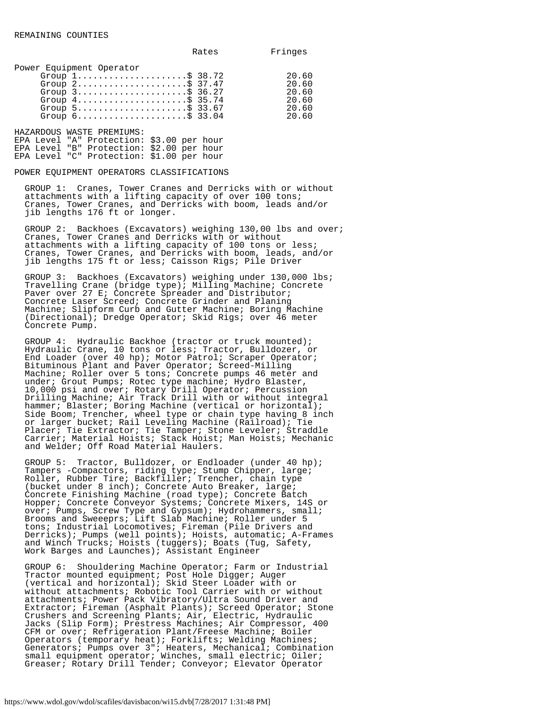|                          |  | Rates | Fringes |
|--------------------------|--|-------|---------|
| Dowar Fournmant Operator |  |       |         |

| Power Equipment Operator                                            |       |
|---------------------------------------------------------------------|-------|
| Group $1, \ldots, \ldots, \ldots, \ldots, \$ 38.72                  | 20.60 |
| Group $2 \ldots \ldots \ldots \ldots \ldots \ldots \text{S}$ 37.47  | 20.60 |
| Group $3$                                                           | 20.60 |
| Group $4 \ldots \ldots \ldots \ldots \ldots \ldots \text{S}$ 35.74  | 20.60 |
| Group $5$                                                           | 20.60 |
| Group $6 \ldots \ldots \ldots \ldots \ldots \ldots \ldots$ \$ 33.04 | 20.60 |

HAZARDOUS WASTE PREMIUMS: EPA Level "A" Protection: \$3.00 per hour EPA Level "B" Protection: \$2.00 per hour EPA Level "C" Protection: \$1.00 per hour

POWER EQUIPMENT OPERATORS CLASSIFICATIONS

 GROUP 1: Cranes, Tower Cranes and Derricks with or without attachments with a lifting capacity of over 100 tons; Cranes, Tower Cranes, and Derricks with boom, leads and/or jib lengths 176 ft or longer.

 GROUP 2: Backhoes (Excavators) weighing 130,00 lbs and over; Cranes, Tower Cranes and Derricks with or without attachments with a lifting capacity of 100 tons or less; Cranes, Tower Cranes, and Derricks with boom, leads, and/or jib lengths 175 ft or less; Caisson Rigs; Pile Driver

 GROUP 3: Backhoes (Excavators) weighing under 130,000 lbs; Travelling Crane (bridge type); Milling Machine; Concrete Paver over 27 E; Concrete Spreader and Distributor; Concrete Laser Screed; Concrete Grinder and Planing Machine; Slipform Curb and Gutter Machine; Boring Machine (Directional); Dredge Operator; Skid Rigs; over 46 meter Concrete Pump.

 GROUP 4: Hydraulic Backhoe (tractor or truck mounted); Hydraulic Crane, 10 tons or less; Tractor, Bulldozer, or End Loader (over 40 hp); Motor Patrol; Scraper Operator; Bituminous Plant and Paver Operator; Screed-Milling Machine; Roller over 5 tons; Concrete pumps 46 meter and under; Grout Pumps; Rotec type machine; Hydro Blaster, 10,000 psi and over; Rotary Drill Operator; Percussion Drilling Machine; Air Track Drill with or without integral hammer; Blaster; Boring Machine (vertical or horizontal); Side Boom; Trencher, wheel type or chain type having 8 inch or larger bucket; Rail Leveling Machine (Railroad); Tie Placer; Tie Extractor; Tie Tamper; Stone Leveler; Straddle Carrier; Material Hoists; Stack Hoist; Man Hoists; Mechanic and Welder; Off Road Material Haulers.

 GROUP 5: Tractor, Bulldozer, or Endloader (under 40 hp); Tampers -Compactors, riding type; Stump Chipper, large; Roller, Rubber Tire; Backfiller; Trencher, chain type (bucket under 8 inch); Concrete Auto Breaker, large; Concrete Finishing Machine (road type); Concrete Batch Hopper; Concrete Conveyor Systems; Concrete Mixers, 14S or over; Pumps, Screw Type and Gypsum); Hydrohammers, small; Brooms and Sweeeprs; Lift Slab Machine; Roller under 5 tons; Industrial Locomotives; Fireman (Pile Drivers and Derricks); Pumps (well points); Hoists, automatic; A-Frames and Winch Trucks; Hoists (tuggers); Boats (Tug, Safety, Work Barges and Launches); Assistant Engineer

 GROUP 6: Shouldering Machine Operator; Farm or Industrial Tractor mounted equipment; Post Hole Digger; Auger (vertical and horizontal); Skid Steer Loader with or without attachments; Robotic Tool Carrier with or without attachments; Power Pack Vibratory/Ultra Sound Driver and Extractor; Fireman (Asphalt Plants); Screed Operator; Stone Crushers and Screening Plants; Air, Electric, Hydraulic Jacks (Slip Form); Prestress Machines; Air Compressor, 400 CFM or over; Refrigeration Plant/Freese Machine; Boiler Operators (temporary heat); Forklifts; Welding Machines; Generators; Pumps over 3"; Heaters, Mechanical; Combination small equipment operator; Winches, small electric; Oiler; Greaser; Rotary Drill Tender; Conveyor; Elevator Operator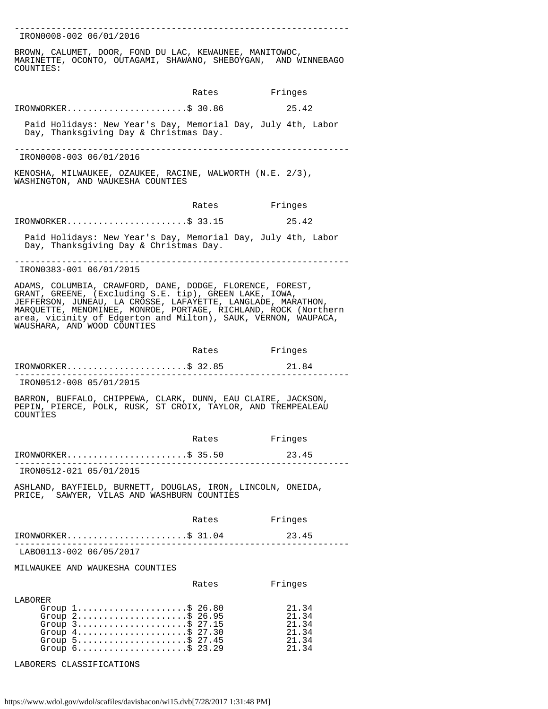---------------------------------------------------------------- IRON0008-002 06/01/2016 BROWN, CALUMET, DOOR, FOND DU LAC, KEWAUNEE, MANITOWOC, MARINETTE, OCONTO, OUTAGAMI, SHAWANO, SHEBOYGAN, AND WINNEBAGO COUNTIES: Rates Fringes IRONWORKER.......................\$ 30.86 25.42 Paid Holidays: New Year's Day, Memorial Day, July 4th, Labor Day, Thanksgiving Day & Christmas Day. ---------------------------------------------------------------- IRON0008-003 06/01/2016 KENOSHA, MILWAUKEE, OZAUKEE, RACINE, WALWORTH (N.E. 2/3), WASHINGTON, AND WAUKESHA COUNTIES Rates Fringes IRONWORKER.......................\$ 33.15 25.42 Paid Holidays: New Year's Day, Memorial Day, July 4th, Labor Day, Thanksgiving Day & Christmas Day. ---------------------------------------------------------------- IRON0383-001 06/01/2015 ADAMS, COLUMBIA, CRAWFORD, DANE, DODGE, FLORENCE, FOREST, GRANT, GREENE, (Excluding S.E. tip), GREEN LAKE, IOWA, JEFFERSON, JUNEAU, LA CROSSE, LAFAYETTE, LANGLADE, MARATHON, MARQUETTE, MENOMINEE, MONROE, PORTAGE, RICHLAND, ROCK (Northern area, vicinity of Edgerton and Milton), SAUK, VERNON, WAUPACA, WAUSHARA, AND WOOD COUNTIES Rates Fringes IRONWORKER.......................\$ 32.85 21.84 ---------------------------------------------------------------- IRON0512-008 05/01/2015 BARRON, BUFFALO, CHIPPEWA, CLARK, DUNN, EAU CLAIRE, JACKSON, PEPIN, PIERCE, POLK, RUSK, ST CROIX, TAYLOR, AND TREMPEALEAU COUNTIES Rates Fringes IRONWORKER.......................\$ 35.50 23.45 ---------------------------------------------------------------- IRON0512-021 05/01/2015 ASHLAND, BAYFIELD, BURNETT, DOUGLAS, IRON, LINCOLN, ONEIDA, PRICE, SAWYER, VILAS AND WASHBURN COUNTIES Rates Fringes IRONWORKER.......................\$ 31.04 23.45 ---------------------------------------------------------------- LABO0113-002 06/05/2017 MILWAUKEE AND WAUKESHA COUNTIES Rates Fringes LABORER Group 1.........................\$ 26.80 21.34 Group 2.........................\$ 26.95 21.34 Group 3...........................\$ 27.15 21.34 Group 4...........................\$ 27.30 21.34 Group 5...........................\$ 27.45 21.34 Group 6.....................\$ 23.29 21.34

LABORERS CLASSIFICATIONS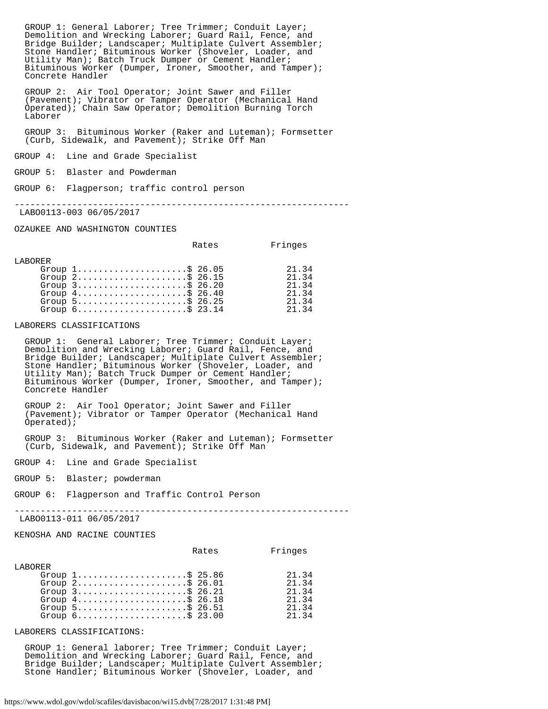GROUP 1: General Laborer; Tree Trimmer; Conduit Layer; Demolition and Wrecking Laborer; Guard Rail, Fence, and Bridge Builder; Landscaper; Multiplate Culvert Assembler; Stone Handler; Bituminous Worker (Shoveler, Loader, and Utility Man); Batch Truck Dumper or Cement Handler; Bituminous Worker (Dumper, Ironer, Smoother, and Tamper); Concrete Handler

 GROUP 2: Air Tool Operator; Joint Sawer and Filler (Pavement); Vibrator or Tamper Operator (Mechanical Hand Operated); Chain Saw Operator; Demolition Burning Torch Laborer

 GROUP 3: Bituminous Worker (Raker and Luteman); Formsetter (Curb, Sidewalk, and Pavement); Strike Off Man

GROUP 4: Line and Grade Specialist

GROUP 5: Blaster and Powderman

GROUP 6: Flagperson; traffic control person

----------------------------------------------------------------

LABO0113-003 06/05/2017

OZAUKEE AND WASHINGTON COUNTIES

|                |                                                                    | Rates | Fringes |
|----------------|--------------------------------------------------------------------|-------|---------|
| <b>LABORER</b> |                                                                    |       |         |
|                | Group $1, \ldots, \ldots, \ldots, \ldots, \$ 26.05                 |       | 21.34   |
|                | Group $2$ \$ 26.15                                                 |       | 21.34   |
|                | Group $3$                                                          |       | 21.34   |
|                | Group $4 \ldots \ldots \ldots \ldots \ldots \ldots \text{S}$ 26.40 |       | 21.34   |
|                | Group $5 \ldots \ldots \ldots \ldots \ldots \ldots \$ 26.25        |       | 2134    |
|                | Group $6 \ldots \ldots \ldots \ldots \ldots \ldots$ \$ 23.14       |       | 21 34   |

LABORERS CLASSIFICATIONS

 GROUP 1: General Laborer; Tree Trimmer; Conduit Layer; Demolition and Wrecking Laborer; Guard Rail, Fence, and Bridge Builder; Landscaper; Multiplate Culvert Assembler; Stone Handler; Bituminous Worker (Shoveler, Loader, and Utility Man); Batch Truck Dumper or Cement Handler; Bituminous Worker (Dumper, Ironer, Smoother, and Tamper); Concrete Handler

 GROUP 2: Air Tool Operator; Joint Sawer and Filler (Pavement); Vibrator or Tamper Operator (Mechanical Hand Operated);

 GROUP 3: Bituminous Worker (Raker and Luteman); Formsetter (Curb, Sidewalk, and Pavement); Strike Off Man

GROUP 4: Line and Grade Specialist

GROUP 5: Blaster; powderman

GROUP 6: Flagperson and Traffic Control Person

----------------------------------------------------------------

LABO0113-011 06/05/2017

KENOSHA AND RACINE COUNTIES

|          |                                                                     | Rates | Fringes |
|----------|---------------------------------------------------------------------|-------|---------|
| T.ARORER |                                                                     |       |         |
|          | Group $1, \ldots, \ldots, \ldots, \ldots, \$ 25.86                  |       | 21.34   |
|          | Group $2$ \$ 26.01                                                  |       | 21.34   |
|          | Group $3$ ; $$26.21$                                                |       | 21.34   |
|          | Group $4 \ldots \ldots \ldots \ldots \ldots \ldots \text{S}$ 26.18  |       | 21.34   |
|          | Group $5 \ldots \ldots \ldots \ldots \ldots \ldots \text{ $36.51$}$ |       | 21.34   |
|          | Group $6.$ \$ 23.00                                                 |       | 21 34   |

LABORERS CLASSIFICATIONS:

 GROUP 1: General laborer; Tree Trimmer; Conduit Layer; Demolition and Wrecking Laborer; Guard Rail, Fence, and Bridge Builder; Landscaper; Multiplate Culvert Assembler; Stone Handler; Bituminous Worker (Shoveler, Loader, and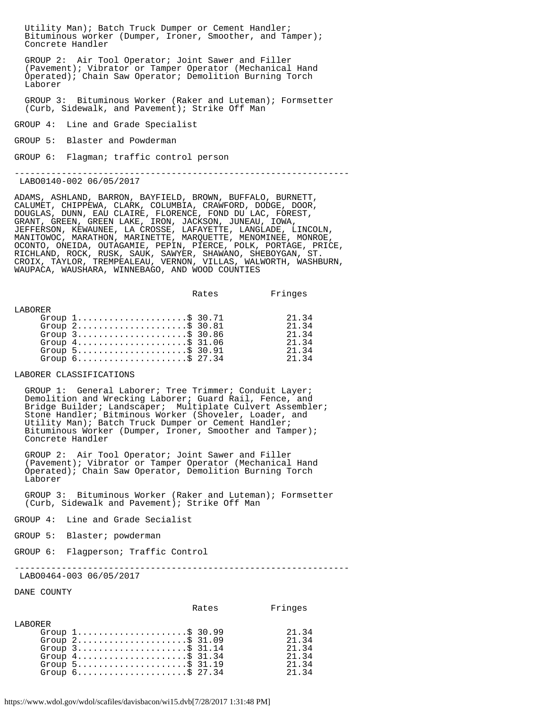Utility Man); Batch Truck Dumper or Cement Handler; Bituminous worker (Dumper, Ironer, Smoother, and Tamper); Concrete Handler

 GROUP 2: Air Tool Operator; Joint Sawer and Filler (Pavement); Vibrator or Tamper Operator (Mechanical Hand Operated); Chain Saw Operator; Demolition Burning Torch Laborer

 GROUP 3: Bituminous Worker (Raker and Luteman); Formsetter (Curb, Sidewalk, and Pavement); Strike Off Man

GROUP 4: Line and Grade Specialist

GROUP 5: Blaster and Powderman

GROUP 6: Flagman; traffic control person

----------------------------------------------------------------

LABO0140-002 06/05/2017

ADAMS, ASHLAND, BARRON, BAYFIELD, BROWN, BUFFALO, BURNETT, CALUMET, CHIPPEWA, CLARK, COLUMBIA, CRAWFORD, DODGE, DOOR, DOUGLAS, DUNN, EAU CLAIRE, FLORENCE, FOND DU LAC, FOREST, GRANT, GREEN, GREEN LAKE, IRON, JACKSON, JUNEAU, IOWA, JEFFERSON, KEWAUNEE, LA CROSSE, LAFAYETTE, LANGLADE, LINCOLN, MANITOWOC, MARATHON, MARINETTE, MARQUETTE, MENOMINEE, MONROE, OCONTO, ONEIDA, OUTAGAMIE, PEPIN, PIERCE, POLK, PORTAGE, PRICE, RICHLAND, ROCK, RUSK, SAUK, SAWYER, SHAWANO, SHEBOYGAN, ST. CROIX, TAYLOR, TREMPEALEAU, VERNON, VILLAS, WALWORTH, WASHBURN, WAUPACA, WAUSHARA, WINNEBAGO, AND WOOD COUNTIES

|          |                                                                                                                                                                                                                                                          | Rates | Fringes                                            |
|----------|----------------------------------------------------------------------------------------------------------------------------------------------------------------------------------------------------------------------------------------------------------|-------|----------------------------------------------------|
| T.ARORER | Group $1, \ldots, \ldots, \ldots, \ldots, \$$ 30.71<br>Group $2$ \$ 30.81<br>Group $3$ \$ 30.86<br>Group $4 \ldots \ldots \ldots \ldots \ldots \ldots \text{S}$ 31.06<br>Group $5$<br>Group $6 \ldots \ldots \ldots \ldots \ldots \ldots \text{S}$ 27.34 |       | 21.34<br>21.34<br>21.34<br>21.34<br>21.34<br>21 34 |
|          |                                                                                                                                                                                                                                                          |       |                                                    |

LABORER CLASSIFICATIONS

 GROUP 1: General Laborer; Tree Trimmer; Conduit Layer; Demolition and Wrecking Laborer; Guard Rail, Fence, and Bridge Builder; Landscaper; Multiplate Culvert Assembler; Stone Handler; Bitminous Worker (Shoveler, Loader, and Utility Man); Batch Truck Dumper or Cement Handler; Bituminous Worker (Dumper, Ironer, Smoother and Tamper); Concrete Handler

 GROUP 2: Air Tool Operator; Joint Sawer and Filler (Pavement); Vibrator or Tamper Operator (Mechanical Hand Operated); Chain Saw Operator, Demolition Burning Torch Laborer

 GROUP 3: Bituminous Worker (Raker and Luteman); Formsetter (Curb, Sidewalk and Pavement); Strike Off Man

GROUP 4: Line and Grade Secialist

GROUP 5: Blaster; powderman

GROUP 6: Flagperson; Traffic Control

----------------------------------------------------------------

LABO0464-003 06/05/2017

DANE COUNTY

|  | Fringes                                                                                                                                                                                                                                                                                                               |
|--|-----------------------------------------------------------------------------------------------------------------------------------------------------------------------------------------------------------------------------------------------------------------------------------------------------------------------|
|  |                                                                                                                                                                                                                                                                                                                       |
|  | 21.34                                                                                                                                                                                                                                                                                                                 |
|  | 21.34                                                                                                                                                                                                                                                                                                                 |
|  | 21.34                                                                                                                                                                                                                                                                                                                 |
|  | 21.34                                                                                                                                                                                                                                                                                                                 |
|  | 21.34                                                                                                                                                                                                                                                                                                                 |
|  | 21.34                                                                                                                                                                                                                                                                                                                 |
|  | Rates<br>Group $1, \ldots, \ldots, \ldots, \ldots, \$ 30.99<br>Group $2$ \$ 31.09<br>Group $3$ ; $$31.14$<br>Group $4 \ldots \ldots \ldots \ldots \ldots \ldots \text{S}$ 31.34<br>Group $5 \ldots \ldots \ldots \ldots \ldots \ldots$ \$ 31.19<br>Group $6 \ldots \ldots \ldots \ldots \ldots \ldots \text{S}$ 27.34 |

https://www.wdol.gov/wdol/scafiles/davisbacon/wi15.dvb[7/28/2017 1:31:48 PM]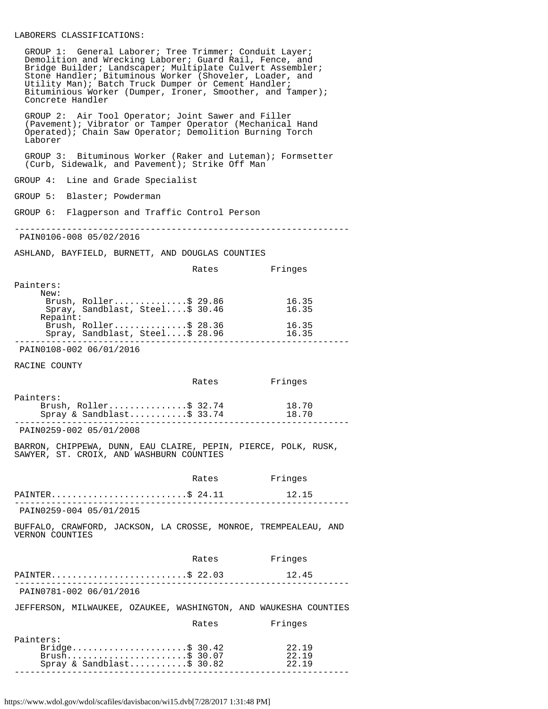### LABORERS CLASSIFICATIONS:

 GROUP 1: General Laborer; Tree Trimmer; Conduit Layer; Demolition and Wrecking Laborer; Guard Rail, Fence, and Bridge Builder; Landscaper; Multiplate Culvert Assembler; Stone Handler; Bituminous Worker (Shoveler, Loader, and Utility Man); Batch Truck Dumper or Cement Handler; Bituminious Worker (Dumper, Ironer, Smoother, and Tamper); Concrete Handler

 GROUP 2: Air Tool Operator; Joint Sawer and Filler (Pavement); Vibrator or Tamper Operator (Mechanical Hand Operated); Chain Saw Operator; Demolition Burning Torch Laborer

 GROUP 3: Bituminous Worker (Raker and Luteman); Formsetter (Curb, Sidewalk, and Pavement); Strike Off Man

GROUP 4: Line and Grade Specialist

GROUP 5: Blaster; Powderman

GROUP 6: Flagperson and Traffic Control Person

----------------------------------------------------------------

PAIN0106-008 05/02/2016

ASHLAND, BAYFIELD, BURNETT, AND DOUGLAS COUNTIES

|           |                                 | Rates | Fringes |
|-----------|---------------------------------|-------|---------|
| Painters: |                                 |       |         |
| New:      |                                 |       |         |
|           | Brush, Roller\$ 29.86           |       | 16.35   |
|           | Spray, Sandblast, Steel\$ 30.46 |       | 16.35   |
| Repaint:  |                                 |       |         |
|           | Brush, $Roller$ \$ 28.36        |       | 16.35   |
|           | Spray, Sandblast, Steel\$ 28.96 |       | 16.35   |
|           |                                 |       |         |

PAIN0108-002 06/01/2016

RACINE COUNTY

 $Pa$ 

|                           | Rates | Fringes |  |
|---------------------------|-------|---------|--|
| Painters:                 |       |         |  |
| Brush, $Roller$ \$ 32.74  |       | 18.70   |  |
| Spray & Sandblast\$ 33.74 |       | 18.70   |  |
|                           |       |         |  |

PAIN0259-002 05/01/2008

BARRON, CHIPPEWA, DUNN, EAU CLAIRE, PEPIN, PIERCE, POLK, RUSK, SAWYER, ST. CROIX, AND WASHBURN COUNTIES

|                         | Rates | Fringes |  |
|-------------------------|-------|---------|--|
| PAINTER\$ 24.11         |       | 12.15   |  |
| PAIN0259-004 05/01/2015 |       |         |  |

BUFFALO, CRAWFORD, JACKSON, LA CROSSE, MONROE, TREMPEALEAU, AND VERNON COUNTIES

|                                                                           | Rates | Fringes                 |
|---------------------------------------------------------------------------|-------|-------------------------|
| PAINTER\$ 22.03                                                           |       | 12.45                   |
| PAIN0781-002 06/01/2016                                                   |       |                         |
| JEFFERSON, MILWAUKEE, OZAUKEE, WASHINGTON, AND WAUKESHA COUNTIES          |       |                         |
|                                                                           | Rates | Fringes                 |
| Painters:<br>Bridge\$ 30.42<br>Brush\$ 30.07<br>Spray & Sandblast\$ 30.82 |       | 22.19<br>22.19<br>22.19 |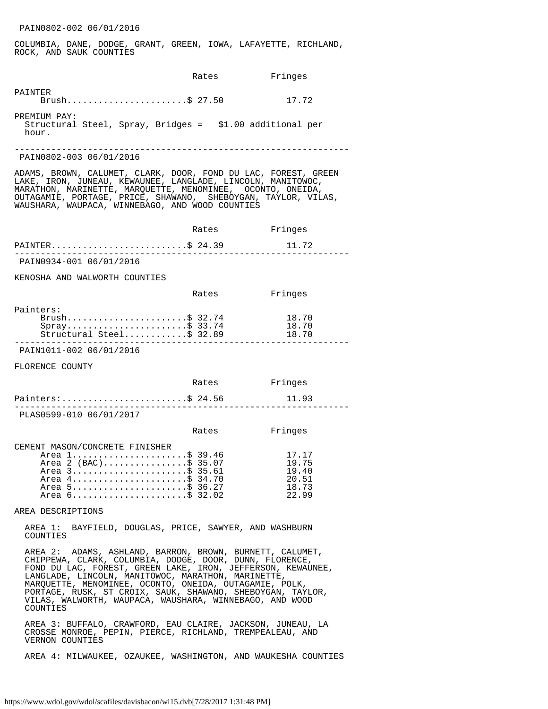COLUMBIA, DANE, DODGE, GRANT, GREEN, IOWA, LAFAYETTE, RICHLAND, ROCK, AND SAUK COUNTIES

|                                                                                                                                                                                                                                                                                                                                                                                                                                         | Rates | Fringes                                            |
|-----------------------------------------------------------------------------------------------------------------------------------------------------------------------------------------------------------------------------------------------------------------------------------------------------------------------------------------------------------------------------------------------------------------------------------------|-------|----------------------------------------------------|
| PAINTER<br>Brush\$ 27.50                                                                                                                                                                                                                                                                                                                                                                                                                |       | 17.72                                              |
| PREMIUM PAY:<br>Structural Steel, Spray, Bridges = \$1.00 additional per<br>hour.                                                                                                                                                                                                                                                                                                                                                       |       |                                                    |
| PAIN0802-003 06/01/2016                                                                                                                                                                                                                                                                                                                                                                                                                 |       |                                                    |
| ADAMS, BROWN, CALUMET, CLARK, DOOR, FOND DU LAC, FOREST, GREEN<br>LAKE, IRON, JUNEAU, KEWAUNEE, LANGLADE, LINCOLN, MANITOWOC,<br>MARATHON, MARINETTE, MARQUETTE, MENOMINEE, OCONTO, ONEIDA,<br>OUTAGAMIE, PORTAGE, PRICE, SHAWANO, SHEBOYGAN, TAYLOR, VILAS,<br>WAUSHARA, WAUPACA, WINNEBAGO, AND WOOD COUNTIES                                                                                                                         |       |                                                    |
|                                                                                                                                                                                                                                                                                                                                                                                                                                         | Rates | Fringes                                            |
| PAINTER\$ 24.39                                                                                                                                                                                                                                                                                                                                                                                                                         |       | 11.72                                              |
| PAIN0934-001 06/01/2016                                                                                                                                                                                                                                                                                                                                                                                                                 |       |                                                    |
| KENOSHA AND WALWORTH COUNTIES                                                                                                                                                                                                                                                                                                                                                                                                           |       |                                                    |
|                                                                                                                                                                                                                                                                                                                                                                                                                                         | Rates | Fringes                                            |
| Painters:<br>Brush\$ 32.74<br>$Spray$ \$ 33.74<br>$Structural Steel$ \$ 32.89                                                                                                                                                                                                                                                                                                                                                           |       | 18.70<br>18.70<br>18.70                            |
| PAIN1011-002 06/01/2016                                                                                                                                                                                                                                                                                                                                                                                                                 |       |                                                    |
| FLORENCE COUNTY                                                                                                                                                                                                                                                                                                                                                                                                                         |       |                                                    |
|                                                                                                                                                                                                                                                                                                                                                                                                                                         | Rates | Fringes                                            |
| Painters:\$ 24.56                                                                                                                                                                                                                                                                                                                                                                                                                       |       | 11.93                                              |
| PLAS0599-010 06/01/2017                                                                                                                                                                                                                                                                                                                                                                                                                 |       |                                                    |
|                                                                                                                                                                                                                                                                                                                                                                                                                                         | Rates | Fringes                                            |
| CEMENT MASON/CONCRETE FINISHER<br>Area 1\$ 39.46<br>Area 2 (BAC)\$ 35.07<br>Area 3\$ 35.61<br>Area 4\$ 34.70<br>Area 5\$ 36.27<br>Area 6\$ 32.02                                                                                                                                                                                                                                                                                        |       | 17.17<br>19.75<br>19.40<br>20.51<br>18.73<br>22.99 |
| AREA DESCRIPTIONS                                                                                                                                                                                                                                                                                                                                                                                                                       |       |                                                    |
| AREA 1: BAYFIELD, DOUGLAS, PRICE, SAWYER, AND WASHBURN<br>COUNTIES                                                                                                                                                                                                                                                                                                                                                                      |       |                                                    |
| AREA 2: ADAMS, ASHLAND, BARRON, BROWN, BURNETT, CALUMET,<br>CHIPPEWA, CLARK, COLUMBIA, DODGE, DOOR, DUNN, FLORENCE,<br>FOND DU LAC, FOREST, GREEN LAKE, IRON, JEFFERSON, KEWAUNEE,<br>LANGLADE, LINCOLN, MANITOWOC, MARATHON, MARINETTE,<br>MARQUETTE, MENOMINEE, OCONTO, ONEIDA, OUTAGAMIE, POLK,<br>PORTAGE, RUSK, ST CROIX, SAUK, SHAWANO, SHEBOYGAN, TAYLOR,<br>VILAS, WALWORTH, WAUPACA, WAUSHARA, WINNEBAGO, AND WOOD<br>COUNTIES |       |                                                    |
| AREA 3: BUFFALO, CRAWFORD, EAU CLAIRE, JACKSON, JUNEAU, LA<br>CROSSE MONROE, PEPIN, PIERCE, RICHLAND, TREMPEALEAU, AND<br>VERNON COUNTIES                                                                                                                                                                                                                                                                                               |       |                                                    |

AREA 4: MILWAUKEE, OZAUKEE, WASHINGTON, AND WAUKESHA COUNTIES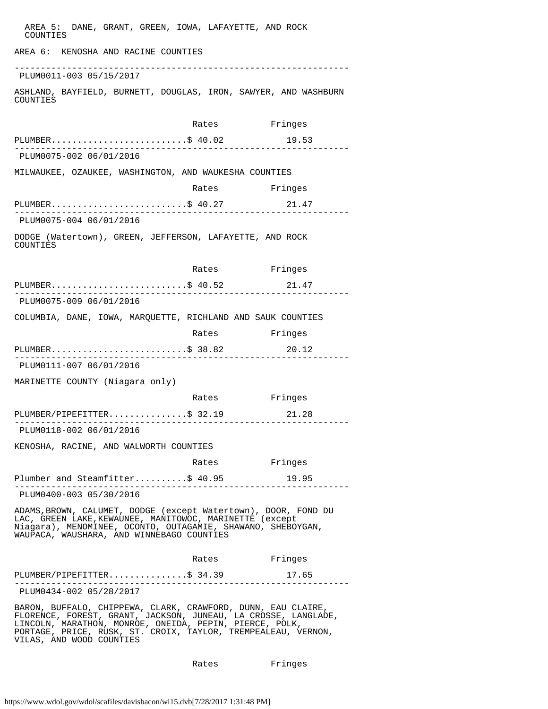| AREA 5: DANE, GRANT, GREEN, IOWA, LAFAYETTE, AND ROCK<br>COUNTIES                                                                                                                                                                                                                      |               |         |
|----------------------------------------------------------------------------------------------------------------------------------------------------------------------------------------------------------------------------------------------------------------------------------------|---------------|---------|
| AREA 6: KENOSHA AND RACINE COUNTIES                                                                                                                                                                                                                                                    |               |         |
| PLUM0011-003 05/15/2017                                                                                                                                                                                                                                                                |               |         |
| ASHLAND, BAYFIELD, BURNETT, DOUGLAS, IRON, SAWYER, AND WASHBURN<br>COUNTIES                                                                                                                                                                                                            |               |         |
|                                                                                                                                                                                                                                                                                        | Rates Fringes |         |
| PLUMBER\$ 40.02                                                                                                                                                                                                                                                                        |               | 19.53   |
| PLUM0075-002 06/01/2016                                                                                                                                                                                                                                                                |               |         |
| MILWAUKEE, OZAUKEE, WASHINGTON, AND WAUKESHA COUNTIES                                                                                                                                                                                                                                  |               |         |
|                                                                                                                                                                                                                                                                                        | Rates Fringes |         |
| PLUMBER\$ 40.27                                                                                                                                                                                                                                                                        |               | 21.47   |
| PLUM0075-004 06/01/2016                                                                                                                                                                                                                                                                |               |         |
| DODGE (Watertown), GREEN, JEFFERSON, LAFAYETTE, AND ROCK<br>COUNTIES                                                                                                                                                                                                                   |               |         |
|                                                                                                                                                                                                                                                                                        | Rates Fringes |         |
| PLUMBER\$ 40.52<br>PLUM0075-009 06/01/2016                                                                                                                                                                                                                                             |               | 21.47   |
|                                                                                                                                                                                                                                                                                        |               |         |
| COLUMBIA, DANE, IOWA, MARQUETTE, RICHLAND AND SAUK COUNTIES                                                                                                                                                                                                                            |               |         |
|                                                                                                                                                                                                                                                                                        | Rates         | Fringes |
| PLUMBER\$ 38.82                                                                                                                                                                                                                                                                        |               | 20.12   |
| PLUM0111-007 06/01/2016                                                                                                                                                                                                                                                                |               |         |
| MARINETTE COUNTY (Niagara only)                                                                                                                                                                                                                                                        |               |         |
|                                                                                                                                                                                                                                                                                        | Rates         | Fringes |
| PLUMBER/PIPEFITTER\$ 32.19                                                                                                                                                                                                                                                             |               | 21.28   |
| PLUM0118-002 06/01/2016                                                                                                                                                                                                                                                                |               |         |
| KENOSHA, RACINE, AND WALWORTH COUNTIES                                                                                                                                                                                                                                                 |               |         |
|                                                                                                                                                                                                                                                                                        | Rates Fringes |         |
| Plumber and Steamfitter\$ 40.95                                                                                                                                                                                                                                                        |               | 19.95   |
| PLUM0400-003 05/30/2016                                                                                                                                                                                                                                                                |               |         |
| ADAMS, BROWN, CALUMET, DODGE (except Watertown), DOOR, FOND DU<br>LAC, GREEN LAKE, KEWAUNEE, MANITOWOC, MARINETTE (except<br>Niagara), MENOMINEE, OCONTO, OUTAGAMIE, SHAWANO, SHEBOYGAN,<br>WAUPACA, WAUSHARA, AND WINNEBAGO COUNTIES                                                  |               |         |
|                                                                                                                                                                                                                                                                                        | Rates Fringes |         |
| PLUMBER/PIPEFITTER\$ 34.39<br><u> - - - - - - - - - - - - - - -</u>                                                                                                                                                                                                                    |               | 17.65   |
| PLUM0434-002 05/28/2017                                                                                                                                                                                                                                                                |               |         |
| BARON, BUFFALO, CHIPPEWA, CLARK, CRAWFORD, DUNN, EAU CLAIRE,<br>FLORENCE, FOREST, GRANT, JACKSON, JUNEAU, LA CROSSE, LANGLADE,<br>LINCOLN, MARATHON, MONROE, ONEIDA, PEPIN, PIERCE, POLK,<br>PORTAGE, PRICE, RUSK, ST. CROIX, TAYLOR, TREMPEALEAU, VERNON,<br>VILAS, AND WOOD COUNTIES |               |         |

Rates Fringes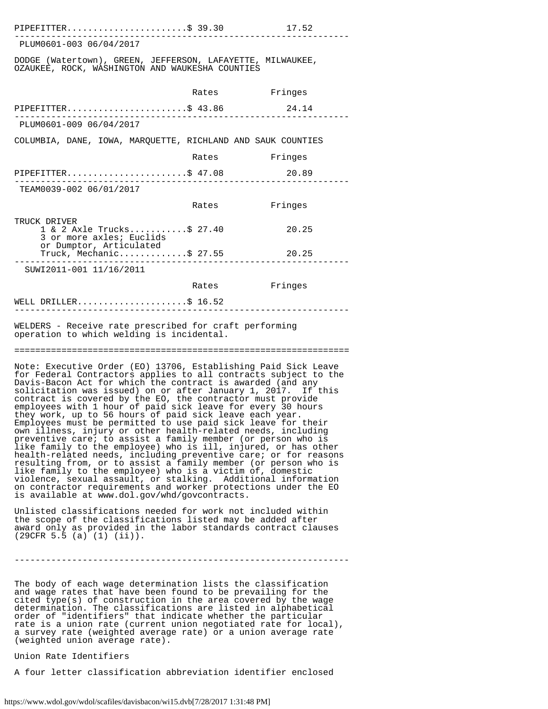| PIPEFITTER\$ 39.30                                                                                            |       | 17.52   |
|---------------------------------------------------------------------------------------------------------------|-------|---------|
| PLUM0601-003 06/04/2017                                                                                       |       |         |
| DODGE (Watertown), GREEN, JEFFERSON, LAFAYETTE, MILWAUKEE,<br>OZAUKEE, ROCK, WASHINGTON AND WAUKESHA COUNTIES |       |         |
|                                                                                                               | Rates | Fringes |
| PIPEFITTER\$ $43.86$                                                                                          |       | 24.14   |
| PLUM0601-009 06/04/2017                                                                                       |       |         |
| COLUMBIA, DANE, IOWA, MAROUETTE, RICHLAND AND SAUK COUNTIES                                                   |       |         |
|                                                                                                               | Rates | Fringes |
| PIPEFITTER\$ $47.08$                                                                                          |       | 20.89   |
| TEAM0039-002 06/01/2017                                                                                       |       |         |
|                                                                                                               | Rates | Fringes |
| TRUCK DRIVER<br>1 & 2 Axle Trucks\$ 27.40<br>3 or more axles; Euclids                                         |       | 20.25   |
| or Dumptor, Articulated<br>Truck, Mechanic\$ 27.55                                                            |       | 20.25   |
| SUWI2011-001 11/16/2011                                                                                       |       |         |
|                                                                                                               | Rates | Fringes |
| WELL DRILLER\$ $16.52$                                                                                        |       |         |

WELDERS - Receive rate prescribed for craft performing operation to which welding is incidental.

================================================================

Note: Executive Order (EO) 13706, Establishing Paid Sick Leave for Federal Contractors applies to all contracts subject to the Davis-Bacon Act for which the contract is awarded (and any solicitation was issued) on or after January 1, 2017. If this contract is covered by the EO, the contractor must provide employees with 1 hour of paid sick leave for every 30 hours they work, up to 56 hours of paid sick leave each year. Employees must be permitted to use paid sick leave for their own illness, injury or other health-related needs, including preventive care; to assist a family member (or person who is like family to the employee) who is ill, injured, or has other health-related needs, including preventive care; or for reasons resulting from, or to assist a family member (or person who is like family to the employee) who is a victim of, domestic violence, sexual assault, or stalking. Additional information on contractor requirements and worker protections under the EO is available at www.dol.gov/whd/govcontracts.

Unlisted classifications needed for work not included within the scope of the classifications listed may be added after award only as provided in the labor standards contract clauses (29CFR 5.5 (a) (1) (ii)).

----------------------------------------------------------------

The body of each wage determination lists the classification and wage rates that have been found to be prevailing for the cited type(s) of construction in the area covered by the wage determination. The classifications are listed in alphabetical order of "identifiers" that indicate whether the particular rate is a union rate (current union negotiated rate for local), a survey rate (weighted average rate) or a union average rate (weighted union average rate).

Union Rate Identifiers

A four letter classification abbreviation identifier enclosed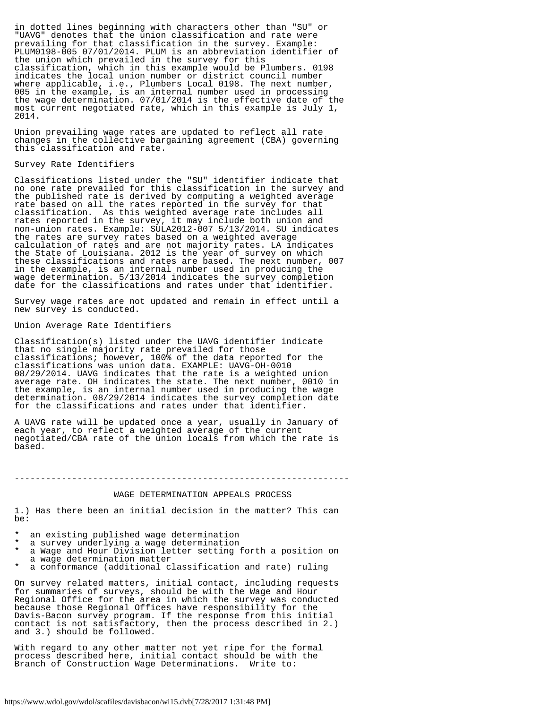in dotted lines beginning with characters other than "SU" or "UAVG" denotes that the union classification and rate were prevailing for that classification in the survey. Example: PLUM0198-005 07/01/2014. PLUM is an abbreviation identifier of the union which prevailed in the survey for this classification, which in this example would be Plumbers. 0198 indicates the local union number or district council number where applicable, i.e., Plumbers Local 0198. The next number, 005 in the example, is an internal number used in processing the wage determination. 07/01/2014 is the effective date of the most current negotiated rate, which in this example is July 1, 2014.

Union prevailing wage rates are updated to reflect all rate changes in the collective bargaining agreement (CBA) governing this classification and rate.

#### Survey Rate Identifiers

Classifications listed under the "SU" identifier indicate that no one rate prevailed for this classification in the survey and the published rate is derived by computing a weighted average rate based on all the rates reported in the survey for that classification. As this weighted average rate includes all rates reported in the survey, it may include both union and non-union rates. Example: SULA2012-007 5/13/2014. SU indicates the rates are survey rates based on a weighted average calculation of rates and are not majority rates. LA indicates the State of Louisiana. 2012 is the year of survey on which these classifications and rates are based. The next number, 007 in the example, is an internal number used in producing the wage determination. 5/13/2014 indicates the survey completion date for the classifications and rates under that identifier.

Survey wage rates are not updated and remain in effect until a new survey is conducted.

#### Union Average Rate Identifiers

Classification(s) listed under the UAVG identifier indicate that no single majority rate prevailed for those classifications; however, 100% of the data reported for the classifications was union data. EXAMPLE: UAVG-OH-0010 08/29/2014. UAVG indicates that the rate is a weighted union average rate. OH indicates the state. The next number, 0010 in the example, is an internal number used in producing the wage determination. 08/29/2014 indicates the survey completion date for the classifications and rates under that identifier.

A UAVG rate will be updated once a year, usually in January of each year, to reflect a weighted average of the current negotiated/CBA rate of the union locals from which the rate is based.

#### ----------------------------------------------------------------

#### WAGE DETERMINATION APPEALS PROCESS

1.) Has there been an initial decision in the matter? This can be:

- an existing published wage determination
- a survey underlying a wage determination
- a Wage and Hour Division letter setting forth a position on a wage determination matter
- a conformance (additional classification and rate) ruling

On survey related matters, initial contact, including requests for summaries of surveys, should be with the Wage and Hour Regional Office for the area in which the survey was conducted because those Regional Offices have responsibility for the Davis-Bacon survey program. If the response from this initial contact is not satisfactory, then the process described in 2.) and 3.) should be followed.

With regard to any other matter not yet ripe for the formal process described here, initial contact should be with the Branch of Construction Wage Determinations. Write to: